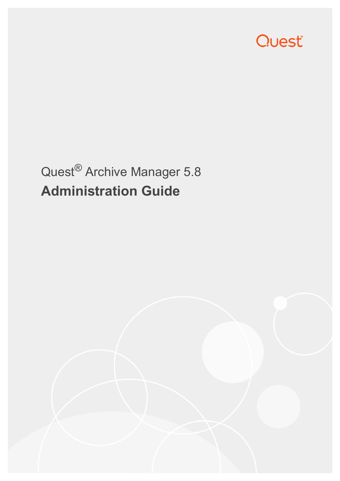

# Quest® Archive Manager 5.8 **Administration Guide**

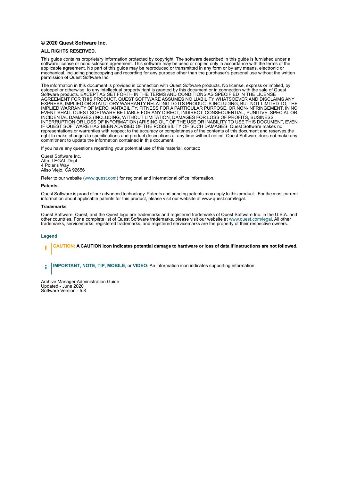#### **© 2020 Quest Software Inc.**

#### **ALL RIGHTS RESERVED.**

This guide contains proprietary information protected by copyright. The software described in this guide is furnished under a software license or nondisclosure agreement. This software may be used or copied only in accordance with the terms of the applicable agreement. No part of this guide may be reproduced or transmitted in any form or by any means, electronic or mechanical, including photocopying and recording for any purpose other than the purchaser's personal use without the written permission of Quest Software Inc.

The information in this document is provided in connection with Quest Software products. No license, express or implied, by estoppel or otherwise, to any intellectual property right is granted by this document or in connection with the sale of Quest<br>Software products. EXCEPT AS SET FORTH IN THE TERMS AND CONDITIONS AS SPECIFIED IN THE LICENSE<br>A EXPRESS, IMPLIED OR STATUTORY WARRANTY RELATING TO ITS PRODUCTS INCLUDING, BUT NOT LIMITED TO, THE IMPLIED WARRANTY OF MERCHANTABILITY, FITNESS FOR A PARTICULAR PURPOSE, OR NON-INFRINGEMENT. IN NO EVENT SHALL QUEST SOFTWARE BE LIABLE FOR ANY DIRECT, INDIRECT, CONSEQUENTIAL, PUNITIVE, SPECIAL OR INCIDENTAL DAMAGES (INCLUDING, WITHOUT LIMITATION, DAMAGES FOR LOSS OF PROFITS, BUSINESS<br>INTERRUPTION OR LOSS OF INFORMATION) ARISING OUT OF THE USE OR INABILITY TO USE THIS DOCUMENT, EVEN IF QUEST SOFTWARE HAS BEEN ADVISED OF THE POSSIBILITY OF SUCH DAMAGES. Quest Software makes no representations or warranties with respect to the accuracy or completeness of the contents of this document and reserves the right to make changes to specifications and product descriptions at any time without notice. Quest Software does not make any commitment to update the information contained in this document.

If you have any questions regarding your potential use of this material, contact:

Quest Software Inc. Attn: LEGAL Dept. 4 Polaris Way Aliso Viejo, CA 92656

Refer to our website [\(www.quest.com](http://www.quest.com)) for regional and international office information.

#### **Patents**

Quest Software is proud of our advanced technology. Patents and pending patents may apply to this product. For the most current information about applicable patents for this product, please visit our website at www.quest.com/legal.

#### **Trademarks**

Quest Software, Quest, and the Quest logo are trademarks and registered trademarks of Quest Software Inc. in the U.S.A. and other countries. For a complete list of Quest Software trademarks, please visit our website at [www.quest.com/legal](http://www.quest.com/legal). All other trademarks, servicemarks, registered trademarks, and registered servicemarks are the property of their respective owners.

#### **Legend**

**CAUTION: A CAUTION icon indicates potential damage to hardware or loss of data if instructions are not followed.** ţ

**IMPORTANT**, **NOTE**, **TIP**, **MOBILE**, or **VIDEO:** An information icon indicates supporting information.i

Archive Manager Administration Guide Updated - June 2020 Software Version - 5.8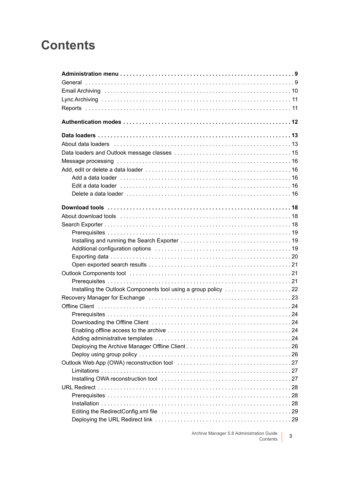## **Contents**

| About data loaders (all contains and all contains and all contains a state of the About data loaders (all conta |
|-----------------------------------------------------------------------------------------------------------------|
|                                                                                                                 |
|                                                                                                                 |
|                                                                                                                 |
|                                                                                                                 |
|                                                                                                                 |
|                                                                                                                 |
|                                                                                                                 |
|                                                                                                                 |
|                                                                                                                 |
|                                                                                                                 |
|                                                                                                                 |
|                                                                                                                 |
|                                                                                                                 |
|                                                                                                                 |
|                                                                                                                 |
|                                                                                                                 |
|                                                                                                                 |
| Installing the Outlook Components tool using a group policy 22                                                  |
|                                                                                                                 |
|                                                                                                                 |
|                                                                                                                 |
|                                                                                                                 |
|                                                                                                                 |
|                                                                                                                 |
|                                                                                                                 |
|                                                                                                                 |
|                                                                                                                 |
|                                                                                                                 |
|                                                                                                                 |
|                                                                                                                 |
|                                                                                                                 |
|                                                                                                                 |
|                                                                                                                 |
|                                                                                                                 |
|                                                                                                                 |

Archive Manager 5.8 Administration Guide Contents **<sup>3</sup>**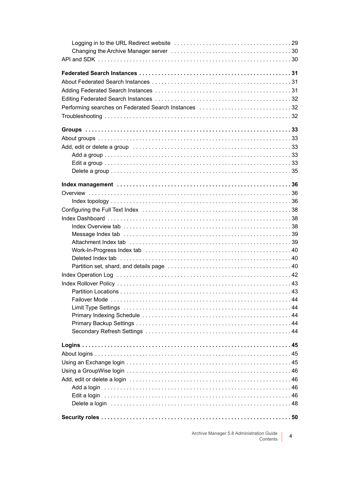| Performing searches on Federated Search Instances 32 |  |
|------------------------------------------------------|--|
|                                                      |  |
|                                                      |  |
|                                                      |  |
|                                                      |  |
|                                                      |  |
|                                                      |  |
|                                                      |  |
|                                                      |  |
|                                                      |  |
|                                                      |  |
|                                                      |  |
|                                                      |  |
|                                                      |  |
|                                                      |  |
|                                                      |  |
|                                                      |  |
|                                                      |  |
|                                                      |  |
|                                                      |  |
|                                                      |  |
|                                                      |  |
|                                                      |  |
|                                                      |  |
|                                                      |  |
|                                                      |  |
|                                                      |  |
|                                                      |  |
|                                                      |  |
|                                                      |  |
|                                                      |  |
|                                                      |  |
|                                                      |  |
|                                                      |  |
|                                                      |  |
|                                                      |  |
|                                                      |  |
|                                                      |  |
|                                                      |  |

Archive Manager 5.8 Administration Guide  $\overline{4}$ Contents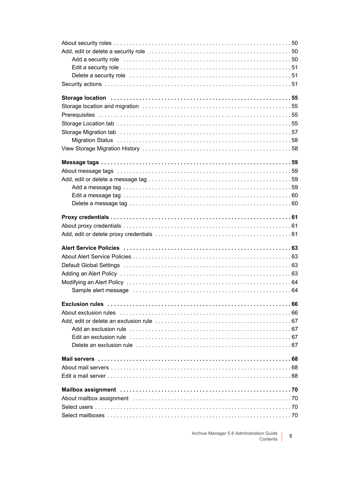| Add a security role entertainment contains a security result of the security role of the security role of the          |  |
|------------------------------------------------------------------------------------------------------------------------|--|
|                                                                                                                        |  |
|                                                                                                                        |  |
|                                                                                                                        |  |
| Storage location (and the control of the control of the control of the storage location (state of the state of         |  |
|                                                                                                                        |  |
|                                                                                                                        |  |
|                                                                                                                        |  |
|                                                                                                                        |  |
|                                                                                                                        |  |
|                                                                                                                        |  |
|                                                                                                                        |  |
|                                                                                                                        |  |
|                                                                                                                        |  |
|                                                                                                                        |  |
|                                                                                                                        |  |
|                                                                                                                        |  |
|                                                                                                                        |  |
|                                                                                                                        |  |
|                                                                                                                        |  |
|                                                                                                                        |  |
|                                                                                                                        |  |
|                                                                                                                        |  |
|                                                                                                                        |  |
|                                                                                                                        |  |
|                                                                                                                        |  |
|                                                                                                                        |  |
|                                                                                                                        |  |
|                                                                                                                        |  |
|                                                                                                                        |  |
| About exclusion rules extendional contracts and contracts are contracted as About exclusion rules                      |  |
|                                                                                                                        |  |
|                                                                                                                        |  |
|                                                                                                                        |  |
| Delete an exclusion rule enterpreending contained and contact the contract of the contract of the contract of $\delta$ |  |
|                                                                                                                        |  |
|                                                                                                                        |  |
|                                                                                                                        |  |
|                                                                                                                        |  |
|                                                                                                                        |  |
|                                                                                                                        |  |
|                                                                                                                        |  |
|                                                                                                                        |  |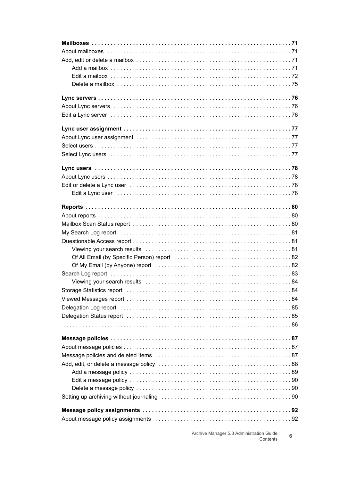| Select Lync users (and the contract of the contract of the contract of the contract of the contract of the contract of the contract of the contract of the contract of the contract of the contract of the contract of the con |
|--------------------------------------------------------------------------------------------------------------------------------------------------------------------------------------------------------------------------------|
|                                                                                                                                                                                                                                |
|                                                                                                                                                                                                                                |
|                                                                                                                                                                                                                                |
|                                                                                                                                                                                                                                |
|                                                                                                                                                                                                                                |
|                                                                                                                                                                                                                                |
|                                                                                                                                                                                                                                |
|                                                                                                                                                                                                                                |
|                                                                                                                                                                                                                                |
|                                                                                                                                                                                                                                |
|                                                                                                                                                                                                                                |
|                                                                                                                                                                                                                                |
|                                                                                                                                                                                                                                |
|                                                                                                                                                                                                                                |
|                                                                                                                                                                                                                                |
|                                                                                                                                                                                                                                |
|                                                                                                                                                                                                                                |
|                                                                                                                                                                                                                                |
|                                                                                                                                                                                                                                |
|                                                                                                                                                                                                                                |
|                                                                                                                                                                                                                                |
|                                                                                                                                                                                                                                |
|                                                                                                                                                                                                                                |
|                                                                                                                                                                                                                                |
|                                                                                                                                                                                                                                |
|                                                                                                                                                                                                                                |
|                                                                                                                                                                                                                                |
|                                                                                                                                                                                                                                |
|                                                                                                                                                                                                                                |
|                                                                                                                                                                                                                                |
|                                                                                                                                                                                                                                |
|                                                                                                                                                                                                                                |

Archive Manager 5.8 Administration Guide  $6\phantom{a}$ Contents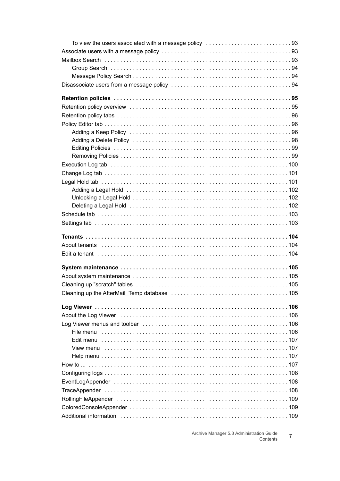| To view the users associated with a message policy $\ldots \ldots \ldots \ldots \ldots \ldots \ldots \ldots \ldots$ |  |
|---------------------------------------------------------------------------------------------------------------------|--|
|                                                                                                                     |  |
|                                                                                                                     |  |
|                                                                                                                     |  |
|                                                                                                                     |  |
|                                                                                                                     |  |
|                                                                                                                     |  |
|                                                                                                                     |  |
|                                                                                                                     |  |
|                                                                                                                     |  |
|                                                                                                                     |  |
|                                                                                                                     |  |
|                                                                                                                     |  |
|                                                                                                                     |  |
|                                                                                                                     |  |
|                                                                                                                     |  |
|                                                                                                                     |  |
|                                                                                                                     |  |
|                                                                                                                     |  |
|                                                                                                                     |  |
|                                                                                                                     |  |
|                                                                                                                     |  |
|                                                                                                                     |  |
|                                                                                                                     |  |
|                                                                                                                     |  |
|                                                                                                                     |  |
|                                                                                                                     |  |
|                                                                                                                     |  |
|                                                                                                                     |  |
|                                                                                                                     |  |
|                                                                                                                     |  |
|                                                                                                                     |  |
|                                                                                                                     |  |
|                                                                                                                     |  |
|                                                                                                                     |  |
|                                                                                                                     |  |
|                                                                                                                     |  |
|                                                                                                                     |  |
|                                                                                                                     |  |
|                                                                                                                     |  |
|                                                                                                                     |  |
|                                                                                                                     |  |
|                                                                                                                     |  |
|                                                                                                                     |  |
|                                                                                                                     |  |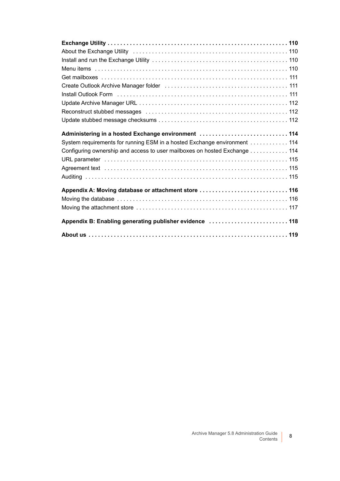| Administering in a hosted Exchange environment  114                       |
|---------------------------------------------------------------------------|
| System requirements for running ESM in a hosted Exchange environment 114  |
| Configuring ownership and access to user mailboxes on hosted Exchange 114 |
|                                                                           |
|                                                                           |
|                                                                           |
| Appendix A: Moving database or attachment store  116                      |
|                                                                           |
|                                                                           |
| Appendix B: Enabling generating publisher evidence  118                   |
|                                                                           |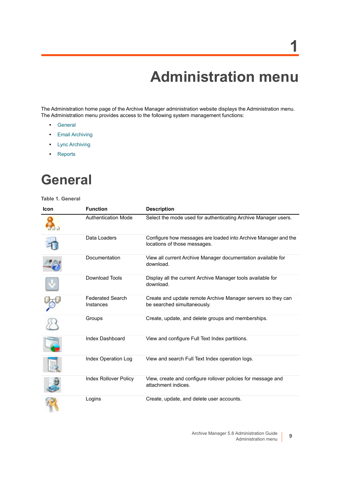# **Administration menu**

**1**

<span id="page-8-0"></span>The Administration home page of the Archive Manager administration website displays the Administration menu. The Administration menu provides access to the following system management functions:

- **•** [General](#page-8-1)
- **•** [Email Archiving](#page-9-0)
- **•** [Lync Archiving](#page-10-0)
- **•** [Reports](#page-10-1)

## <span id="page-8-1"></span>**General**

#### **Table 1. General**

| <b>Icon</b> | <b>Function</b>                      | <b>Description</b>                                                                             |
|-------------|--------------------------------------|------------------------------------------------------------------------------------------------|
|             | <b>Authentication Mode</b>           | Select the mode used for authenticating Archive Manager users.                                 |
|             | Data Loaders                         | Configure how messages are loaded into Archive Manager and the<br>locations of those messages. |
|             | Documentation                        | View all current Archive Manager documentation available for<br>download.                      |
|             | <b>Download Tools</b>                | Display all the current Archive Manager tools available for<br>download.                       |
|             | <b>Federated Search</b><br>Instances | Create and update remote Archive Manager servers so they can<br>be searched simultaneously.    |
|             | Groups                               | Create, update, and delete groups and memberships.                                             |
|             | Index Dashboard                      | View and configure Full Text Index partitions.                                                 |
|             | Index Operation Log                  | View and search Full Text Index operation logs.                                                |
|             | <b>Index Rollover Policy</b>         | View, create and configure rollover policies for message and<br>attachment indices.            |
|             | Logins                               | Create, update, and delete user accounts.                                                      |

**9**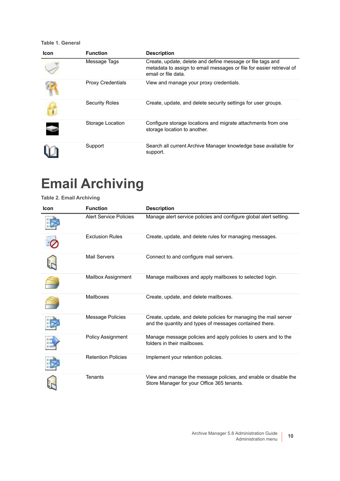**Table 1. General**

| Icon | <b>Function</b>          | <b>Description</b>                                                                                                                                        |
|------|--------------------------|-----------------------------------------------------------------------------------------------------------------------------------------------------------|
|      | Message Tags             | Create, update, delete and define message or file tags and<br>metadata to assign to email messages or file for easier retrieval of<br>email or file data. |
|      | <b>Proxy Credentials</b> | View and manage your proxy credentials.                                                                                                                   |
|      | <b>Security Roles</b>    | Create, update, and delete security settings for user groups.                                                                                             |
|      | Storage Location         | Configure storage locations and migrate attachments from one<br>storage location to another.                                                              |
|      | Support                  | Search all current Archive Manager knowledge base available for<br>support.                                                                               |

## <span id="page-9-0"></span>**Email Archiving**

**Table 2. Email Archiving**

| <b>Icon</b> | <b>Function</b>               | <b>Description</b>                                                                                                          |
|-------------|-------------------------------|-----------------------------------------------------------------------------------------------------------------------------|
|             | <b>Alert Service Policies</b> | Manage alert service policies and configure global alert setting.                                                           |
|             | <b>Exclusion Rules</b>        | Create, update, and delete rules for managing messages.                                                                     |
|             | <b>Mail Servers</b>           | Connect to and configure mail servers.                                                                                      |
|             | <b>Mailbox Assignment</b>     | Manage mailboxes and apply mailboxes to selected login.                                                                     |
|             | Mailboxes                     | Create, update, and delete mailboxes.                                                                                       |
|             | Message Policies              | Create, update, and delete policies for managing the mail server<br>and the quantity and types of messages contained there. |
|             | <b>Policy Assignment</b>      | Manage message policies and apply policies to users and to the<br>folders in their mailboxes.                               |
|             | <b>Retention Policies</b>     | Implement your retention policies.                                                                                          |
|             | <b>Tenants</b>                | View and manage the message policies, and enable or disable the<br>Store Manager for your Office 365 tenants.               |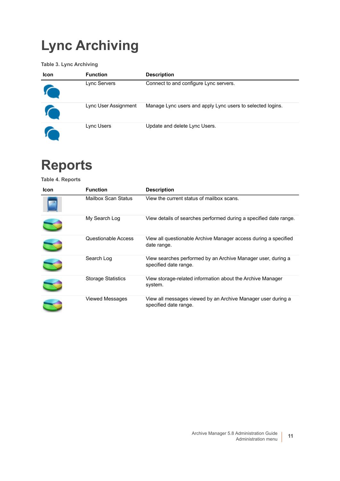# <span id="page-10-0"></span>**Lync Archiving**

**Table 3. Lync Archiving**

| Icon | <b>Function</b>      | <b>Description</b>                                         |
|------|----------------------|------------------------------------------------------------|
|      | Lync Servers         | Connect to and configure Lync servers.                     |
|      | Lync User Assignment | Manage Lync users and apply Lync users to selected logins. |
|      | Lync Users           | Update and delete Lync Users.                              |

# <span id="page-10-1"></span>**Reports**

**Table 4. Reports**

| Icon | <b>Function</b>           | <b>Description</b>                                                                    |
|------|---------------------------|---------------------------------------------------------------------------------------|
|      | Mailbox Scan Status       | View the current status of mailbox scans.                                             |
|      | My Search Log             | View details of searches performed during a specified date range.                     |
|      | Questionable Access       | View all questionable Archive Manager access during a specified<br>date range.        |
|      | Search Log                | View searches performed by an Archive Manager user, during a<br>specified date range. |
|      | <b>Storage Statistics</b> | View storage-related information about the Archive Manager<br>system.                 |
|      | <b>Viewed Messages</b>    | View all messages viewed by an Archive Manager user during a<br>specified date range. |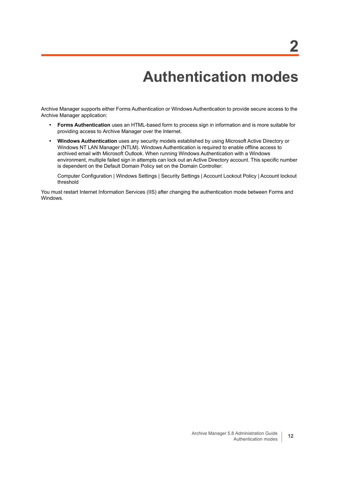**2**

<span id="page-11-1"></span><span id="page-11-0"></span>Archive Manager supports either Forms Authentication or Windows Authentication to provide secure access to the Archive Manager application:

- **Forms Authentication** uses an HTML-based form to process sign in information and is more suitable for providing access to Archive Manager over the Internet.
- **Windows Authentication** uses any security models established by using Microsoft Active Directory or Windows NT LAN Manager (NTLM). Windows Authentication is required to enable offline access to archived email with Microsoft Outlook. When running Windows Authentication with a Windows environment, multiple failed sign in attempts can lock out an Active Directory account. This specific number is dependent on the Default Domain Policy set on the Domain Controller:

Computer Configuration | Windows Settings | Security Settings | Account Lockout Policy | Account lockout threshold

You must restart Internet Information Services (IIS) after changing the authentication mode between Forms and Windows.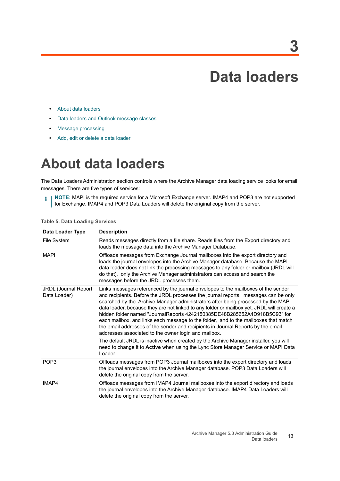**3**

- <span id="page-12-0"></span>**•** [About data loaders](#page-12-1)
- **•** [Data loaders and Outlook message classes](#page-14-0)
- **•** [Message processing](#page-15-0)
- **•** [Add, edit or delete a data loader](#page-15-1)

## <span id="page-12-1"></span>**About data loaders**

The Data Loaders Administration section controls where the Archive Manager data loading service looks for email messages. There are five types of services:

**NOTE:** MAPI is the required service for a Microsoft Exchange server. IMAP4 and POP3 are not supported f. for Exchange. IMAP4 and POP3 Data Loaders will delete the original copy from the server.

| Data Loader Type                            | <b>Description</b>                                                                                                                                                                                                                                                                                                                                                                                                                                                                                                                                                                                                                                                        |
|---------------------------------------------|---------------------------------------------------------------------------------------------------------------------------------------------------------------------------------------------------------------------------------------------------------------------------------------------------------------------------------------------------------------------------------------------------------------------------------------------------------------------------------------------------------------------------------------------------------------------------------------------------------------------------------------------------------------------------|
| File System                                 | Reads messages directly from a file share. Reads files from the Export directory and<br>loads the message data into the Archive Manager Database.                                                                                                                                                                                                                                                                                                                                                                                                                                                                                                                         |
| <b>MAPI</b>                                 | Offloads messages from Exchange Journal mailboxes into the export directory and<br>loads the journal envelopes into the Archive Manager database. Because the MAPI<br>data loader does not link the processing messages to any folder or mailbox (JRDL will<br>do that), only the Archive Manager administrators can access and search the<br>messages before the JRDL processes them.                                                                                                                                                                                                                                                                                    |
| <b>JRDL (Journal Report</b><br>Data Loader) | Links messages referenced by the journal envelopes to the mailboxes of the sender<br>and recipients. Before the JRDL processes the journal reports, messages can be only<br>searched by the Archive Manager administrators after being processed by the MAPI<br>data loader, because they are not linked to any folder or mailbox yet. JRDL will create a<br>hidden folder named "JournalReports 4242150385DE48B285652A4D918B5C93" for<br>each mailbox, and links each message to the folder, and to the mailboxes that match<br>the email addresses of the sender and recipients in Journal Reports by the email<br>addresses associated to the owner login and mailbox. |
|                                             | The default JRDL is inactive when created by the Archive Manager installer, you will<br>need to change it to <b>Active</b> when using the Lync Store Manager Service or MAPI Data<br>Loader.                                                                                                                                                                                                                                                                                                                                                                                                                                                                              |
| POP <sub>3</sub>                            | Offloads messages from POP3 Journal mailboxes into the export directory and loads<br>the journal envelopes into the Archive Manager database. POP3 Data Loaders will<br>delete the original copy from the server.                                                                                                                                                                                                                                                                                                                                                                                                                                                         |
| IMAP4                                       | Offloads messages from IMAP4 Journal mailboxes into the export directory and loads<br>the journal envelopes into the Archive Manager database. IMAP4 Data Loaders will<br>delete the original copy from the server.                                                                                                                                                                                                                                                                                                                                                                                                                                                       |

**Table 5. Data Loading Services**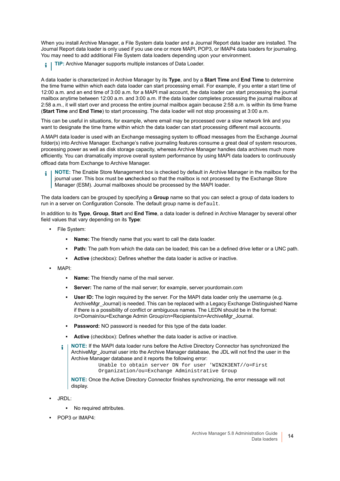When you install Archive Manager, a File System data loader and a Journal Report data loader are installed. The Journal Report data loader is only used if you use one or more MAPI, POP3, or IMAP4 data loaders for journaling. You may need to add additional File System data loaders depending upon your environment.

**TIP:** Archive Manager supports multiple instances of Data Loader. i l

A data loader is characterized in Archive Manager by its **Type**, and by a **Start Time** and **End Time** to determine the time frame within which each data loader can start processing email. For example, if you enter a start time of 12:00 a.m. and an end time of 3:00 a.m. for a MAPI mail account, the data loader can start processing the journal mailbox anytime between 12:00 a.m. and 3:00 a.m. If the data loader completes processing the journal mailbox at 2:58 a.m., it will start over and process the entire journal mailbox again because 2:58 a.m. is within its time frame (**Start Time** and **End Time**) to start processing. The data loader will not stop processing at 3:00 a.m.

This can be useful in situations, for example, where email may be processed over a slow network link and you want to designate the time frame within which the data loader can start processing different mail accounts.

A MAPI data loader is used with an Exchange messaging system to offload messages from the Exchange Journal folder(s) into Archive Manager. Exchange's native journaling features consume a great deal of system resources, processing power as well as disk storage capacity, whereas Archive Manager handles data archives much more efficiently. You can dramatically improve overall system performance by using MAPI data loaders to continuously offload data from Exchange to Archive Manager.

**NOTE:** The Enable Store Management box is checked by default in Archive Manager in the mailbox for the journal user. This box must be **un**checked so that the mailbox is not processed by the Exchange Store Manager (ESM). Journal mailboxes should be processed by the MAPI loader.

The data loaders can be grouped by specifying a **Group** name so that you can select a group of data loaders to run in a server on Configuration Console. The default group name is default.

In addition to its **Type**, **Group**, **Start** and **End Time**, a data loader is defined in Archive Manager by several other field values that vary depending on its **Type**:

- **•** File System:
	- **Name:** The friendly name that you want to call the data loader.
	- **Path:** The path from which the data can be loaded; this can be a defined drive letter or a UNC path.
	- **Active** (checkbox): Defines whether the data loader is active or inactive.
- **•** MAPI:
	- **Name:** The friendly name of the mail server.
	- **Server:** The name of the mail server; for example, server.yourdomain.com
	- **User ID:** The login required by the server. For the MAPI data loader only the username (e.g. ArchiveMgr\_Journal) is needed. This can be replaced with a Legacy Exchange Distinguished Name if there is a possibility of conflict or ambiguous names. The LEDN should be in the format: /o=Domain/ou=Exchange Admin Group/cn=Recipients/cn=ArchiveMgr\_Journal.
	- Password: NO password is needed for this type of the data loader.
	- **Active** (checkbox): Defines whether the data loader is active or inactive.
	- **NOTE:** If the MAPI data loader runs before the Active Directory Connector has synchronized the ÷ ArchiveMgr\_Journal user into the Archive Manager database, the JDL will not find the user in the Archive Manager database and it reports the following error:

```
Unable to obtain server DN for user 'WIN2K3ENT//o=First 
Organization/ou=Exchange Administrative Group
```
**NOTE:** Once the Active Directory Connector finishes synchronizing, the error message will not display.

- **•** JRDL:
	- **▪** No required attributes.
- **•** POP3 or IMAP4: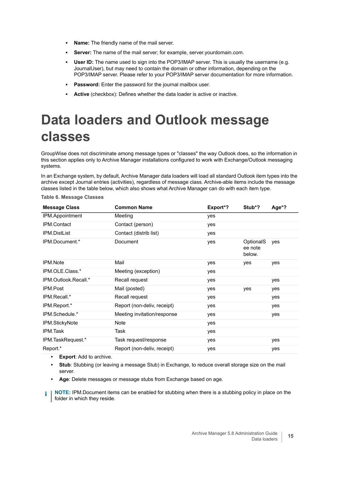- **Name:** The friendly name of the mail server.
- **Server:** The name of the mail server; for example, server.yourdomain.com.
- **User ID:** The name used to sign into the POP3/IMAP server. This is usually the username (e.g. JournalUser), but may need to contain the domain or other information, depending on the POP3/IMAP server. Please refer to your POP3/IMAP server documentation for more information.
- **Password:** Enter the password for the journal mailbox user.
- **Active** (checkbox): Defines whether the data loader is active or inactive.

# <span id="page-14-0"></span>**Data loaders and Outlook message classes**

GroupWise does not discriminate among message types or "classes" the way Outlook does, so the information in this section applies only to Archive Manager installations configured to work with Exchange/Outlook messaging systems.

In an Exchange system, by default, Archive Manager data loaders will load all standard Outlook item types into the archive except Journal entries (activities), regardless of message class. Archive-able items include the message classes listed in the table below, which also shows what Archive Manager can do with each item type.

**Table 6. Message Classes**

| <b>Common Name</b>          | Export*? | Stub*?                                | Age*? |
|-----------------------------|----------|---------------------------------------|-------|
| Meeting                     | yes      |                                       |       |
| Contact (person)            | yes      |                                       |       |
| Contact (distrib list)      | yes      |                                       |       |
| Document                    | yes      | <b>OptionalS</b><br>ee note<br>below. | yes   |
| Mail                        | yes      | yes                                   | yes   |
| Meeting (exception)         | yes      |                                       |       |
| Recall request              | yes      |                                       | yes   |
| Mail (posted)               | yes      | yes                                   | yes   |
| Recall request              | yes      |                                       | yes   |
| Report (non-deliv, receipt) | yes      |                                       | yes   |
| Meeting invitation/response | yes      |                                       | yes   |
| Note                        | yes      |                                       |       |
| Task                        | yes      |                                       |       |
| Task request/response       | yes      |                                       | yes   |
| Report (non-deliv, receipt) | yes      |                                       | yes   |
|                             |          |                                       |       |

**• Export**: Add to archive.

**• Stub**: Stubbing (or leaving a message Stub) in Exchange, to reduce overall storage size on the mail server.

**• Age**: Delete messages or message stubs from Exchange based on age.

**NOTE:** IPM.Document items can be enabled for stubbing when there is a stubbing policy in place on the f. folder in which they reside.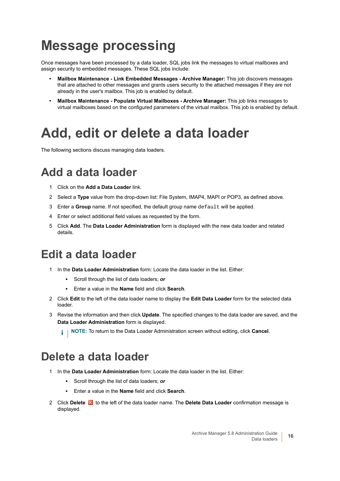## <span id="page-15-0"></span>**Message processing**

Once messages have been processed by a data loader, SQL jobs link the messages to virtual mailboxes and assign security to embedded messages. These SQL jobs include:

- **Mailbox Maintenance Link Embedded Messages Archive Manager:** This job discovers messages that are attached to other messages and grants users security to the attached messages if they are not already in the user's mailbox. This job is enabled by default.
- **Mailbox Maintenance Populate Virtual Mailboxes Archive Manager:** This job links messages to virtual mailboxes based on the configured parameters of the virtual mailbox. This job is enabled by default.

## <span id="page-15-1"></span>**Add, edit or delete a data loader**

The following sections discuss managing data loaders.

### <span id="page-15-2"></span>**Add a data loader**

- 1 Click on the **Add a Data Loader** link.
- 2 Select a **Type** value from the drop-down list: File System, IMAP4, MAPI or POP3, as defined above.
- 3 Enter a **Group** name. If not specified, the default group name default will be applied.
- 4 Enter or select additional field values as requested by the form.
- 5 Click **Add**. The **Data Loader Administration** form is displayed with the new data loader and related details.

### <span id="page-15-3"></span>**Edit a data loader**

- 1 In the **Data Loader Administration** form: Locate the data loader in the list. Either:
	- **▪** Scroll through the list of data loaders; *or*
	- **▪** Enter a value in the **Name** field and click **Search**.
- 2 Click **Edit** to the left of the data loader name to display the **Edit Data Loader** form for the selected data loader.
- 3 Revise the information and then click **Update**. The specified changes to the data loader are saved, and the **Data Loader Administration** form is displayed.

**i** | NOTE: To return to the Data Loader Administration screen without editing, click Cancel.

### <span id="page-15-4"></span>**Delete a data loader**

- 1 In the **Data Loader Administration** form: Locate the data loader in the list. Either:
	- **▪** Scroll through the list of data loaders; *or*
	- **▪** Enter a value in the **Name** field and click **Search**.
- 2 Click Delete in to the left of the data loader name. The Delete Data Loader confirmation message is displayed.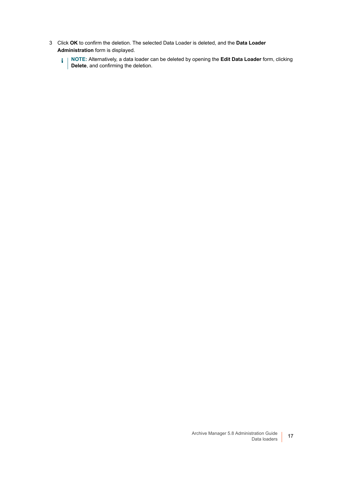- 3 Click **OK** to confirm the deletion. The selected Data Loader is deleted, and the **Data Loader Administration** form is displayed.
	- **NOTE:** Alternatively, a data loader can be deleted by opening the **Edit Data Loader** form, clicking **Delete**, and confirming the deletion.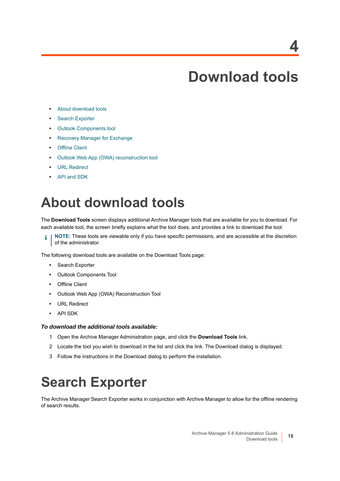## **Download tools**

- <span id="page-17-0"></span>**•** [About download tools](#page-17-1)
- **•** [Search Exporter](#page-17-2)
- **•** [Outlook Components tool](#page-20-1)
- **•** [Recovery Manager for Exchange](#page-22-0)
- **•** [Offline Client](#page-23-0)
- **•** [Outlook Web App \(OWA\) reconstruction tool](#page-26-0)
- **•** [URL Redirect](#page-27-0)
- **•** [API and SDK](#page-29-1)

## <span id="page-17-1"></span>**About download tools**

The **Download Tools** screen displays additional Archive Manager tools that are available for you to download. For each available tool, the screen briefly explains what the tool does, and provides a link to download the tool.

**NOTE:** These tools are viewable only if you have specific permissions, and are accessible at the discretion 6 of the administrator.

The following download tools are available on the Download Tools page:

- **•** Search Exporter
- **•** Outlook Components Tool
- **•** Offline Client
- **•** Outlook Web App (OWA) Reconstruction Tool
- **•** URL Redirect
- **•** API SDK

#### *To download the additional tools available:*

- 1 Open the Archive Manager Administration page, and click the **Download Tools** link.
- 2 Locate the tool you wish to download in the list and click the link. The Download dialog is displayed.
- 3 Follow the instructions in the Download dialog to perform the installation.

# <span id="page-17-2"></span>**Search Exporter**

The Archive Manager Search Exporter works in conjunction with Archive Manager to allow for the offline rendering of search results.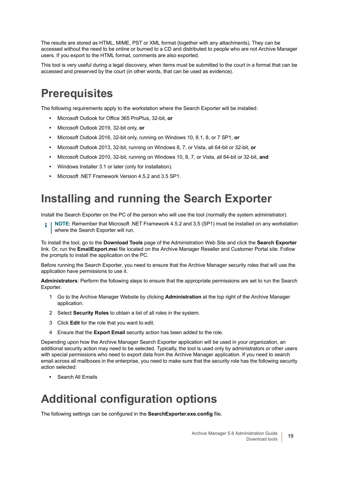The results are stored as HTML, MIME, PST or XML format (together with any attachments). They can be accessed without the need to be online or burned to a CD and distributed to people who are not Archive Manager users. If you export to the HTML format, comments are also exported.

This tool is very useful during a legal discovery, when items must be submitted to the court in a format that can be accessed and preserved by the court (in other words, that can be used as evidence).

### <span id="page-18-0"></span>**Prerequisites**

The following requirements apply to the workstation where the Search Exporter will be installed:

- **•** Microsoft Outlook for Office 365 ProPlus, 32-bit, **or**
- **•** Microsoft Outlook 2019, 32-bit only, **or**
- **•** Microsoft Outlook 2016, 32-bit only, running on Windows 10, 8.1, 8, or 7 SP1, **or**
- **•** Microsoft Outlook 2013, 32-bit, running on Windows 8, 7, or Vista, all 64-bit or 32-bit, **or**
- **•** Microsoft Outlook 2010, 32-bit, running on Windows 10, 8, 7, or Vista, all 64-bit or 32-bit, **and**
- **•** Windows Installer 3.1 or later (only for installation).
- **•** Microsoft .NET Framework Version 4.5.2 and 3.5 SP1.

### <span id="page-18-1"></span>**Installing and running the Search Exporter**

Install the Search Exporter on the PC of the person who will use the tool (normally the system administrator).

**NOTE:** Remember that Microsoft .NET Framework 4.5.2 and 3.5 (SP1) must be installed on any workstation ÷ where the Search Exporter will run.

To install the tool, go to the **Download Tools** page of the Administration Web Site and click the **Search Exporter** link. Or, run the **EmailExport.msi** file located on the Archive Manager Reseller and Customer Portal site. Follow the prompts to install the application on the PC.

Before running the Search Exporter, you need to ensure that the Archive Manager security roles that will use the application have permissions to use it.

**Administrators**: Perform the following steps to ensure that the appropriate permissions are set to run the Search Exporter.

- 1 Go to the Archive Manager Website by clicking **Administration** at the top right of the Archive Manager application.
- 2 Select **Security Roles** to obtain a list of all roles in the system.
- 3 Click **Edit** for the role that you want to edit.
- 4 Ensure that the **Export Email** security action has been added to the role.

Depending upon how the Archive Manager Search Exporter application will be used in your organization, an additional security action may need to be selected. Typically, the tool is used only by administrators or other users with special permissions who need to export data from the Archive Manager application. If you need to search email across all mailboxes in the enterprise, you need to make sure that the security role has the following security action selected:

**•** Search All Emails

### <span id="page-18-2"></span>**Additional configuration options**

The following settings can be configured in the **SearchExporter.exe.config** file.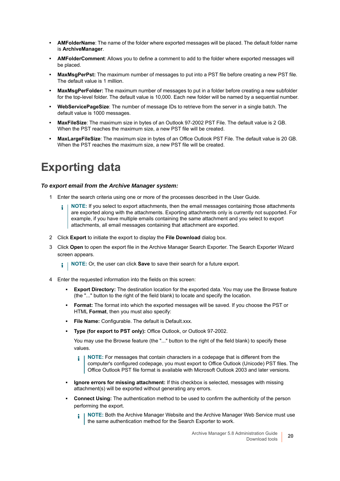- **AMFolderName**: The name of the folder where exported messages will be placed. The default folder name is **ArchiveManager**.
- **AMFolderComment**: Allows you to define a comment to add to the folder where exported messages will be placed.
- **MaxMsgPerPst:** The maximum number of messages to put into a PST file before creating a new PST file. The default value is 1 million.
- **MaxMsgPerFolder:** The maximum number of messages to put in a folder before creating a new subfolder for the top-level folder. The default value is 10,000. Each new folder will be named by a sequential number.
- **WebServicePageSize**: The number of message IDs to retrieve from the server in a single batch. The default value is 1000 messages.
- **MaxFileSize**: The maximum size in bytes of an Outlook 97-2002 PST File. The default value is 2 GB. When the PST reaches the maximum size, a new PST file will be created.
- **MaxLargeFileSize**: The maximum size in bytes of an Office Outlook PST File. The default value is 20 GB. When the PST reaches the maximum size, a new PST file will be created.

### <span id="page-19-0"></span>**Exporting data**

#### *To export email from the Archive Manager system:*

- 1 Enter the search criteria using one or more of the processes described in the User Guide.
	- **NOTE:** If you select to export attachments, then the email messages containing those attachments ÷ are exported along with the attachments. Exporting attachments only is currently not supported. For example, if you have multiple emails containing the same attachment and you select to export attachments, all email messages containing that attachment are exported.
- 2 Click **Export** to initiate the export to display the **File Download** dialog box.
- 3 Click **Open** to open the export file in the Archive Manager Search Exporter. The Search Exporter Wizard screen appears.
	- $\mathbf{i}$ **NOTE:** Or, the user can click **Save** to save their search for a future export.
- 4 Enter the requested information into the fields on this screen:
	- **Export Directory:** The destination location for the exported data. You may use the Browse feature (the "..." button to the right of the field blank) to locate and specify the location.
	- **Format:** The format into which the exported messages will be saved. If you choose the PST or HTML **Format**, then you must also specify:
	- **File Name:** Configurable. The default is Default.xxx.
	- **Type (for export to PST only): Office Outlook, or Outlook 97-2002.**

You may use the Browse feature (the "..." button to the right of the field blank) to specify these values.

- **NOTE:** For messages that contain characters in a codepage that is different from the f. computer's configured codepage, you must export to Office Outlook (Unicode) PST files. The Office Outlook PST file format is available with Microsoft Outlook 2003 and later versions.
- **Ignore errors for missing attachment:** If this checkbox is selected, messages with missing attachment(s) will be exported without generating any errors.
- **Connect Using:** The authentication method to be used to confirm the authenticity of the person performing the export.
	- **NOTE:** Both the Archive Manager Website and the Archive Manager Web Service must use the same authentication method for the Search Exporter to work.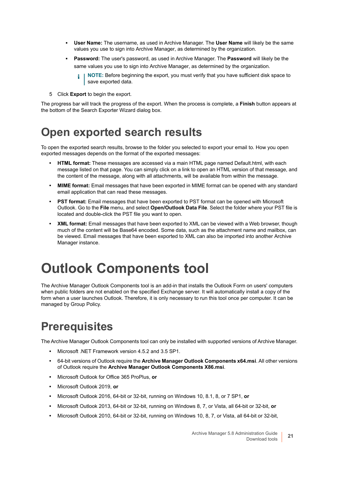- **User Name:** The username, as used in Archive Manager. The **User Name** will likely be the same values you use to sign into Archive Manager, as determined by the organization.
- **Password:** The user's password, as used in Archive Manager. The **Password** will likely be the same values you use to sign into Archive Manager, as determined by the organization.
	- **NOTE:** Before beginning the export, you must verify that you have sufficient disk space to save exported data.
- 5 Click **Export** to begin the export.

The progress bar will track the progress of the export. When the process is complete, a **Finish** button appears at the bottom of the Search Exporter Wizard dialog box.

### <span id="page-20-0"></span>**Open exported search results**

To open the exported search results, browse to the folder you selected to export your email to. How you open exported messages depends on the format of the exported messages:

- **HTML format:** These messages are accessed via a main HTML page named Default.html, with each message listed on that page. You can simply click on a link to open an HTML version of that message, and the content of the message, along with all attachments, will be available from within the message.
- **MIME format:** Email messages that have been exported in MIME format can be opened with any standard email application that can read these messages.
- **PST format:** Email messages that have been exported to PST format can be opened with Microsoft Outlook. Go to the **File** menu, and select **Open/Outlook Data File**. Select the folder where your PST file is located and double-click the PST file you want to open.
- **XML format:** Email messages that have been exported to XML can be viewed with a Web browser, though much of the content will be Base64 encoded. Some data, such as the attachment name and mailbox, can be viewed. Email messages that have been exported to XML can also be imported into another Archive Manager instance.

## <span id="page-20-1"></span>**Outlook Components tool**

The Archive Manager Outlook Components tool is an add-in that installs the Outlook Form on users' computers when public folders are not enabled on the specified Exchange server. It will automatically install a copy of the form when a user launches Outlook. Therefore, it is only necessary to run this tool once per computer. It can be managed by Group Policy.

### <span id="page-20-2"></span>**Prerequisites**

The Archive Manager Outlook Components tool can only be installed with supported versions of Archive Manager.

- **•** Microsoft .NET Framework version 4.5.2 and 3.5 SP1.
- **•** 64-bit versions of Outlook require the **Archive Manager Outlook Components x64.msi**. All other versions of Outlook require the **Archive Manager Outlook Components X86.msi**.
- **•** Microsoft Outlook for Office 365 ProPlus, **or**
- **•** Microsoft Outlook 2019, **or**
- **•** Microsoft Outlook 2016, 64-bit or 32-bit, running on Windows 10, 8.1, 8, or 7 SP1, **or**
- **•** Microsoft Outlook 2013, 64-bit or 32-bit, running on Windows 8, 7, or Vista, all 64-bit or 32-bit, **or**
- **•** Microsoft Outlook 2010, 64-bit or 32-bit, running on Windows 10, 8, 7, or Vista, all 64-bit or 32-bit,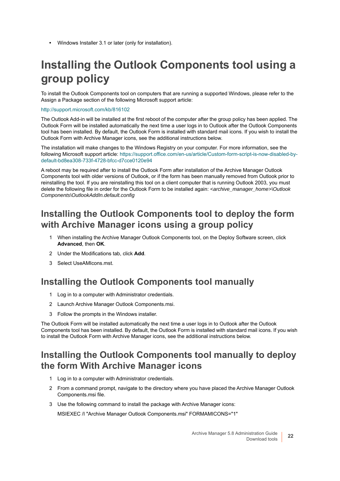**•** Windows Installer 3.1 or later (only for installation).

## <span id="page-21-0"></span>**Installing the Outlook Components tool using a group policy**

To install the Outlook Components tool on computers that are running a supported Windows, please refer to the Assign a Package section of the following Microsoft support article:

#### <http://support.microsoft.com/kb/816102>

The Outlook Add-in will be installed at the first reboot of the computer after the group policy has been applied. The Outlook Form will be installed automatically the next time a user logs in to Outlook after the Outlook Components tool has been installed. By default, the Outlook Form is installed with standard mail icons. If you wish to install the Outlook Form with Archive Manager icons, see the additional instructions below.

The installation will make changes to the Windows Registry on your computer. For more information, see the following Microsoft support article: [https://support.office.com/en-us/article/Custom-form-script-is-now-disabled-by](https://support.office.com/en-us/article/Custom-form-script-is-now-disabled-by-default-bd8ea308-733f-4728-bfcc-d7cce0120e94)[default-bd8ea308-733f-4728-bfcc-d7cce0120e94](https://support.office.com/en-us/article/Custom-form-script-is-now-disabled-by-default-bd8ea308-733f-4728-bfcc-d7cce0120e94)

A reboot may be required after to install the Outlook Form after installation of the Archive Manager Outlook Components tool with older versions of Outlook, or if the form has been manually removed from Outlook prior to reinstalling the tool. If you are reinstalling this tool on a client computer that is running Outlook 2003, you must delete the following file in order for the Outlook Form to be installed again: *<archive\_manager\_home>\Outlook Components\OutlookAddIn.default.config*

### **Installing the Outlook Components tool to deploy the form with Archive Manager icons using a group policy**

- 1 When installing the Archive Manager Outlook Components tool, on the Deploy Software screen, click **Advanced**, then **OK**.
- 2 Under the Modifications tab, click **Add**.
- 3 Select UseAMIcons.mst.

### **Installing the Outlook Components tool manually**

- 1 Log in to a computer with Administrator credentials.
- 2 Launch Archive Manager Outlook Components.msi.
- 3 Follow the prompts in the Windows installer.

The Outlook Form will be installed automatically the next time a user logs in to Outlook after the Outlook Components tool has been installed. By default, the Outlook Form is installed with standard mail icons. If you wish to install the Outlook Form with Archive Manager icons, see the additional instructions below.

### **Installing the Outlook Components tool manually to deploy the form With Archive Manager icons**

- 1 Log in to a computer with Administrator credentials.
- 2 From a command prompt, navigate to the directory where you have placed the Archive Manager Outlook Components.msi file.
- 3 Use the following command to install the package with Archive Manager icons:

MSIEXEC /I "Archive Manager Outlook Components.msi" FORMAMICONS="1"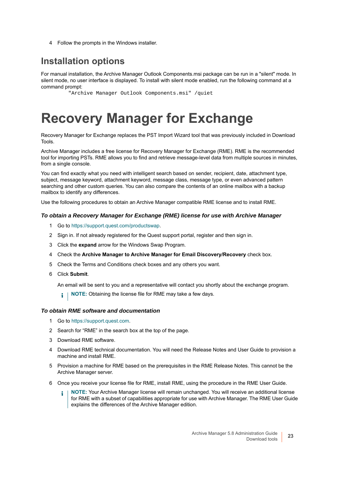4 Follow the prompts in the Windows installer.

### **Installation options**

For manual installation, the Archive Manager Outlook Components.msi package can be run in a "silent" mode. In silent mode, no user interface is displayed. To install with silent mode enabled, run the following command at a command prompt:

"Archive Manager Outlook Components.msi" /quiet

## <span id="page-22-0"></span>**Recovery Manager for Exchange**

Recovery Manager for Exchange replaces the PST Import Wizard tool that was previously included in Download Tools.

Archive Manager includes a free license for Recovery Manager for Exchange (RME). RME is the recommended tool for importing PSTs. RME allows you to find and retrieve message-level data from multiple sources in minutes, from a single console.

You can find exactly what you need with intelligent search based on sender, recipient, date, attachment type, subject, message keyword, attachment keyword, message class, message type, or even advanced pattern searching and other custom queries. You can also compare the contents of an online mailbox with a backup mailbox to identify any differences.

Use the following procedures to obtain an Archive Manager compatible RME license and to install RME.

#### *To obtain a Recovery Manager for Exchange (RME) license for use with Archive Manager*

- 1 Go to https://support.quest.com/productswap.
- 2 Sign in. If not already registered for the Quest support portal, register and then sign in.
- 3 Click the **expand** arrow for the Windows Swap Program.
- 4 Check the **Archive Manager to Archive Manager for Email Discovery/Recovery** check box.
- 5 Check the Terms and Conditions check boxes and any others you want.
- 6 Click **Submit**.

An email will be sent to you and a representative will contact you shortly about the exchange program.

**i** | NOTE: Obtaining the license file for RME may take a few days.

#### *To obtain RME software and documentation*

- 1 Go to https://support.quest.com.
- 2 Search for "RME" in the search box at the top of the page.
- 3 Download RME software.
- 4 Download RME technical documentation. You will need the Release Notes and User Guide to provision a machine and install RME.
- 5 Provision a machine for RME based on the prerequisites in the RME Release Notes. This cannot be the Archive Manager server.
- 6 Once you receive your license file for RME, install RME, using the procedure in the RME User Guide.
	- **NOTE:** Your Archive Manager license will remain unchanged. You will receive an additional license for RME with a subset of capabilities appropriate for use with Archive Manager. The RME User Guide explains the differences of the Archive Manager edition.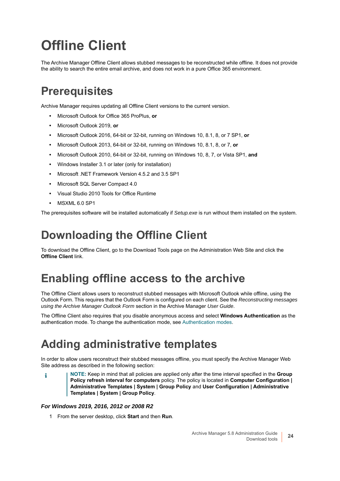# <span id="page-23-0"></span>**Offline Client**

The Archive Manager Offline Client allows stubbed messages to be reconstructed while offline. It does not provide the ability to search the entire email archive, and does not work in a pure Office 365 environment.

### <span id="page-23-1"></span>**Prerequisites**

Archive Manager requires updating all Offline Client versions to the current version.

- **•** Microsoft Outlook for Office 365 ProPlus, **or**
- **•** Microsoft Outlook 2019, **or**
- **•** Microsoft Outlook 2016, 64-bit or 32-bit, running on Windows 10, 8.1, 8, or 7 SP1, **or**
- **•** Microsoft Outlook 2013, 64-bit or 32-bit, running on Windows 10, 8.1, 8, or 7, **or**
- **•** Microsoft Outlook 2010, 64-bit or 32-bit, running on Windows 10, 8, 7, or Vista SP1, **and**
- **•** Windows Installer 3.1 or later (only for installation)
- **•** Microsoft .NET Framework Version 4.5.2 and 3.5 SP1
- **•** Microsoft SQL Server Compact 4.0
- **•** Visual Studio 2010 Tools for Office Runtime
- **•** MSXML 6.0 SP1

The prerequisites software will be installed automatically if *Setup.exe* is run without them installed on the system.

### <span id="page-23-2"></span>**Downloading the Offline Client**

To download the Offline Client, go to the Download Tools page on the Administration Web Site and click the **Offline Client link.** 

### <span id="page-23-3"></span>**Enabling offline access to the archive**

The Offline Client allows users to reconstruct stubbed messages with Microsoft Outlook while offline, using the Outlook Form. This requires that the Outlook Form is configured on each client. See the *Reconstructing messages using the Archive Manager Outlook Form* section in the Archive Manager *User Guide*.

The Offline Client also requires that you disable anonymous access and select **Windows Authentication** as the authentication mode. To change the authentication mode, see [Authentication modes](#page-11-1).

### <span id="page-23-4"></span>**Adding administrative templates**

In order to allow users reconstruct their stubbed messages offline, you must specify the Archive Manager Web Site address as described in the following section:

**NOTE:** Keep in mind that all policies are applied only after the time interval specified in the **Group Policy refresh interval for computers** policy. The policy is located in **Computer Configuration | Administrative Templates | System | Group Policy** and **User Configuration | Administrative Templates | System | Group Policy**.

#### *For Windows 2019, 2016, 2012 or 2008 R2*

1 From the server desktop, click **Start** and then **Run**.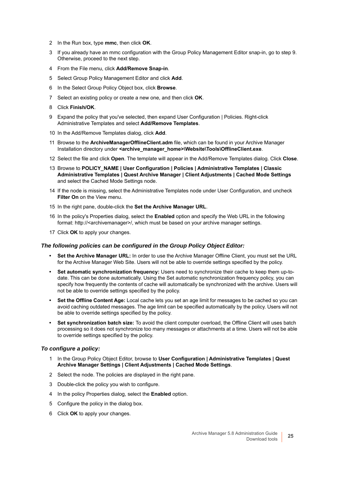- 2 In the Run box, type **mmc**, then click **OK**.
- 3 If you already have an mmc configuration with the Group Policy Management Editor snap-in, go to step 9. Otherwise, proceed to the next step.
- 4 From the File menu, click **Add/Remove Snap-in**.
- 5 Select Group Policy Management Editor and click **Add**.
- 6 In the Select Group Policy Object box, click **Browse**.
- 7 Select an existing policy or create a new one, and then click **OK**.
- 8 Click **Finish/OK**.
- 9 Expand the policy that you've selected, then expand User Configuration | Policies. Right-click Administrative Templates and select **Add/Remove Templates**.
- 10 In the Add/Remove Templates dialog, click **Add**.
- 11 Browse to the **ArchiveManagerOfflineClient.adm** file, which can be found in your Archive Manager Installation directory under **<archive\_manager\_home>\Website\Tools\OfflineClient.exe.**
- 12 Select the file and click **Open**. The template will appear in the Add/Remove Templates dialog. Click **Close**.
- 13 Browse to **POLICY\_NAME | User Configuration | Policies | Administrative Templates | Classic Administrative Templates | Quest Archive Manager | Client Adjustments | Cached Mode Settings** and select the Cached Mode Settings node.
- 14 If the node is missing, select the Administrative Templates node under User Configuration, and uncheck **Filter On** on the View menu.
- 15 In the right pane, double-click the **Set the Archive Manager URL**.
- 16 In the policy's Properties dialog, select the **Enabled** option and specify the Web URL in the following format: http://<archivemanager>/, which must be based on your archive manager settings.
- 17 Click **OK** to apply your changes.

#### *The following policies can be configured in the Group Policy Object Editor:*

- **Set the Archive Manager URL:** In order to use the Archive Manager Offline Client, you must set the URL for the Archive Manager Web Site. Users will not be able to override settings specified by the policy.
- **Set automatic synchronization frequency:** Users need to synchronize their cache to keep them up-todate. This can be done automatically. Using the Set automatic synchronization frequency policy, you can specify how frequently the contents of cache will automatically be synchronized with the archive. Users will not be able to override settings specified by the policy.
- **Set the Offline Content Age:** Local cache lets you set an age limit for messages to be cached so you can avoid caching outdated messages. The age limit can be specified automatically by the policy. Users will not be able to override settings specified by the policy.
- **Set synchronization batch size:** To avoid the client computer overload, the Offline Client will uses batch processing so it does not synchronize too many messages or attachments at a time. Users will not be able to override settings specified by the policy.

#### *To configure a policy:*

- 1 In the Group Policy Object Editor, browse to **User Configuration | Administrative Templates | Quest Archive Manager Settings | Client Adjustments | Cached Mode Settings**.
- 2 Select the node. The policies are displayed in the right pane.
- 3 Double-click the policy you wish to configure.
- 4 In the policy Properties dialog, select the **Enabled** option.
- 5 Configure the policy in the dialog box.
- 6 Click **OK** to apply your changes.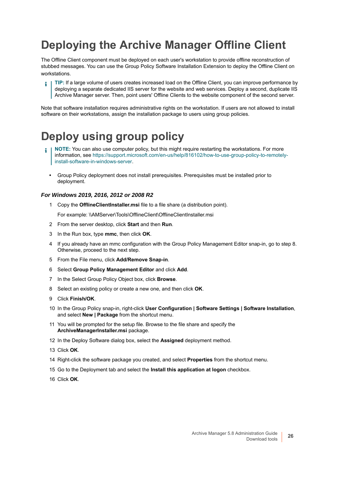## <span id="page-25-0"></span>**Deploying the Archive Manager Offline Client**

The Offline Client component must be deployed on each user's workstation to provide offline reconstruction of stubbed messages. You can use the Group Policy Software Installation Extension to deploy the Offline Client on workstations.

**TIP:** If a large volume of users creates increased load on the Offline Client, you can improve performance by deploying a separate dedicated IIS server for the website and web services. Deploy a second, duplicate IIS Archive Manager server. Then, point users' Offline Clients to the website component of the second server.

Note that software installation requires administrative rights on the workstation. If users are not allowed to install software on their workstations, assign the installation package to users using group policies.

## <span id="page-25-1"></span>**Deploy using group policy**

- **NOTE:** You can also use computer policy, but this might require restarting the workstations. For more information, see [https://support.microsoft.com/en-us/help/816102/how-to-use-group-policy-to-remotely](https://support.microsoft.com/en-us/help/816102/how-to-use-group-policy-to-remotely-install-software-in-windows-server)[install-software-in-windows-server](https://support.microsoft.com/en-us/help/816102/how-to-use-group-policy-to-remotely-install-software-in-windows-server).
	- **•** Group Policy deployment does not install prerequisites. Prerequisites must be installed prior to deployment.

#### *For Windows 2019, 2016, 2012 or 2008 R2*

1 Copy the **OfflineClientInstaller.msi** file to a file share (a distribution point).

For example: \\AMServer\Tools\OfflineClient\OfflineClientInstaller.msi

- 2 From the server desktop, click **Start** and then **Run**.
- 3 In the Run box, type **mmc**, then click **OK**.
- 4 If you already have an mmc configuration with the Group Policy Management Editor snap-in, go to step 8. Otherwise, proceed to the next step.
- 5 From the File menu, click **Add/Remove Snap-in**.
- 6 Select **Group Policy Management Editor** and click **Add**.
- 7 In the Select Group Policy Object box, click **Browse**.
- 8 Select an existing policy or create a new one, and then click **OK**.
- 9 Click **Finish/OK**.
- 10 In the Group Policy snap-in, right-click **User Configuration | Software Settings | Software Installation**, and select **New | Package** from the shortcut menu.
- 11 You will be prompted for the setup file. Browse to the file share and specify the **ArchiveManagerInstaller.msi** package.
- 12 In the Deploy Software dialog box, select the **Assigned** deployment method.
- 13 Click **OK**.
- 14 Right-click the software package you created, and select **Properties** from the shortcut menu.
- 15 Go to the Deployment tab and select the **Install this application at logon** checkbox.
- 16 Click **OK**.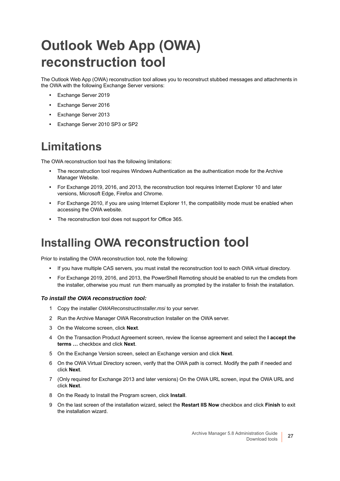# <span id="page-26-0"></span>**Outlook Web App (OWA) reconstruction tool**

The Outlook Web App (OWA) reconstruction tool allows you to reconstruct stubbed messages and attachments in the OWA with the following Exchange Server versions:

- **•** Exchange Server 2019
- **•** Exchange Server 2016
- **•** Exchange Server 2013
- **•** Exchange Server 2010 SP3 or SP2

### <span id="page-26-1"></span>**Limitations**

The OWA reconstruction tool has the following limitations:

- **•** The reconstruction tool requires Windows Authentication as the authentication mode for the Archive Manager Website.
- **•** For Exchange 2019, 2016, and 2013, the reconstruction tool requires Internet Explorer 10 and later versions, Microsoft Edge, Firefox and Chrome.
- **•** For Exchange 2010, if you are using Internet Explorer 11, the compatibility mode must be enabled when accessing the OWA website.
- **•** The reconstruction tool does not support for Office 365.

## <span id="page-26-2"></span>**Installing OWA reconstruction tool**

Prior to installing the OWA reconstruction tool, note the following:

- **•** If you have multiple CAS servers, you must install the reconstruction tool to each OWA virtual directory.
- **•** For Exchange 2019, 2016, and 2013, the PowerShell Remoting should be enabled to run the cmdlets from the installer, otherwise you must run them manually as prompted by the installer to finish the installation.

#### *To install the OWA reconstruction tool:*

- 1 Copy the installer *OWAReconstructInstaller.msi* to your server.
- 2 Run the Archive Manager OWA Reconstruction Installer on the OWA server.
- 3 On the Welcome screen, click **Next**.
- 4 On the Transaction Product Agreement screen, review the license agreement and select the **I accept the terms …** checkbox and click **Next**.
- 5 On the Exchange Version screen, select an Exchange version and click **Next**.
- 6 On the OWA Virtual Directory screen, verify that the OWA path is correct. Modify the path if needed and click **Next**.
- 7 (Only required for Exchange 2013 and later versions) On the OWA URL screen, input the OWA URL and click **Next**.
- 8 On the Ready to Install the Program screen, click **Install**.
- 9 On the last screen of the installation wizard, select the **Restart IIS Now** checkbox and click **Finish** to exit the installation wizard.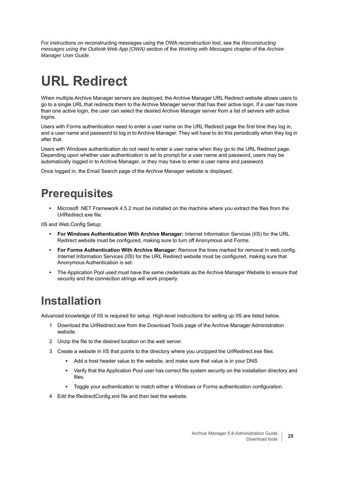For instructions on reconstructing messages using the OWA reconstruction tool, see the *Reconstructing messages using the Outlook Web App (OWA)* section of the *Working with Messages* chapter of the *Archive Manager User Guide*.

# <span id="page-27-0"></span>**URL Redirect**

When multiple Archive Manager servers are deployed, the Archive Manager URL Redirect website allows users to go to a single URL that redirects them to the Archive Manager server that has their active login. If a user has more than one active login, the user can select the desired Archive Manager server from a list of servers with active logins.

Users with Forms authentication need to enter a user name on the URL Redirect page the first time they log in, and a user name and password to log in to Archive Manager. They will have to do this periodically when they log in after that.

Users with Windows authentication do not need to enter a user name when they go to the URL Redirect page. Depending upon whether user authentication is set to prompt for a user name and password, users may be automatically logged in to Archive Manager, or they may have to enter a user name and password.

Once logged in, the Email Search page of the Archive Manager website is displayed.

## <span id="page-27-1"></span>**Prerequisites**

**•** Microsoft .NET Framework 4.5.2 must be installed on the machine where you extract the files from the UrlRedirect.exe file.

IIS and Web.Config Setup:

- **For Windows Authentication With Archive Manager:** Internet Information Services (IIS) for the URL Redirect website must be configured, making sure to turn off Anonymous and Forms.
- **For Forms Authentication With Archive Manager:** Remove the lines marked for removal in web.config. Internet Information Services (IIS) for the URL Redirect website must be configured, making sure that Anonymous Authentication is set.
- **•** The Application Pool used must have the same credentials as the Archive Manager Website to ensure that security and the connection strings will work properly.

## <span id="page-27-2"></span>**Installation**

Advanced knowledge of IIS is required for setup. High-level instructions for setting up IIS are listed below.

- 1 Download the UrlRedirect.exe from the Download Tools page of the Archive Manager Administration website.
- 2 Unzip the file to the desired location on the web server.
- 3 Create a website in IIS that points to the directory where you unzipped the UrlRedirect.exe files.
	- **▪** Add a host header value to the website, and make sure that value is in your DNS.
	- **▪** Verify that the Application Pool user has correct file system security on the installation directory and files.
	- **▪** Toggle your authentication to match either a Windows or Forms authentication configuration.
- 4 Edit the RedirectConfig.xml file and then test the website.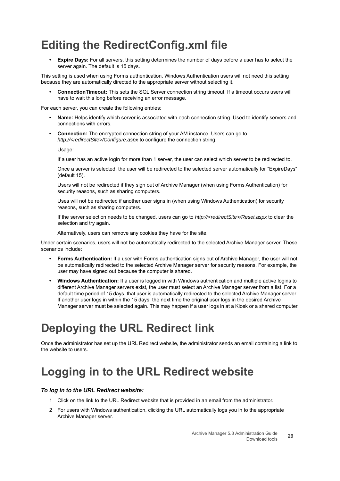## <span id="page-28-0"></span>**Editing the RedirectConfig.xml file**

**Expire Days:** For all servers, this setting determines the number of days before a user has to select the server again. The default is 15 days.

This setting is used when using Forms authentication. Windows Authentication users will not need this setting because they are automatically directed to the appropriate server without selecting it.

**• ConnectionTimeout:** This sets the SQL Server connection string timeout. If a timeout occurs users will have to wait this long before receiving an error message.

For each server, you can create the following entries:

- **Name:** Helps identify which server is associated with each connection string. Used to identify servers and connections with errors.
- **Connection:** The encrypted connection string of your AM instance. Users can go to *http://<redirectSite>/Configure.aspx* to configure the connection string.

Usage:

If a user has an active login for more than 1 server, the user can select which server to be redirected to.

Once a server is selected, the user will be redirected to the selected server automatically for "ExpireDays" (default 15).

Users will not be redirected if they sign out of Archive Manager (when using Forms Authentication) for security reasons, such as sharing computers.

Uses will not be redirected if another user signs in (when using Windows Authentication) for security reasons, such as sharing computers.

If the server selection needs to be changed, users can go to *http://<redirectSite>/Reset.aspx* to clear the selection and try again.

Alternatively, users can remove any cookies they have for the site.

Under certain scenarios, users will not be automatically redirected to the selected Archive Manager server. These scenarios include:

- **Forms Authentication:** If a user with Forms authentication signs out of Archive Manager, the user will not be automatically redirected to the selected Archive Manager server for security reasons. For example, the user may have signed out because the computer is shared.
- **Windows Authentication:** If a user is logged in with Windows authentication and multiple active logins to different Archive Manager servers exist, the user must select an Archive Manager server from a list. For a default time period of 15 days, that user is automatically redirected to the selected Archive Manager server. If another user logs in within the 15 days, the next time the original user logs in the desired Archive Manager server must be selected again. This may happen if a user logs in at a Kiosk or a shared computer.

### <span id="page-28-1"></span>**Deploying the URL Redirect link**

Once the administrator has set up the URL Redirect website, the administrator sends an email containing a link to the website to users.

## <span id="page-28-2"></span>**Logging in to the URL Redirect website**

#### *To log in to the URL Redirect website:*

- 1 Click on the link to the URL Redirect website that is provided in an email from the administrator.
- 2 For users with Windows authentication, clicking the URL automatically logs you in to the appropriate Archive Manager server.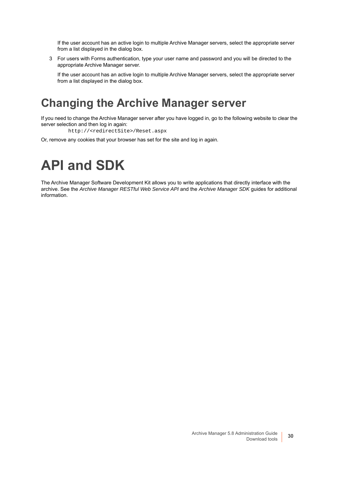If the user account has an active login to multiple Archive Manager servers, select the appropriate server from a list displayed in the dialog box.

3 For users with Forms authentication, type your user name and password and you will be directed to the appropriate Archive Manager server.

If the user account has an active login to multiple Archive Manager servers, select the appropriate server from a list displayed in the dialog box.

### <span id="page-29-0"></span>**Changing the Archive Manager server**

If you need to change the Archive Manager server after you have logged in, go to the following website to clear the server selection and then log in again:

http://<redirectSite>/Reset.aspx

Or, remove any cookies that your browser has set for the site and log in again.

## <span id="page-29-1"></span>**API and SDK**

The Archive Manager Software Development Kit allows you to write applications that directly interface with the archive. See the *Archive Manager RESTful Web Service API* and the *Archive Manager SDK* guides for additional information.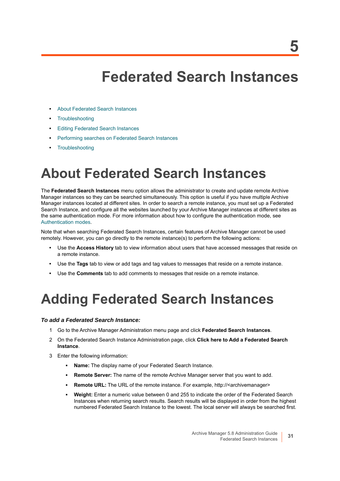## **Federated Search Instances**

- <span id="page-30-0"></span>**•** [About Federated Search Instances](#page-30-1)
- **•** [Troubleshooting](#page-31-2)
- **•** [Editing Federated Search Instances](#page-31-0)
- **•** [Performing searches on Federated Search Instances](#page-31-1)
- **•** [Troubleshooting](#page-31-2)

## <span id="page-30-1"></span>**About Federated Search Instances**

The **Federated Search Instances** menu option allows the administrator to create and update remote Archive Manager instances so they can be searched simultaneously. This option is useful if you have multiple Archive Manager instances located at different sites. In order to search a remote instance, you must set up a Federated Search Instance, and configure all the websites launched by your Archive Manager instances at different sites as the same authentication mode. For more information about how to configure the authentication mode, see [Authentication modes](#page-11-1).

Note that when searching Federated Search Instances, certain features of Archive Manager cannot be used remotely. However, you can go directly to the remote instance(s) to perform the following actions:

- **•** Use the **Access History** tab to view information about users that have accessed messages that reside on a remote instance.
- **•** Use the **Tags** tab to view or add tags and tag values to messages that reside on a remote instance.
- **•** Use the **Comments** tab to add comments to messages that reside on a remote instance.

## <span id="page-30-2"></span>**Adding Federated Search Instances**

#### *To add a Federated Search Instance:*

- 1 Go to the Archive Manager Administration menu page and click **Federated Search Instances**.
- 2 On the Federated Search Instance Administration page, click **Click here to Add a Federated Search Instance**.
- 3 Enter the following information:
	- Name: The display name of your Federated Search Instance.
	- **Remote Server:** The name of the remote Archive Manager server that you want to add.
	- **Remote URL:** The URL of the remote instance. For example, http://<archivemanager>
	- **Weight:** Enter a numeric value between 0 and 255 to indicate the order of the Federated Search Instances when returning search results. Search results will be displayed in order from the highest numbered Federated Search Instance to the lowest. The local server will always be searched first.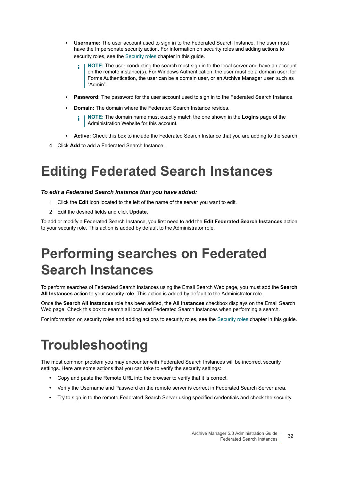- **Username:** The user account used to sign in to the Federated Search Instance. The user must have the Impersonate security action. For information on security roles and adding actions to security roles, see the [Security roles](#page-49-4) chapter in this guide.
	- **NOTE:** The user conducting the search must sign in to the local server and have an account on the remote instance(s). For Windows Authentication, the user must be a domain user; for Forms Authentication, the user can be a domain user, or an Archive Manager user, such as "Admin".
- **Password:** The password for the user account used to sign in to the Federated Search Instance.
- **Domain:** The domain where the Federated Search Instance resides.
	- **NOTE:** The domain name must exactly match the one shown in the **Logins** page of the f Administration Website for this account.
- **Active:** Check this box to include the Federated Search Instance that you are adding to the search.
- 4 Click **Add** to add a Federated Search Instance.

## <span id="page-31-0"></span>**Editing Federated Search Instances**

#### *To edit a Federated Search Instance that you have added:*

- 1 Click the **Edit** icon located to the left of the name of the server you want to edit.
- 2 Edit the desired fields and click **Update**.

To add or modify a Federated Search Instance, you first need to add the **Edit Federated Search Instances** action to your security role. This action is added by default to the Administrator role.

## <span id="page-31-1"></span>**Performing searches on Federated Search Instances**

To perform searches of Federated Search Instances using the Email Search Web page, you must add the **Search All Instances** action to your security role. This action is added by default to the Administrator role.

Once the **Search All Instances** role has been added, the **All Instances** checkbox displays on the Email Search Web page. Check this box to search all local and Federated Search Instances when performing a search.

For information on security roles and adding actions to security roles, see the [Security roles](#page-49-4) chapter in this guide.

## <span id="page-31-2"></span>**Troubleshooting**

The most common problem you may encounter with Federated Search Instances will be incorrect security settings. Here are some actions that you can take to verify the security settings:

- **•** Copy and paste the Remote URL into the browser to verify that it is correct.
- **•** Verify the Username and Password on the remote server is correct in Federated Search Server area.
- **•** Try to sign in to the remote Federated Search Server using specified credentials and check the security.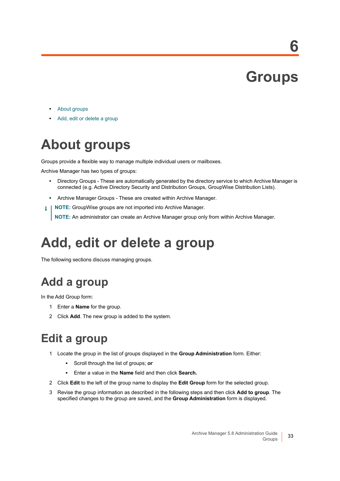# **Groups**

**6**

- <span id="page-32-0"></span>**•** [About groups](#page-32-1)
- **•** [Add, edit or delete a group](#page-32-2)

# <span id="page-32-1"></span>**About groups**

Groups provide a flexible way to manage multiple individual users or mailboxes.

Archive Manager has two types of groups:

- **•** Directory Groups These are automatically generated by the directory service to which Archive Manager is connected (e.g. Active Directory Security and Distribution Groups, GroupWise Distribution Lists).
- **•** Archive Manager Groups These are created within Archive Manager.
- **NOTE:** GroupWise groups are not imported into Archive Manager. ÷

**NOTE:** An administrator can create an Archive Manager group only from within Archive Manager.

## <span id="page-32-2"></span>**Add, edit or delete a group**

The following sections discuss managing groups.

## <span id="page-32-3"></span>**Add a group**

In the Add Group form:

- 1 Enter a **Name** for the group.
- 2 Click **Add**. The new group is added to the system.

### <span id="page-32-4"></span>**Edit a group**

- 1 Locate the group in the list of groups displayed in the **Group Administration** form. Either:
	- **▪** Scroll through the list of groups; *or*
	- **▪** Enter a value in the **Name** field and then click **Search.**
- 2 Click **Edit** to the left of the group name to display the **Edit Group** form for the selected group.
- 3 Revise the group information as described in the following steps and then click **Add to group**. The specified changes to the group are saved, and the **Group Administration** form is displayed.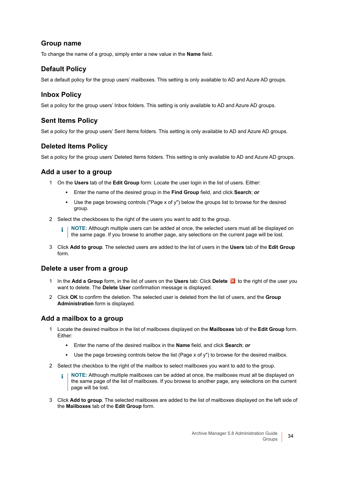#### **Group name**

To change the name of a group, simply enter a new value in the **Name** field.

#### **Default Policy**

Set a default policy for the group users' mailboxes. This setting is only available to AD and Azure AD groups.

#### **Inbox Policy**

Set a policy for the group users' Inbox folders. This setting is only available to AD and Azure AD groups.

### **Sent Items Policy**

Set a policy for the group users' Sent Items folders. This setting is only available to AD and Azure AD groups.

### **Deleted Items Policy**

Set a policy for the group users' Deleted Items folders. This setting is only available to AD and Azure AD groups.

#### **Add a user to a group**

- 1 On the **Users** tab of the **Edit Group** form: Locate the user login in the list of users. Either:
	- **▪** Enter the name of the desired group in the **Find Group** field, and click **Search**; *or*
	- **▪** Use the page browsing controls ("Page x of y") below the groups list to browse for the desired group.
- 2 Select the checkboxes to the right of the users you want to add to the group.
	- **NOTE:** Although multiple users can be added at once, the selected users must all be displayed on î. the same page. If you browse to another page, any selections on the current page will be lost.
- 3 Click **Add to group**. The selected users are added to the list of users in the **Users** tab of the **Edit Group**  form.

#### **Delete a user from a group**

- 1 In the **Add a Group** form, in the list of users on the **Users** tab: Click **Delete** to the right of the user you want to delete. The **Delete User** confirmation message is displayed.
- 2 Click **OK** to confirm the deletion. The selected user is deleted from the list of users, and the **Group Administration** form is displayed.

#### **Add a mailbox to a group**

- 1 Locate the desired mailbox in the list of mailboxes displayed on the **Mailboxes** tab of the **Edit Group** form. Either:
	- **▪** Enter the name of the desired mailbox in the **Name** field, and click **Search**; *or*
	- **▪** Use the page browsing controls below the list (Page x of y") to browse for the desired mailbox.
- 2 Select the checkbox to the right of the mailbox to select mailboxes you want to add to the group.
	- **NOTE:** Although multiple mailboxes can be added at once, the mailboxes must all be displayed on ÷ the same page of the list of mailboxes. If you browse to another page, any selections on the current page will be lost.
- 3 Click **Add to group**. The selected mailboxes are added to the list of mailboxes displayed on the left side of the **Mailboxes** tab of the **Edit Group** form.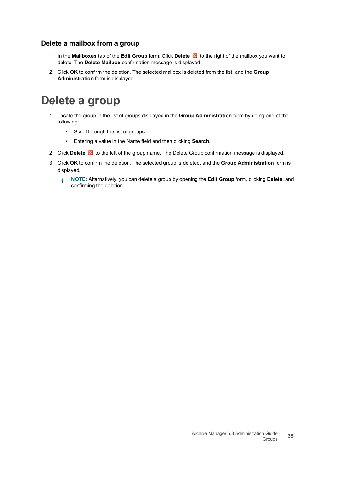#### **Delete a mailbox from a group**

- 1 In the **Mailboxes** tab of the **Edit Group** form: Click **Delete** to the right of the mailbox you want to delete. The **Delete Mailbox** confirmation message is displayed.
- 2 Click **OK** to confirm the deletion. The selected mailbox is deleted from the list, and the **Group Administration** form is displayed.

### <span id="page-34-0"></span>**Delete a group**

- 1 Locate the group in the list of groups displayed in the **Group Administration** form by doing one of the following:
	- **▪** Scroll through the list of groups.
	- **▪** Entering a value in the Name field and then clicking **Search.**
- 2 Click **Delete X** to the left of the group name. The Delete Group confirmation message is displayed.
- 3 Click **OK** to confirm the deletion. The selected group is deleted, and the **Group Administration** form is displayed.

**NOTE:** Alternatively, you can delete a group by opening the **Edit Group** form, clicking **Delete**, and  $\mathbf{i}$ confirming the deletion.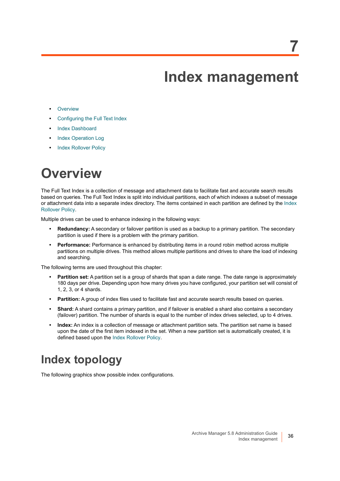## **Index management**

- <span id="page-35-0"></span>**•** [Overview](#page-35-1)
- **•** [Configuring the Full Text Index](#page-37-0)
- **•** [Index Dashboard](#page-37-1)
- **•** [Index Operation Log](#page-41-0)
- **•** [Index Rollover Policy](#page-42-0)

## <span id="page-35-1"></span>**Overview**

The Full Text Index is a collection of message and attachment data to facilitate fast and accurate search results based on queries. The Full Text Index is split into individual partitions, each of which indexes a subset of message or attachment data into a separate index directory. The items contained in each partition are defined by the [Index](#page-42-0)  [Rollover Policy](#page-42-0).

Multiple drives can be used to enhance indexing in the following ways:

- **Redundancy:** A secondary or failover partition is used as a backup to a primary partition. The secondary partition is used if there is a problem with the primary partition.
- **Performance:** Performance is enhanced by distributing items in a round robin method across multiple partitions on multiple drives. This method allows multiple partitions and drives to share the load of indexing and searching.

The following terms are used throughout this chapter:

- **Partition set:** A partition set is a group of shards that span a date range. The date range is approximately 180 days per drive. Depending upon how many drives you have configured, your partition set will consist of 1, 2, 3, or 4 shards.
- **Partition:** A group of index files used to facilitate fast and accurate search results based on queries.
- **Shard:** A shard contains a primary partition, and if failover is enabled a shard also contains a secondary (failover) partition. The number of shards is equal to the number of index drives selected, up to 4 drives.
- **Index:** An index is a collection of message or attachment partition sets. The partition set name is based upon the date of the first item indexed in the set. When a new partition set is automatically created, it is defined based upon the [Index Rollover Policy](#page-42-0).

### <span id="page-35-2"></span>**Index topology**

The following graphics show possible index configurations.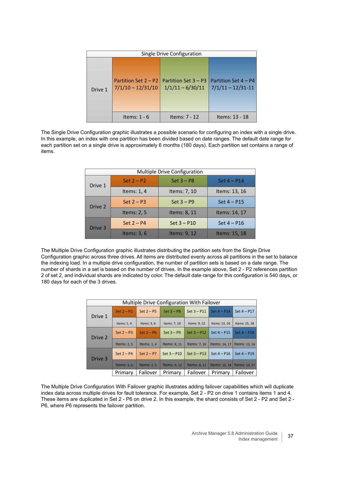| Single Drive Configuration |                                             |                                            |                                             |  |
|----------------------------|---------------------------------------------|--------------------------------------------|---------------------------------------------|--|
| Drive 1                    | Partition Set 2 – P2<br>$7/1/10 - 12/31/10$ | Partition Set 3 – P3<br>$1/1/11 - 6/30/11$ | Partition Set 4 – P4<br>$7/1/11 - 12/31-11$ |  |
|                            | Items: $1 - 6$                              | Items: 7 - 12                              | Items: 13 - 18                              |  |

The Single Drive Configuration graphic illustrates a possible scenario for configuring an index with a single drive. In this example, an index with one partition has been divided based on date ranges. The default date range for each partition set on a single drive is approximately 6 months (180 days). Each partition set contains a range of items.

| Multiple Drive Configuration |               |               |               |  |
|------------------------------|---------------|---------------|---------------|--|
| Drive 1                      | Set $2 - P2$  | $Set 3 - P8$  | Set $4 - P14$ |  |
|                              | Items: $1, 4$ | Items: 7, 10  | Items: 13, 16 |  |
| Drive 2                      | $Set 2 - P3$  | $Set 3 - P9$  | Set $4 - P15$ |  |
|                              | Items: $2, 5$ | Items: 8, 11  | Items: 14, 17 |  |
| Drive 3                      | Set $2 - P4$  | Set $3 - P10$ | Set $4 - P16$ |  |
|                              | Items: $3, 6$ | Items: 9, 12  | Items: 15, 18 |  |

The Multiple Drive Configuration graphic illustrates distributing the partition sets from the Single Drive Configuration graphic across three drives. All items are distributed evenly across all partitions in the set to balance the indexing load. In a multiple drive configuration, the number of partition sets is based on a date range. The number of shards in a set is based on the number of drives. In the example above, Set 2 - P2 references partition 2 of set 2, and individual shards are indicated by color. The default date range for this configuration is 540 days, or 180 days for each of the 3 drives.

| Multiple Drive Configuration With Failover |              |              |               |               |               |               |
|--------------------------------------------|--------------|--------------|---------------|---------------|---------------|---------------|
| Drive 1                                    | Set $2 - P2$ | Set $2 - P5$ | $Set 3 - P8$  | Set $3 - P11$ | Set $4 - P14$ | Set $4 - P17$ |
|                                            | Items: 1, 4  | Items: 3, 6  | Items: 7, 10  | Items: 9, 12  | Items: 13, 16 | Items: 15, 18 |
| Drive 2                                    | Set $2 - P3$ | Set $2 - P6$ | $Set 3 - P9$  | $Set 3 - P12$ | Set $4 - P15$ | $Set 4 - P18$ |
|                                            | Items: 2, 5  | Items: $1.4$ | Items: 8, 11  | Items: 7, 10  | Items: 14, 17 | Items: 13, 16 |
| Drive 3                                    | Set $2 - P4$ | Set $2 - P7$ | $Set 3 - P10$ | Set $3 - P13$ | Set $4 - P16$ | Set $4 - P19$ |
|                                            | Items: $3.6$ | Items: 2.5   | Items: 9, 12  | Items: 8, 11  | Items: 15, 18 | Items: 14, 17 |
|                                            | Primary      | Failover     | Primary       | Failover      | Primary       | Failover      |

The Multiple Drive Configuration With Failover graphic illustrates adding failover capabilities which will duplicate index data across multiple drives for fault tolerance. For example, Set 2 - P2 on drive 1 contains items 1 and 4. These items are duplicated in Set 2 - P6 on drive 2. In this example, the shard consists of Set 2 - P2 and Set 2 - P6, where P6 represents the failover partition.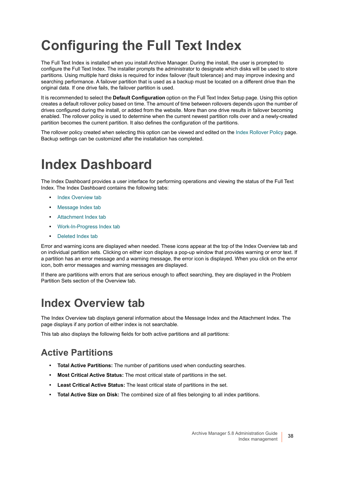# **Configuring the Full Text Index**

The Full Text Index is installed when you install Archive Manager. During the install, the user is prompted to configure the Full Text Index. The installer prompts the administrator to designate which disks will be used to store partitions. Using multiple hard disks is required for index failover (fault tolerance) and may improve indexing and searching performance. A failover partition that is used as a backup must be located on a different drive than the original data. If one drive fails, the failover partition is used.

It is recommended to select the **Default Configuration** option on the Full Text Index Setup page. Using this option creates a default rollover policy based on time. The amount of time between rollovers depends upon the number of drives configured during the install, or added from the website. More than one drive results in failover becoming enabled. The rollover policy is used to determine when the current newest partition rolls over and a newly-created partition becomes the current partition. It also defines the configuration of the partitions.

The rollover policy created when selecting this option can be viewed and edited on the [Index Rollover Policy](#page-42-0) page. Backup settings can be customized after the installation has completed.

### **Index Dashboard**

The Index Dashboard provides a user interface for performing operations and viewing the status of the Full Text Index. The Index Dashboard contains the following tabs:

- **•** [Index Overview tab](#page-37-0)
- **•** [Message Index tab](#page-38-0)
- **•** [Attachment Index tab](#page-38-1)
- **•** [Work-In-Progress Index tab](#page-39-0)
- **•** [Deleted Index tab](#page-39-1)

Error and warning icons are displayed when needed. These icons appear at the top of the Index Overview tab and on individual partition sets. Clicking on either icon displays a pop-up window that provides warning or error text. If a partition has an error message and a warning message, the error icon is displayed. When you click on the error icon, both error messages and warning messages are displayed.

If there are partitions with errors that are serious enough to affect searching, they are displayed in the Problem Partition Sets section of the Overview tab.

### <span id="page-37-0"></span>**Index Overview tab**

The Index Overview tab displays general information about the Message Index and the Attachment Index. The page displays if any portion of either index is not searchable.

This tab also displays the following fields for both active partitions and all partitions:

### **Active Partitions**

- **Total Active Partitions:** The number of partitions used when conducting searches.
- **Most Critical Active Status:** The most critical state of partitions in the set.
- **Least Critical Active Status:** The least critical state of partitions in the set.
- **Total Active Size on Disk:** The combined size of all files belonging to all index partitions.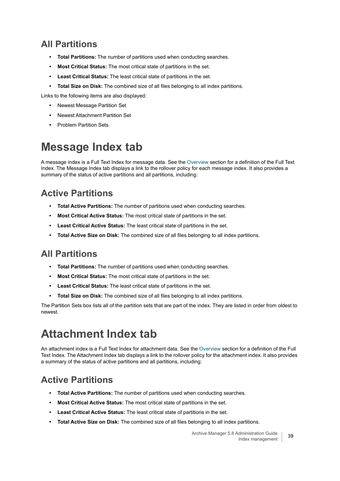### **All Partitions**

- **Total Partitions:** The number of partitions used when conducting searches.
- **Most Critical Status:** The most critical state of partitions in the set.
- **Least Critical Status:** The least critical state of partitions in the set.
- **Total Size on Disk:** The combined size of all files belonging to all index partitions.

Links to the following items are also displayed:

- **•** Newest Message Partition Set
- **•** Newest Attachment Partition Set
- **•** Problem Partition Sets

### <span id="page-38-0"></span>**Message Index tab**

A message index is a Full Text Index for message data. See the [Overview](#page-35-0) section for a definition of the Full Text Index. The Message Index tab displays a link to the rollover policy for each message index. It also provides a summary of the status of active partitions and all partitions, including:

### **Active Partitions**

- **Total Active Partitions:** The number of partitions used when conducting searches.
- **Most Critical Active Status:** The most critical state of partitions in the set.
- **Least Critical Active Status:** The least critical state of partitions in the set.
- **Total Active Size on Disk:** The combined size of all files belonging to all index partitions.

### **All Partitions**

- **Total Partitions:** The number of partitions used when conducting searches.
- **Most Critical Status:** The most critical state of partitions in the set.
- **Least Critical Status:** The least critical state of partitions in the set.
- **Total Size on Disk:** The combined size of all files belonging to all index partitions.

The Partition Sets box lists all of the partition sets that are part of the index. They are listed in order from oldest to newest.

### <span id="page-38-1"></span>**Attachment Index tab**

An attachment index is a Full Text Index for attachment data. See the [Overview](#page-35-0) section for a definition of the Full Text Index. The Attachment Index tab displays a link to the rollover policy for the attachment index. It also provides a summary of the status of active partitions and all partitions, including:

### **Active Partitions**

- **Total Active Partitions:** The number of partitions used when conducting searches.
- **Most Critical Active Status:** The most critical state of partitions in the set.
- **Least Critical Active Status:** The least critical state of partitions in the set.
- **Total Active Size on Disk:** The combined size of all files belonging to all index partitions.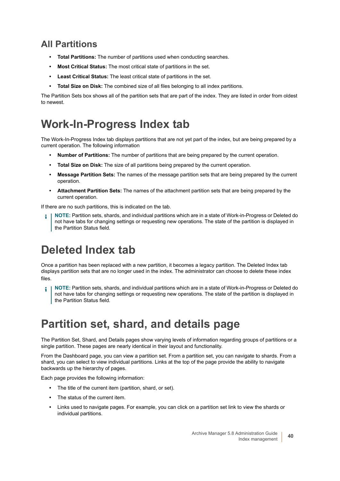### **All Partitions**

- **Total Partitions:** The number of partitions used when conducting searches.
- **Most Critical Status:** The most critical state of partitions in the set.
- **Least Critical Status:** The least critical state of partitions in the set.
- **Total Size on Disk:** The combined size of all files belonging to all index partitions.

The Partition Sets box shows all of the partition sets that are part of the index. They are listed in order from oldest to newest.

### <span id="page-39-0"></span>**Work-In-Progress Index tab**

The Work-In-Progress Index tab displays partitions that are not yet part of the index, but are being prepared by a current operation. The following information

- **Number of Partitions:** The number of partitions that are being prepared by the current operation.
- **Total Size on Disk:** The size of all partitions being prepared by the current operation.
- **Message Partition Sets:** The names of the message partition sets that are being prepared by the current operation.
- **Attachment Partition Sets:** The names of the attachment partition sets that are being prepared by the current operation.

If there are no such partitions, this is indicated on the tab.

**NOTE:** Partition sets, shards, and individual partitions which are in a state of Work-in-Progress or Deleted do not have tabs for changing settings or requesting new operations. The state of the partition is displayed in the Partition Status field.

### <span id="page-39-1"></span>**Deleted Index tab**

Once a partition has been replaced with a new partition, it becomes a legacy partition. The Deleted Index tab displays partition sets that are no longer used in the index. The administrator can choose to delete these index files.

**NOTE:** Partition sets, shards, and individual partitions which are in a state of Work-in-Progress or Deleted do ÷ not have tabs for changing settings or requesting new operations. The state of the partition is displayed in the Partition Status field.

### **Partition set, shard, and details page**

The Partition Set, Shard, and Details pages show varying levels of information regarding groups of partitions or a single partition. These pages are nearly identical in their layout and functionality.

From the Dashboard page, you can view a partition set. From a partition set, you can navigate to shards. From a shard, you can select to view individual partitions. Links at the top of the page provide the ability to navigate backwards up the hierarchy of pages.

Each page provides the following information:

- **•** The title of the current item (partition, shard, or set).
- **•** The status of the current item.
- **•** Links used to navigate pages. For example, you can click on a partition set link to view the shards or individual partitions.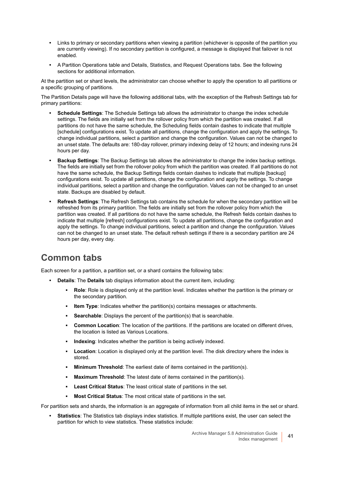- **•** Links to primary or secondary partitions when viewing a partition (whichever is opposite of the partition you are currently viewing). If no secondary partition is configured, a message is displayed that failover is not enabled.
- **•** A Partition Operations table and Details, Statistics, and Request Operations tabs. See the following sections for additional information.

At the partition set or shard levels, the administrator can choose whether to apply the operation to all partitions or a specific grouping of partitions.

The Partition Details page will have the following additional tabs, with the exception of the Refresh Settings tab for primary partitions:

- **Schedule Settings**: The Schedule Settings tab allows the administrator to change the index schedule settings. The fields are initially set from the rollover policy from which the partition was created. If all partitions do not have the same schedule, the Scheduling fields contain dashes to indicate that multiple [schedule] configurations exist. To update all partitions, change the configuration and apply the settings. To change individual partitions, select a partition and change the configuration. Values can not be changed to an unset state. The defaults are: 180-day rollover, primary indexing delay of 12 hours; and indexing runs 24 hours per day.
- **Backup Settings**: The Backup Settings tab allows the administrator to change the index backup settings. The fields are initially set from the rollover policy from which the partition was created. If all partitions do not have the same schedule, the Backup Settings fields contain dashes to indicate that multiple [backup] configurations exist. To update all partitions, change the configuration and apply the settings. To change individual partitions, select a partition and change the configuration. Values can not be changed to an unset state. Backups are disabled by default.
- **Refresh Settings**: The Refresh Settings tab contains the schedule for when the secondary partition will be refreshed from its primary partition. The fields are initially set from the rollover policy from which the partition was created. If all partitions do not have the same schedule, the Refresh fields contain dashes to indicate that multiple [refresh] configurations exist. To update all partitions, change the configuration and apply the settings. To change individual partitions, select a partition and change the configuration. Values can not be changed to an unset state. The default refresh settings if there is a secondary partition are 24 hours per day, every day.

### **Common tabs**

Each screen for a partition, a partition set, or a shard contains the following tabs:

- **Details**: The **Details** tab displays information about the current item, including:
	- **Role**: Role is displayed only at the partition level. Indicates whether the partition is the primary or the secondary partition.
	- **Item Type**: Indicates whether the partition(s) contains messages or attachments.
	- **Searchable**: Displays the percent of the partition(s) that is searchable.
	- **Common Location:** The location of the partitions. If the partitions are located on different drives, the location is listed as Various Locations.
	- **Indexing:** Indicates whether the partition is being actively indexed.
	- **Location**: Location is displayed only at the partition level. The disk directory where the index is stored.
	- **Minimum Threshold:** The earliest date of items contained in the partition(s).
	- **Maximum Threshold:** The latest date of items contained in the partition(s).
	- **Least Critical Status:** The least critical state of partitions in the set.
	- **Most Critical Status**: The most critical state of partitions in the set.

For partition sets and shards, the information is an aggregate of information from all child items in the set or shard.

**• Statistics**: The Statistics tab displays index statistics. If multiple partitions exist, the user can select the partition for which to view statistics. These statistics include: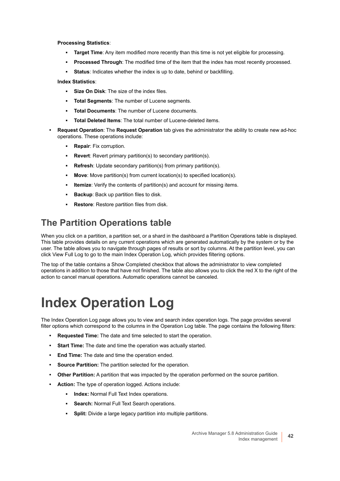**Processing Statistics**:

- **Target Time**: Any item modified more recently than this time is not yet eligible for processing.
- **Processed Through**: The modified time of the item that the index has most recently processed.
- **Status:** Indicates whether the index is up to date, behind or backfilling.

**Index Statistics**:

- **Size On Disk: The size of the index files.**
- **Total Segments: The number of Lucene segments.**
- **Total Documents: The number of Lucene documents.**
- **Total Deleted Items: The total number of Lucene-deleted items.**
- **Request Operation**: The **Request Operation** tab gives the administrator the ability to create new ad-hoc operations. These operations include:
	- **Repair: Fix corruption.**
	- **Revert:** Revert primary partition(s) to secondary partition(s).
	- **Refresh:** Update secondary partition(s) from primary partition(s).
	- **Move**: Move partition(s) from current location(s) to specified location(s).
	- **Itemize:** Verify the contents of partition(s) and account for missing items.
	- **Backup**: Back up partition files to disk.
	- **Restore:** Restore partition files from disk.

### **The Partition Operations table**

When you click on a partition, a partition set, or a shard in the dashboard a Partition Operations table is displayed. This table provides details on any current operations which are generated automatically by the system or by the user. The table allows you to navigate through pages of results or sort by columns. At the partition level, you can click View Full Log to go to the main Index Operation Log, which provides filtering options.

The top of the table contains a Show Completed checkbox that allows the administrator to view completed operations in addition to those that have not finished. The table also allows you to click the red X to the right of the action to cancel manual operations. Automatic operations cannot be canceled.

# **Index Operation Log**

The Index Operation Log page allows you to view and search index operation logs. The page provides several filter options which correspond to the columns in the Operation Log table. The page contains the following filters:

- **Requested Time:** The date and time selected to start the operation.
- **Start Time:** The date and time the operation was actually started.
- **End Time:** The date and time the operation ended.
- **Source Partition:** The partition selected for the operation.
- **Other Partition:** A partition that was impacted by the operation performed on the source partition.
- **Action:** The type of operation logged. Actions include:
	- **Index:** Normal Full Text Index operations.
	- **Search: Normal Full Text Search operations.**
	- **Split:** Divide a large legacy partition into multiple partitions.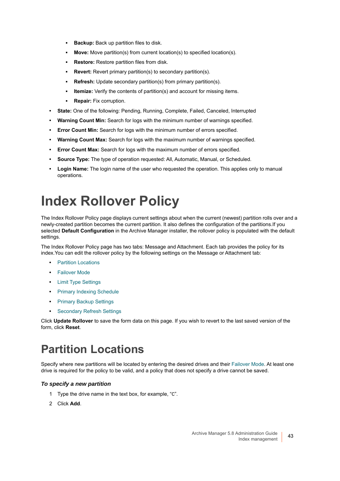- **<b>• Backup:** Back up partition files to disk.
- **Move:** Move partition(s) from current location(s) to specified location(s).
- **Restore:** Restore partition files from disk.
- **Revert:** Revert primary partition(s) to secondary partition(s).
- **Refresh:** Update secondary partition(s) from primary partition(s).
- **.** Itemize: Verify the contents of partition(s) and account for missing items.
- **Repair:** Fix corruption.
- **State:** One of the following: Pending, Running, Complete, Failed, Canceled, Interrupted
- **Warning Count Min:** Search for logs with the minimum number of warnings specified.
- **Error Count Min:** Search for logs with the minimum number of errors specified.
- **Warning Count Max:** Search for logs with the maximum number of warnings specified.
- **Error Count Max:** Search for logs with the maximum number of errors specified.
- **Source Type:** The type of operation requested: All, Automatic, Manual, or Scheduled.
- **Login Name:** The login name of the user who requested the operation. This applies only to manual operations.

# <span id="page-42-0"></span>**Index Rollover Policy**

The Index Rollover Policy page displays current settings about when the current (newest) partition rolls over and a newly-created partition becomes the current partition. It also defines the configuration of the partitions.If you selected **Default Configuration** in the Archive Manager installer, the rollover policy is populated with the default settings.

The Index Rollover Policy page has two tabs: Message and Attachment. Each tab provides the policy for its index.You can edit the rollover policy by the following settings on the Message or Attachment tab:

- **•** [Partition Locations](#page-42-1)
- **•** [Failover Mode](#page-43-4)
- **•** [Limit Type Settings](#page-43-0)
- **•** [Primary Indexing Schedule](#page-43-1)
- **•** [Primary Backup Settings](#page-43-2)
- **•** [Secondary Refresh Settings](#page-43-3)

Click **Update Rollover** to save the form data on this page. If you wish to revert to the last saved version of the form, click **Reset**.

### <span id="page-42-1"></span>**Partition Locations**

Specify where new partitions will be located by entering the desired drives and their [Failover Mode.](#page-43-4) At least one drive is required for the policy to be valid, and a policy that does not specify a drive cannot be saved.

#### *To specify a new partition*

- 1 Type the drive name in the text box, for example, "C".
- 2 Click **Add**.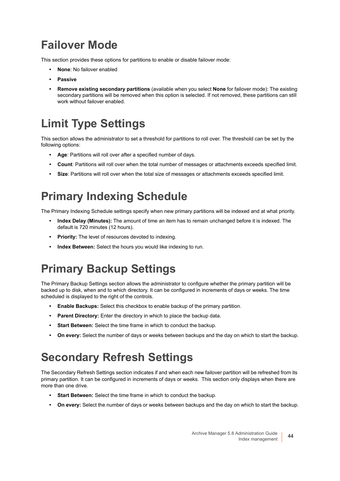### <span id="page-43-4"></span>**Failover Mode**

This section provides these options for partitions to enable or disable failover mode:

- **None**: No failover enabled
- **Passive**
- **Remove existing secondary partitions** (available when you select **None** for failover mode): The existing secondary partitions will be removed when this option is selected. If not removed, these partitions can still work without failover enabled.

### <span id="page-43-0"></span>**Limit Type Settings**

This section allows the administrator to set a threshold for partitions to roll over. The threshold can be set by the following options:

- **Age**: Partitions will roll over after a specified number of days.
- **Count**: Partitions will roll over when the total number of messages or attachments exceeds specified limit.
- **Size**: Partitions will roll over when the total size of messages or attachments exceeds specified limit.

### <span id="page-43-1"></span>**Primary Indexing Schedule**

The Primary Indexing Schedule settings specify when new primary partitions will be indexed and at what priority.

- **Index Delay (Minutes):** The amount of time an item has to remain unchanged before it is indexed. The default is 720 minutes (12 hours).
- **Priority:** The level of resources devoted to indexing.
- **Index Between:** Select the hours you would like indexing to run.

### <span id="page-43-2"></span>**Primary Backup Settings**

The Primary Backup Settings section allows the administrator to configure whether the primary partition will be backed up to disk, when and to which directory. It can be configured in increments of days or weeks. The time scheduled is displayed to the right of the controls.

- **Enable Backups:** Select this checkbox to enable backup of the primary partition.
- **Parent Directory:** Enter the directory in which to place the backup data.
- **Start Between:** Select the time frame in which to conduct the backup.
- **On every:** Select the number of days or weeks between backups and the day on which to start the backup.

### <span id="page-43-3"></span>**Secondary Refresh Settings**

The Secondary Refresh Settings section indicates if and when each new failover partition will be refreshed from its primary partition. It can be configured in increments of days or weeks. This section only displays when there are more than one drive.

- **Start Between:** Select the time frame in which to conduct the backup.
- **On every:** Select the number of days or weeks between backups and the day on which to start the backup.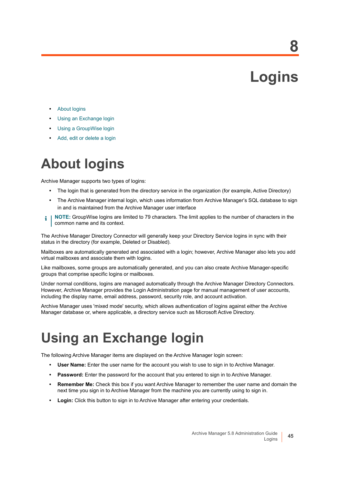# **Logins**

**8**

- **•** [About logins](#page-44-0)
- **•** [Using an Exchange login](#page-44-1)
- **•** [Using a GroupWise login](#page-45-1)
- **•** [Add, edit or delete a login](#page-45-0)

## <span id="page-44-0"></span>**About logins**

Archive Manager supports two types of logins:

- **•** The login that is generated from the directory service in the organization (for example, Active Directory)
- **•** The Archive Manager internal login, which uses information from Archive Manager's SQL database to sign in and is maintained from the Archive Manager user interface
- **NOTE:** GroupWise logins are limited to 79 characters. The limit applies to the number of characters in the i common name and its context.

The Archive Manager Directory Connector will generally keep your Directory Service logins in sync with their status in the directory (for example, Deleted or Disabled).

Mailboxes are automatically generated and associated with a login; however, Archive Manager also lets you add virtual mailboxes and associate them with logins.

Like mailboxes, some groups are automatically generated, and you can also create Archive Manager-specific groups that comprise specific logins or mailboxes.

Under normal conditions, logins are managed automatically through the Archive Manager Directory Connectors. However, Archive Manager provides the Login Administration page for manual management of user accounts, including the display name, email address, password, security role, and account activation.

Archive Manager uses 'mixed mode' security, which allows authentication of logins against either the Archive Manager database or, where applicable, a directory service such as Microsoft Active Directory.

### <span id="page-44-1"></span>**Using an Exchange login**

The following Archive Manager items are displayed on the Archive Manager login screen:

- **User Name:** Enter the user name for the account you wish to use to sign in to Archive Manager.
- **Password:** Enter the password for the account that you entered to sign in to Archive Manager.
- **Remember Me:** Check this box if you want Archive Manager to remember the user name and domain the next time you sign in to Archive Manager from the machine you are currently using to sign in.
- **Login:** Click this button to sign in to Archive Manager after entering your credentials.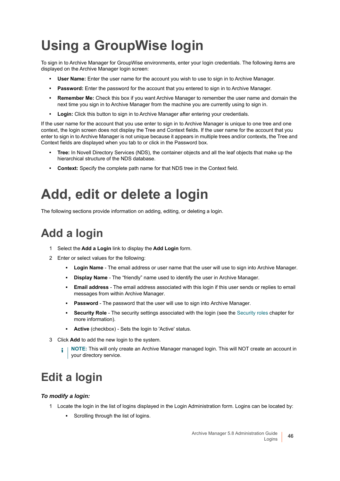# <span id="page-45-1"></span>**Using a GroupWise login**

To sign in to Archive Manager for GroupWise environments, enter your login credentials. The following items are displayed on the Archive Manager login screen:

- **User Name:** Enter the user name for the account you wish to use to sign in to Archive Manager.
- **Password:** Enter the password for the account that you entered to sign in to Archive Manager.
- **Remember Me:** Check this box if you want Archive Manager to remember the user name and domain the next time you sign in to Archive Manager from the machine you are currently using to sign in.
- **Login:** Click this button to sign in to Archive Manager after entering your credentials.

If the user name for the account that you use enter to sign in to Archive Manager is unique to one tree and one context, the login screen does not display the Tree and Context fields. If the user name for the account that you enter to sign in to Archive Manager is not unique because it appears in multiple trees and/or contexts, the Tree and Context fields are displayed when you tab to or click in the Password box.

- **Tree:** In Novell Directory Services (NDS), the container objects and all the leaf objects that make up the hierarchical structure of the NDS database.
- **Context:** Specify the complete path name for that NDS tree in the Context field.

## <span id="page-45-0"></span>**Add, edit or delete a login**

The following sections provide information on adding, editing, or deleting a login.

### **Add a login**

- 1 Select the **Add a Login** link to display the **Add Login** form.
- 2 Enter or select values for the following:
	- **Login Name**  The email address or user name that the user will use to sign into Archive Manager.
	- **Display Name** The "friendly" name used to identify the user in Archive Manager.
	- **Email address** The email address associated with this login if this user sends or replies to email messages from within Archive Manager.
	- **Password** The password that the user will use to sign into Archive Manager.
	- **Security Role** The security settings associated with the login (see the [Security roles](#page-49-0) chapter for more information).
	- **Active** (checkbox) Sets the login to 'Active' status.
- 3 Click **Add** to add the new login to the system.
	- **NOTE:** This will only create an Archive Manager managed login. This will NOT create an account in ÷ your directory service.

### **Edit a login**

#### *To modify a login:*

- 1 Locate the login in the list of logins displayed in the Login Administration form. Logins can be located by:
	- **▪** Scrolling through the list of logins.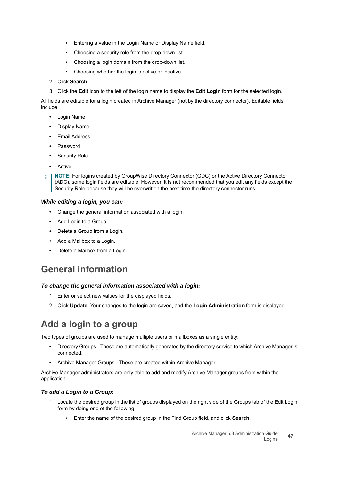- **▪** Entering a value in the Login Name or Display Name field.
- Choosing a security role from the drop-down list.
- **▪** Choosing a login domain from the drop-down list.
- **▪** Choosing whether the login is active or inactive.
- 2 Click **Search**.
- 3 Click the **Edit** icon to the left of the login name to display the **Edit Login** form for the selected login.

All fields are editable for a login created in Archive Manager (not by the directory connector). Editable fields include:

- **•** Login Name
- **•** Display Name
- **•** Email Address
- **•** Password
- **•** Security Role
- **•** Active

**NOTE:** For logins created by GroupWise Directory Connector (GDC) or the Active Directory Connector f. (ADC), some login fields are editable. However, it is not recommended that you edit any fields except the Security Role because they will be overwritten the next time the directory connector runs.

#### *While editing a login, you can:*

- **•** Change the general information associated with a login.
- **•** Add Login to a Group.
- **•** Delete a Group from a Login.
- **•** Add a Mailbox to a Login.
- **•** Delete a Mailbox from a Login.

### **General information**

#### *To change the general information associated with a login:*

- 1 Enter or select new values for the displayed fields.
- 2 Click **Update**. Your changes to the login are saved, and the **Login Administration** form is displayed.

### **Add a login to a group**

Two types of groups are used to manage multiple users or mailboxes as a single entity:

- **•** Directory Groups These are automatically generated by the directory service to which Archive Manager is connected.
- **•** Archive Manager Groups These are created within Archive Manager.

Archive Manager administrators are only able to add and modify Archive Manager groups from within the application.

#### *To add a Login to a Group:*

- 1 Locate the desired group in the list of groups displayed on the right side of the Groups tab of the Edit Login form by doing one of the following:
	- **▪** Enter the name of the desired group in the Find Group field, and click **Search**.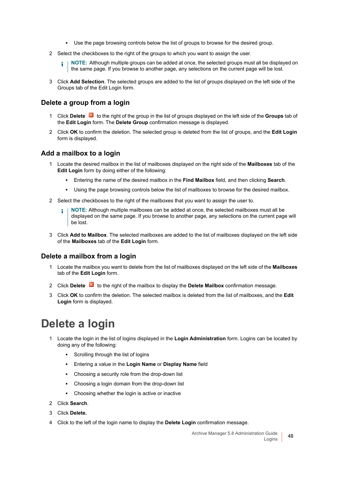- **▪** Use the page browsing controls below the list of groups to browse for the desired group.
- 2 Select the checkboxes to the right of the groups to which you want to assign the user.
	- **NOTE:** Although multiple groups can be added at once, the selected groups must all be displayed on i. the same page. If you browse to another page, any selections on the current page will be lost.
- 3 Click **Add Selection**. The selected groups are added to the list of groups displayed on the left side of the Groups tab of the Edit Login form.

#### **Delete a group from a login**

- 1 Click **Delete** to the right of the group in the list of groups displayed on the left side of the **Groups** tab of the **Edit Login** form. The **Delete Group** confirmation message is displayed.
- 2 Click **OK** to confirm the deletion. The selected group is deleted from the list of groups, and the **Edit Login**  form is displayed.

#### **Add a mailbox to a login**

- 1 Locate the desired mailbox in the list of mailboxes displayed on the right side of the **Mailboxes** tab of the **Edit Login** form by doing either of the following:
	- **▪** Entering the name of the desired mailbox in the **Find Mailbox** field, and then clicking **Search**.
	- **Using the page browsing controls below the list of mailboxes to browse for the desired mailbox.**
- 2 Select the checkboxes to the right of the mailboxes that you want to assign the user to.
	- **NOTE:** Although multiple mailboxes can be added at once, the selected mailboxes must all be ŧП displayed on the same page. If you browse to another page, any selections on the current page will be lost.
- 3 Click **Add to Mailbox**. The selected mailboxes are added to the list of mailboxes displayed on the left side of the **Mailboxes** tab of the **Edit Login** form.

#### **Delete a mailbox from a login**

- 1 Locate the mailbox you want to delete from the list of mailboxes displayed on the left side of the **Mailboxes** tab of the **Edit Login** form.
- 2 Click **Delete** to the right of the mailbox to display the **Delete Mailbox** confirmation message.
- 3 Click **OK** to confirm the deletion. The selected mailbox is deleted from the list of mailboxes, and the **Edit Login** form is displayed.

### **Delete a login**

- 1 Locate the login in the list of logins displayed in the **Login Administration** form. Logins can be located by doing any of the following:
	- **▪** Scrolling through the list of logins
	- **▪** Entering a value in the **Login Name** or **Display Name** field
	- **▪** Choosing a security role from the drop-down list
	- **▪** Choosing a login domain from the drop-down list
	- **▪** Choosing whether the login is active or inactive
- 2 Click **Search**.
- 3 Click **Delete.**
- 4 Click to the left of the login name to display the **Delete Login** confirmation message.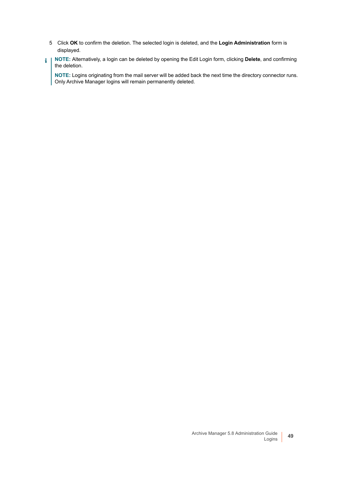- 5 Click **OK** to confirm the deletion. The selected login is deleted, and the **Login Administration** form is displayed.
- **NOTE:** Alternatively, a login can be deleted by opening the Edit Login form, clicking **Delete**, and confirming f. the deletion.

**NOTE:** Logins originating from the mail server will be added back the next time the directory connector runs. Only Archive Manager logins will remain permanently deleted.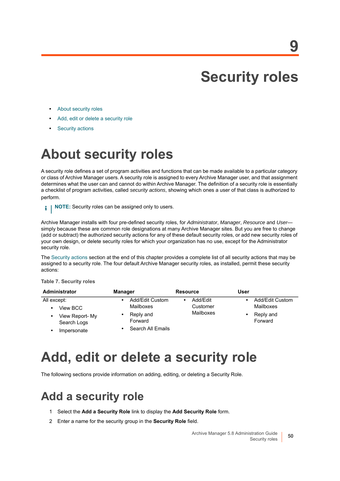# <span id="page-49-0"></span>**Security roles**

- **•** [About security roles](#page-49-1)
- **•** [Add, edit or delete a security role](#page-49-2)
- **•** [Security actions](#page-50-0)

## <span id="page-49-1"></span>**About security roles**

A security role defines a set of program activities and functions that can be made available to a particular category or class of Archive Manager users. A security role is assigned to every Archive Manager user, and that assignment determines what the user can and cannot do within Archive Manager. The definition of a security role is essentially a checklist of program activities, called *security actions*, showing which ones a user of that class is authorized to perform.

**NOTE:** Security roles can be assigned only to users. i I

Archive Manager installs with four pre-defined security roles, for *Administrator*, *Manager*, *Resource* and *User* simply because these are common role designations at many Archive Manager sites. But you are free to change (add or subtract) the authorized security actions for any of these default security roles, or add new security roles of your own design, or delete security roles for which your organization has no use, except for the Administrator security role.

The [Security actions](#page-50-0) section at the end of this chapter provides a complete list of all security actions that may be assigned to a security role. The four default Archive Manager security roles, as installed, permit these security actions:

#### **Table 7. Security roles**

| Administrator                       | <b>Manager</b>               | <b>Resource</b>      | User |                              |
|-------------------------------------|------------------------------|----------------------|------|------------------------------|
| All except:<br>View BCC             | Add/Edit Custom<br>Mailboxes | Add/Edit<br>Customer |      | Add/Edit Custom<br>Mailboxes |
| View Report- My<br>٠<br>Search Logs | Reply and<br>Forward         | Mailboxes            |      | Reply and<br>Forward         |
| Impersonate                         | Search All Emails            |                      |      |                              |

## <span id="page-49-2"></span>**Add, edit or delete a security role**

The following sections provide information on adding, editing, or deleting a Security Role.

### **Add a security role**

- 1 Select the **Add a Security Role** link to display the **Add Security Role** form.
- 2 Enter a name for the security group in the **Security Role** field.

**50**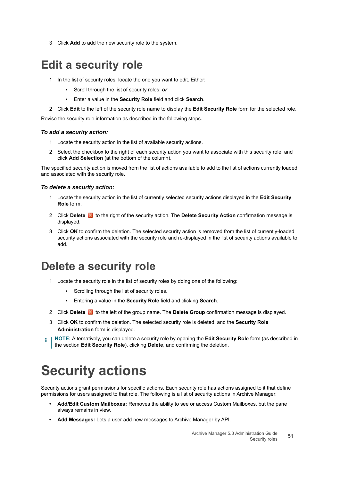3 Click **Add** to add the new security role to the system.

### **Edit a security role**

- 1 In the list of security roles, locate the one you want to edit. Either:
	- **▪** Scroll through the list of security roles; *or*
	- **▪** Enter a value in the **Security Role** field and click **Search**.
- 2 Click **Edit** to the left of the security role name to display the **Edit Security Role** form for the selected role.

Revise the security role information as described in the following steps.

#### *To add a security action:*

- 1 Locate the security action in the list of available security actions.
- 2 Select the checkbox to the right of each security action you want to associate with this security role, and click **Add Selection** (at the bottom of the column).

The specified security action is moved from the list of actions available to add to the list of actions currently loaded and associated with the security role.

#### *To delete a security action:*

- 1 Locate the security action in the list of currently selected security actions displayed in the **Edit Security Role** form.
- 2 Click **Delete to** to the right of the security action. The **Delete Security Action** confirmation message is displayed.
- 3 Click **OK** to confirm the deletion. The selected security action is removed from the list of currently-loaded security actions associated with the security role and re-displayed in the list of security actions available to add.

### **Delete a security role**

- 1 Locate the security role in the list of security roles by doing one of the following:
	- **•** Scrolling through the list of security roles.
	- **▪** Entering a value in the **Security Role** field and clicking **Search**.
- 2 Click **Delete to** to the left of the group name. The **Delete Group** confirmation message is displayed.
- 3 Click **OK** to confirm the deletion. The selected security role is deleted, and the **Security Role Administration** form is displayed.

**NOTE:** Alternatively, you can delete a security role by opening the **Edit Security Role** form (as described in i the section **Edit Security Role**), clicking **Delete**, and confirming the deletion.

# <span id="page-50-0"></span>**Security actions**

Security actions grant permissions for specific actions. Each security role has actions assigned to it that define permissions for users assigned to that role. The following is a list of security actions in Archive Manager:

- **Add/Edit Custom Mailboxes:** Removes the ability to see or access Custom Mailboxes, but the pane always remains in view.
- **Add Messages:** Lets a user add new messages to Archive Manager by API.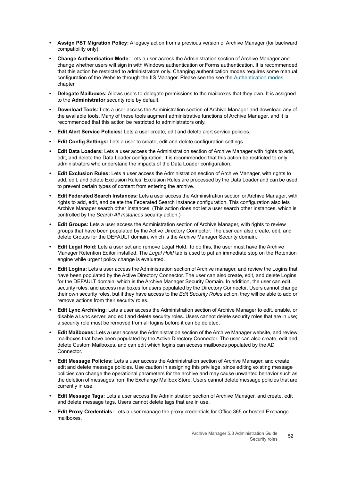- **Assign PST Migration Policy:** A legacy action from a previous version of Archive Manager (for backward compatibility only).
- **Change Authentication Mode:** Lets a user access the Administration section of Archive Manager and change whether users will sign in with Windows authentication or Forms authentication. It is recommended that this action be restricted to administrators only. Changing authentication modes requires some manual configuration of the Website through the IIS Manager. Please see the see the [Authentication modes](#page-11-0) chapter.
- **Delegate Mailboxes:** Allows users to delegate permissions to the mailboxes that they own. It is assigned to the **Administrator** security role by default.
- **Download Tools:** Lets a user access the Administration section of Archive Manager and download any of the available tools. Many of these tools augment administrative functions of Archive Manager, and it is recommended that this action be restricted to administrators only.
- **Edit Alert Service Policies:** Lets a user create, edit and delete alert service policies.
- **Edit Config Settings:** Lets a user to create, edit and delete configuration settings.
- **Edit Data Loaders:** Lets a user access the Administration section of Archive Manager with rights to add, edit, and delete the Data Loader configuration. It is recommended that this action be restricted to only administrators who understand the impacts of the Data Loader configuration.
- **Edit Exclusion Rules:** Lets a user access the Administration section of Archive Manager, with rights to add, edit, and delete Exclusion Rules. Exclusion Rules are processed by the Data Loader and can be used to prevent certain types of content from entering the archive.
- **Edit Federated Search Instances:** Lets a user access the Administration section or Archive Manager, with rights to add, edit, and delete the Federated Search Instance configuration. This configuration also lets Archive Manager search other instances. (This action does not let a user search other instances, which is controlled by the *Search All Instances* security action.)
- **Edit Groups:** Lets a user access the Administration section of Archive Manager, with rights to review groups that have been populated by the Active Directory Connector. The user can also create, edit, and delete Groups for the DEFAULT domain, which is the Archive Manager Security domain.
- **Edit Legal Hold:** Lets a user set and remove Legal Hold. To do this, the user must have the Archive Manager Retention Editor installed. The *Legal Hold* tab is used to put an immediate stop on the Retention engine while urgent policy change is evaluated.
- **Edit Logins:** Lets a user access the Administration section of Archive manager, and review the Logins that have been populated by the Active Directory Connector. The user can also create, edit, and delete Logins for the DEFAULT domain, which is the Archive Manager Security Domain. In addition, the user can edit security roles, and access mailboxes for users populated by the Directory Connector. Users cannot change their own security roles, but if they have access to the *Edit Security Roles* action, they will be able to add or remove actions from their security roles.
- **Edit Lync Archiving:** Lets a user access the Administration section of Archive Manager to edit, enable, or disable a Lync server, and edit and delete security roles. Users cannot delete security roles that are in use; a security role must be removed from all logins before it can be deleted.
- **Edit Mailboxes:** Lets a user access the Administration section of the Archive Manager website, and review mailboxes that have been populated by the Active Directory Connector. The user can also create, edit and delete Custom Mailboxes, and can edit which logins can access mailboxes populated by the AD Connector.
- **Edit Message Policies:** Lets a user access the Administration section of Archive Manager, and create, edit and delete message policies. Use caution in assigning this privilege, since editing existing message policies can change the operational parameters for the archive and may cause unwanted behavior such as the deletion of messages from the Exchange Mailbox Store. Users cannot delete message policies that are currently in use.
- **Edit Message Tags:** Lets a user access the Administration section of Archive Manager, and create, edit and delete message tags. Users cannot delete tags that are in use.
- **Edit Proxy Credentials:** Lets a user manage the proxy credentials for Office 365 or hosted Exchange mailboxes.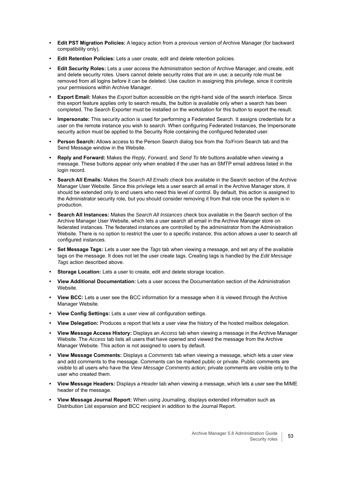- **Edit PST Migration Policies:** A legacy action from a previous version of Archive Manager (for backward compatibility only).
- **Edit Retention Policies:** Lets a user create, edit and delete retention policies.
- **Edit Security Roles:** Lets a user access the Administration section of Archive Manager, and create, edit and delete security roles. Users cannot delete security roles that are in use; a security role must be removed from all logins before it can be deleted. Use caution in assigning this privilege, since it controls your permissions within Archive Manager.
- **Export Email:** Makes the *Export* button accessible on the right-hand side of the search interface. Since this export feature applies only to search results, the button is available only when a search has been completed. The Search Exporter must be installed on the workstation for this button to export the result.
- **Impersonate:** This security action is used for performing a Federated Search. It assigns credentials for a user on the remote instance you wish to search. When configuring Federated Instances, the Impersonate security action must be applied to the Security Role containing the configured federated user.
- **Person Search:** Allows access to the Person Search dialog box from the *To/From* Search tab and the Send Message window in the Website.
- **Reply and Forward:** Makes the *Reply*, *Forward,* and *Send To Me* buttons available when viewing a message. These buttons appear only when enabled if the user has an SMTP email address listed in the login record.
- **Search All Emails:** Makes the *Search All Emails* check box available in the Search section of the Archive Manager User Website. Since this privilege lets a user search all email in the Archive Manager store, it should be extended only to end users who need this level of control. By default, this action is assigned to the Administrator security role, but you should consider removing it from that role once the system is in production.
- **Search All Instances:** Makes the *Search All Instances* check box available in the Search section of the Archive Manager User Website, which lets a user search all email in the Archive Manager store on federated instances. The federated instances are controlled by the administrator from the Administration Website. There is no option to restrict the user to a specific instance; this action allows a user to search all configured instances.
- **Set Message Tags:** Lets a user see the *Tags* tab when viewing a message, and set any of the available tags on the message. It does not let the user create tags. Creating tags is handled by the *Edit Message Tags* action described above.
- **Storage Location:** Lets a user to create, edit and delete storage location.
- **View Additional Documentation:** Lets a user access the Documentation section of the Administration Website.
- **View BCC:** Lets a user see the BCC information for a message when it is viewed through the Archive Manager Website.
- **View Config Settings:** Lets a user view all configuration settings.
- **View Delegation:** Produces a report that lets a user view the history of the hosted mailbox delegation.
- **View Message Access History:** Displays an *Access* tab when viewing a message in the Archive Manager Website. The *Access* tab lists all users that have opened and viewed the message from the Archive Manager Website. This action is not assigned to users by default.
- **View Message Comments:** Displays a *Comments* tab when viewing a message, which lets a user view and add comments to the message. Comments can be marked public or private. Public comments are visible to all users who have the *View Message Comments* action; private comments are visible only to the user who created them.
- **View Message Headers:** Displays a *Header* tab when viewing a message, which lets a user see the MIME header of the message.
- **View Message Journal Report:** When using Journaling, displays extended information such as Distribution List expansion and BCC recipient in addition to the Journal Report.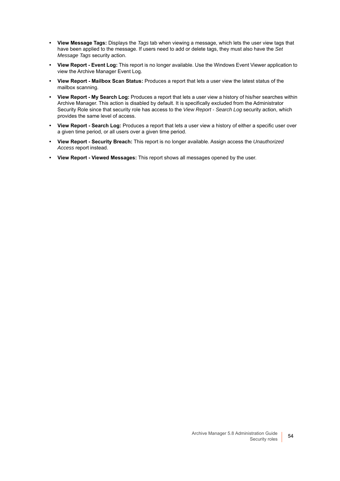- **View Message Tags:** Displays the *Tags* tab when viewing a message, which lets the user view tags that have been applied to the message. If users need to add or delete tags, they must also have the *Set Message Tags* security action.
- **View Report Event Log:** This report is no longer available. Use the Windows Event Viewer application to view the Archive Manager Event Log.
- **View Report Mailbox Scan Status:** Produces a report that lets a user view the latest status of the mailbox scanning.
- **View Report My Search Log:** Produces a report that lets a user view a history of his/her searches within Archive Manager. This action is disabled by default. It is specifically excluded from the Administrator Security Role since that security role has access to the *View Report - Search Log* security action, which provides the same level of access.
- **View Report Search Log:** Produces a report that lets a user view a history of either a specific user over a given time period, or all users over a given time period.
- **View Report Security Breach:** This report is no longer available. Assign access the *Unauthorized Access* report instead.
- **View Report Viewed Messages:** This report shows all messages opened by the user.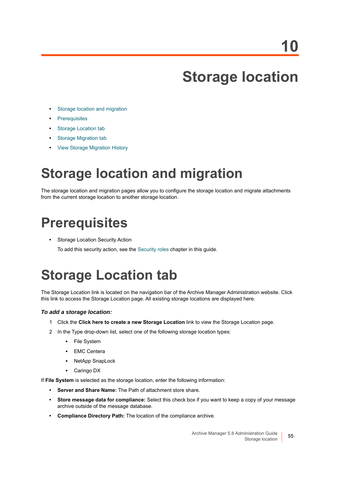# **Storage location**

- **•** [Storage location and migration](#page-54-0)
- **•** [Prerequisites](#page-54-1)
- **•** [Storage Location tab](#page-54-2)
- **•** [Storage Migration tab](#page-56-0)
- **•** [View Storage Migration History](#page-57-0)

# <span id="page-54-0"></span>**Storage location and migration**

The storage location and migration pages allow you to configure the storage location and migrate attachments from the current storage location to another storage location.

# <span id="page-54-1"></span>**Prerequisites**

**•** Storage Location Security Action

To add this security action, see the [Security roles](#page-49-0) chapter in this guide.

# <span id="page-54-2"></span>**Storage Location tab**

The Storage Location link is located on the navigation bar of the Archive Manager Administration website. Click this link to access the Storage Location page. All existing storage locations are displayed here.

#### *To add a storage location:*

- 1 Click the **Click here to create a new Storage Location** link to view the Storage Location page.
- 2 In the Type drop-down list, select one of the following storage location types:
	- **▪** File System
	- **▪** EMC Centera
	- **▪** NetApp SnapLock
	- **▪** Caringo DX

If **File System** is selected as the storage location, enter the following information:

- **Server and Share Name:** The Path of attachment store share.
- **Store message data for compliance:** Select this check box if you want to keep a copy of your message archive outside of the message database.
- **Compliance Directory Path:** The location of the compliance archive.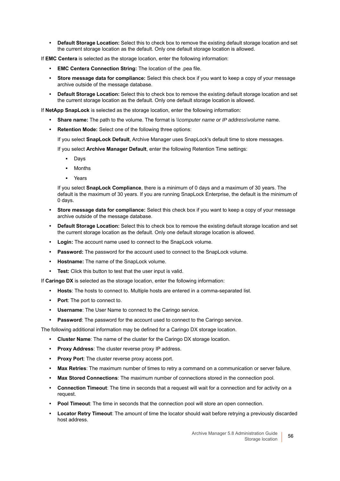**• Default Storage Location:** Select this to check box to remove the existing default storage location and set the current storage location as the default. Only one default storage location is allowed.

If **EMC Centera** is selected as the storage location, enter the following information:

- **EMC Centera Connection String:** The location of the .pea file.
- **Store message data for compliance:** Select this check box if you want to keep a copy of your message archive outside of the message database.
- **Default Storage Location:** Select this to check box to remove the existing default storage location and set the current storage location as the default. Only one default storage location is allowed.

If **NetApp SnapLock** is selected as the storage location, enter the following information:

- **Share name:** The path to the volume. The format is *\\computer name* or *IP address\volume* name.
- **Retention Mode:** Select one of the following three options:

If you select **SnapLock Default**, Archive Manager uses SnapLock's default time to store messages.

If you select **Archive Manager Default**, enter the following Retention Time settings:

- **▪** Days
- **▪** Months
- **▪** Years

If you select **SnapLock Compliance**, there is a minimum of 0 days and a maximum of 30 years. The default is the maximum of 30 years. If you are running SnapLock Enterprise, the default is the minimum of 0 days.

- **Store message data for compliance:** Select this check box if you want to keep a copy of your message archive outside of the message database.
- **Default Storage Location:** Select this to check box to remove the existing default storage location and set the current storage location as the default. Only one default storage location is allowed.
- **Login:** The account name used to connect to the SnapLock volume.
- **Password:** The password for the account used to connect to the SnapLock volume.
- **Hostname:** The name of the SnapLock volume.
- **Test:** Click this button to test that the user input is valid.

If **Caringo DX** is selected as the storage location, enter the following information:

- **Hosts**: The hosts to connect to. Multiple hosts are entered in a comma-separated list.
- **Port**: The port to connect to.
- **Username**: The User Name to connect to the Caringo service.
- **Password:** The password for the account used to connect to the Caringo service.

The following additional information may be defined for a Caringo DX storage location.

- **Cluster Name**: The name of the cluster for the Caringo DX storage location.
- **Proxy Address:** The cluster reverse proxy IP address.
- **Proxy Port:** The cluster reverse proxy access port.
- **Max Retries**: The maximum number of times to retry a command on a communication or server failure.
- **Max Stored Connections**: The maximum number of connections stored in the connection pool.
- **Connection Timeout**: The time in seconds that a request will wait for a connection and for activity on a request.
- **Pool Timeout**: The time in seconds that the connection pool will store an open connection.
- **Locator Retry Timeout**: The amount of time the locator should wait before retrying a previously discarded host address.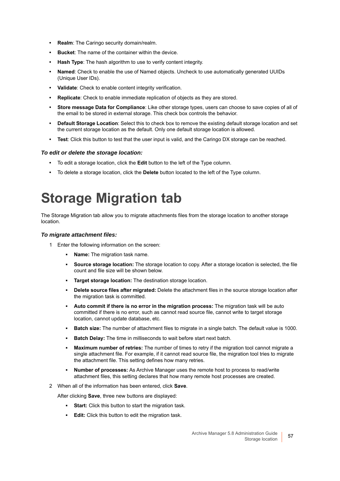- **Realm**: The Caringo security domain/realm.
- **Bucket**: The name of the container within the device.
- **Hash Type**: The hash algorithm to use to verify content integrity.
- **Named**: Check to enable the use of Named objects. Uncheck to use automatically generated UUIDs (Unique User IDs).
- **Validate**: Check to enable content integrity verification.
- **Replicate**: Check to enable immediate replication of objects as they are stored.
- **Store message Data for Compliance**: Like other storage types, users can choose to save copies of all of the email to be stored in external storage. This check box controls the behavior.
- **Default Storage Location**: Select this to check box to remove the existing default storage location and set the current storage location as the default. Only one default storage location is allowed.
- **Test**: Click this button to test that the user input is valid, and the Caringo DX storage can be reached.

#### *To edit or delete the storage location:*

- **•** To edit a storage location, click the **Edit** button to the left of the Type column.
- **•** To delete a storage location, click the **Delete** button located to the left of the Type column.

## <span id="page-56-0"></span>**Storage Migration tab**

The Storage Migration tab allow you to migrate attachments files from the storage location to another storage location.

#### *To migrate attachment files:*

- 1 Enter the following information on the screen:
	- **Name:** The migration task name.
	- **Source storage location:** The storage location to copy. After a storage location is selected, the file count and file size will be shown below.
	- **Target storage location:** The destination storage location.
	- **Delete source files after migrated:** Delete the attachment files in the source storage location after the migration task is committed.
	- Auto commit if there is no error in the migration process: The migration task will be auto committed if there is no error, such as cannot read source file, cannot write to target storage location, cannot update database, etc.
	- **Batch size:** The number of attachment files to migrate in a single batch. The default value is 1000.
	- **Batch Delay:** The time in milliseconds to wait before start next batch.
	- **Maximum number of retries:** The number of times to retry if the migration tool cannot migrate a single attachment file. For example, if it cannot read source file, the migration tool tries to migrate the attachment file. This setting defines how many retries.
	- **Number of processes:** As Archive Manager uses the remote host to process to read/write attachment files, this setting declares that how many remote host processes are created.
- 2 When all of the information has been entered, click **Save**.

After clicking **Save**, three new buttons are displayed:

- **Start:** Click this button to start the migration task.
- **Edit:** Click this button to edit the migration task.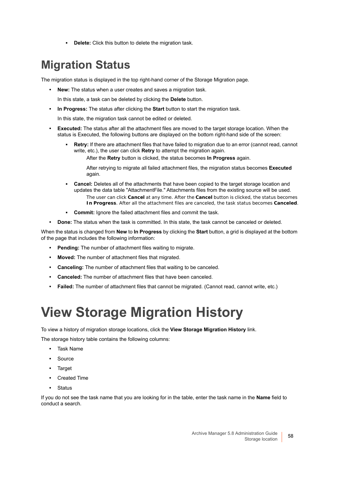**▪ Delete:** Click this button to delete the migration task.

### **Migration Status**

The migration status is displayed in the top right-hand corner of the Storage Migration page.

- **New:** The status when a user creates and saves a migration task.
- In this state, a task can be deleted by clicking the **Delete** button.
- **In Progress:** The status after clicking the **Start** button to start the migration task.

In this state, the migration task cannot be edited or deleted.

- **Executed:** The status after all the attachment files are moved to the target storage location. When the status is Executed, the following buttons are displayed on the bottom right-hand side of the screen:
	- **Retry:** If there are attachment files that have failed to migration due to an error (cannot read, cannot write, etc.), the user can click **Retry** to attempt the migration again.

After the **Retry** button is clicked, the status becomes **In Progress** again.

After retrying to migrate all failed attachment files, the migration status becomes **Executed**  again.

- **Cancel:** Deletes all of the attachments that have been copied to the target storage location and updates the data table "AttachmentFile." Attachments files from the existing source will be used.
	- The user can click **Cancel** at any time. After the **Cancel** button is clicked, the status becomes **In Progress**. After all the attachment files are canceled, the task status becomes **Canceled**.
- **Commit:** Ignore the failed attachment files and commit the task.
- **Done:** The status when the task is committed. In this state, the task cannot be canceled or deleted.

When the status is changed from **New** to **In Progress** by clicking the **Start** button, a grid is displayed at the bottom of the page that includes the following information:

- **Pending:** The number of attachment files waiting to migrate.
- **Moved:** The number of attachment files that migrated.
- **Canceling:** The number of attachment files that waiting to be canceled.
- **Canceled:** The number of attachment files that have been canceled.
- **Failed:** The number of attachment files that cannot be migrated. (Cannot read, cannot write, etc.)

# <span id="page-57-0"></span>**View Storage Migration History**

To view a history of migration storage locations, click the **View Storage Migration History** link.

The storage history table contains the following columns:

- **•** Task Name
- **•** Source
- **•** Target
- **•** Created Time
- **•** Status

If you do not see the task name that you are looking for in the table, enter the task name in the **Name** field to conduct a search.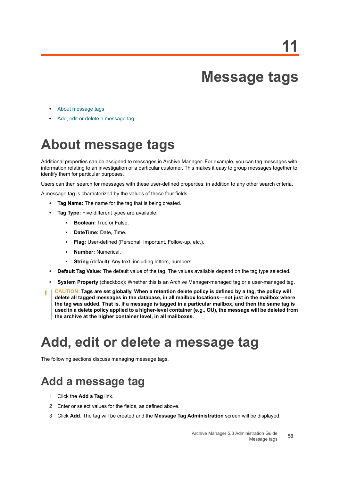# **Message tags**

- **•** [About message tags](#page-58-0)
- **•** [Add, edit or delete a message tag](#page-58-1)

# <span id="page-58-0"></span>**About message tags**

Additional properties can be assigned to messages in Archive Manager. For example, you can tag messages with information relating to an investigation or a particular customer. This makes it easy to group messages together to identify them for particular purposes.

Users can then search for messages with these user-defined properties, in addition to any other search criteria.

A message tag is characterized by the values of these four fields:

- **Tag Name:** The name for the tag that is being created.
- **Tag Type:** Five different types are available:
	- **Boolean:** True or False.
	- **DateTime: Date, Time.**
	- **Flag:** User-defined (Personal, Important, Follow-up, etc.).
	- **Number: Numerical.**
	- **String** (default): Any text, including letters, numbers.
- **Default Tag Value:** The default value of the tag. The values available depend on the tag type selected.
- **System Property** (checkbox): Whether this is an Archive Manager-managed tag or a user-managed tag.
- **CAUTION: Tags are set globally. When a retention delete policy is defined by a tag, the policy will delete all tagged messages in the database, in all mailbox locations—not just in the mailbox where the tag was added. That is, if a message is tagged in a particular mailbox, and then the same tag is used in a delete policy applied to a higher-level container (e.g., OU), the message will be deleted from the archive at the higher container level, in all mailboxes.**

### <span id="page-58-1"></span>**Add, edit or delete a message tag**

The following sections discuss managing message tags.

### **Add a message tag**

- 1 Click the **Add a Tag** link.
- 2 Enter or select values for the fields, as defined above.
- 3 Click **Add**. The tag will be created and the **Message Tag Administration** screen will be displayed.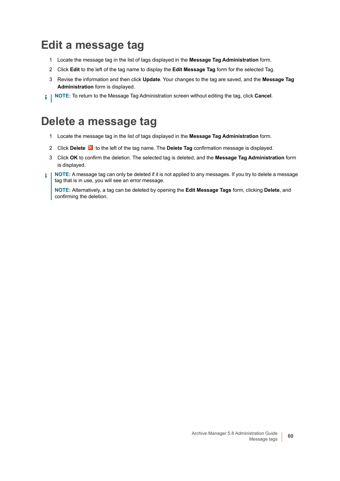### **Edit a message tag**

- 1 Locate the message tag in the list of tags displayed in the **Message Tag Administration** form.
- 2 Click **Edit** to the left of the tag name to display the **Edit Message Tag** form for the selected Tag.
- 3 Revise the information and then click **Update**. Your changes to the tag are saved, and the **Message Tag Administration** form is displayed.
- **NOTE:** To return to the Message Tag Administration screen without editing the tag, click **Cancel**. i I

### **Delete a message tag**

- 1 Locate the message tag in the list of tags displayed in the **Message Tag Administration** form.
- 2 Click **Delete to** the left of the tag name. The **Delete Tag** confirmation message is displayed.
- 3 Click **OK** to confirm the deletion. The selected tag is deleted, and the **Message Tag Administration** form is displayed.
- **NOTE:** A message tag can only be deleted if it is not applied to any messages. If you try to delete a message f. tag that is in use, you will see an error message.

**NOTE:** Alternatively, a tag can be deleted by opening the **Edit Message Tags** form, clicking **Delete**, and confirming the deletion.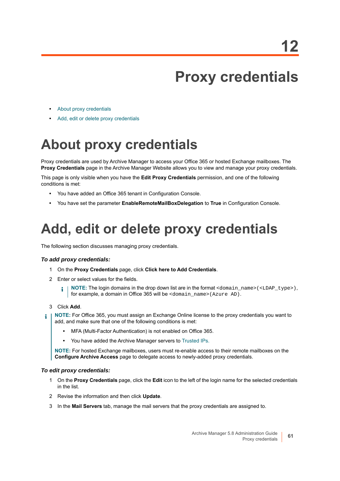# **Proxy credentials**

- **•** [About proxy credentials](#page-60-0)
- **•** [Add, edit or delete proxy credentials](#page-60-1)

# <span id="page-60-0"></span>**About proxy credentials**

Proxy credentials are used by Archive Manager to access your Office 365 or hosted Exchange mailboxes. The **Proxy Credentials** page in the Archive Manager Website allows you to view and manage your proxy credentials.

This page is only visible when you have the **Edit Proxy Credentials** permission, and one of the following conditions is met:

- **•** You have added an Office 365 tenant in Configuration Console.
- **•** You have set the parameter **EnableRemoteMailBoxDelegation** to **True** in Configuration Console.

# <span id="page-60-1"></span>**Add, edit or delete proxy credentials**

The following section discusses managing proxy credentials.

#### *To add proxy credentials:*

- 1 On the **Proxy Credentials** page, click **Click here to Add Credentials**.
- 2 Enter or select values for the fields.
	- **NOTE:** The login domains in the drop down list are in the format <domain\_name>(<LDAP\_type>), ÷ for example, a domain in Office 365 will be <domain\_name>(Azure AD).
- 3 Click **Add**.
- **NOTE:** For Office 365, you must assign an Exchange Online license to the proxy credentials you want to ÷ add, and make sure that one of the following conditions is met:
	- **•** MFA (Multi-Factor Authentication) is not enabled on Office 365.
	- **•** You have added the Archive Manager servers to [Trusted IPs.](https://docs.microsoft.com/en-us/azure/active-directory/authentication/howto-mfa-mfasettings#trusted-ips)

**NOTE:** For hosted Exchange mailboxes, users must re-enable access to their remote mailboxes on the **Configure Archive Access** page to delegate access to newly-added proxy credentials.

#### *To edit proxy credentials:*

- 1 On the **Proxy Credentials** page, click the **Edit** icon to the left of the login name for the selected credentials in the list.
- 2 Revise the information and then click **Update**.
- 3 In the **Mail Servers** tab, manage the mail servers that the proxy credentials are assigned to.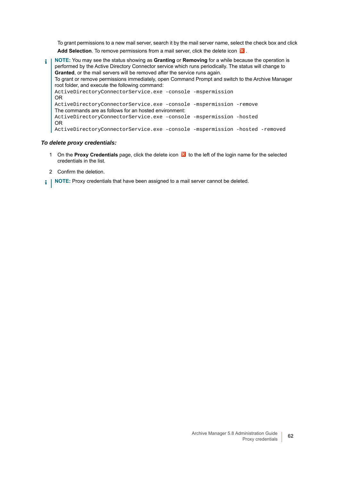To grant permissions to a new mail server, search it by the mail server name, select the check box and click Add Selection. To remove permissions from a mail server, click the delete icon **X**.

**NOTE:** You may see the status showing as **Granting** or **Removing** for a while because the operation is ÷ performed by the Active Directory Connector service which runs periodically. The status will change to **Granted**, or the mail servers will be removed after the service runs again. To grant or remove permissions immediately, open Command Prompt and switch to the Archive Manager root folder, and execute the following command: ActiveDirectoryConnectorService.exe -console -mspermission OR ActiveDirectoryConnectorService.exe -console -mspermission -remove The commands are as follows for an hosted environment: ActiveDirectoryConnectorService.exe -console -mspermission -hosted OR ActiveDirectoryConnectorService.exe -console -mspermission -hosted -removed

#### *To delete proxy credentials:*

- 1 On the **Proxy Credentials** page, click the delete icon **X** to the left of the login name for the selected credentials in the list.
- 2 Confirm the deletion.
- **NOTE:** Proxy credentials that have been assigned to a mail server cannot be deleted.i I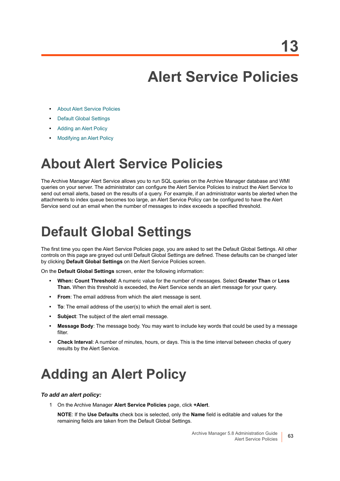# **Alert Service Policies**

- **•** [About Alert Service Policies](#page-62-0)
- **•** [Default Global Settings](#page-62-2)
- **•** [Adding an Alert Policy](#page-62-1)
- **•** [Modifying an Alert Policy](#page-63-0)

## <span id="page-62-0"></span>**About Alert Service Policies**

The Archive Manager Alert Service allows you to run SQL queries on the Archive Manager database and WMI queries on your server. The administrator can configure the Alert Service Policies to instruct the Alert Service to send out email alerts, based on the results of a query. For example, if an administrator wants be alerted when the attachments to index queue becomes too large, an Alert Service Policy can be configured to have the Alert Service send out an email when the number of messages to index exceeds a specified threshold.

# <span id="page-62-2"></span>**Default Global Settings**

The first time you open the Alert Service Policies page, you are asked to set the Default Global Settings. All other controls on this page are grayed out until Default Global Settings are defined. These defaults can be changed later by clicking **Default Global Settings** on the Alert Service Policies screen.

On the **Default Global Settings** screen, enter the following information:

- **When: Count Threshold**: A numeric value for the number of messages. Select **Greater Than** or **Less Than.** When this threshold is exceeded, the Alert Service sends an alert message for your query.
- **From**: The email address from which the alert message is sent.
- **To**: The email address of the user(s) to which the email alert is sent.
- **Subject**: The subject of the alert email message.
- **Message Body**: The message body. You may want to include key words that could be used by a message filter.
- **Check Interval**: A number of minutes, hours, or days. This is the time interval between checks of query results by the Alert Service.

## <span id="page-62-1"></span>**Adding an Alert Policy**

#### *To add an alert policy:*

1 On the Archive Manager **Alert Service Policies** page, click **+Alert**.

**NOTE**: If the **Use Defaults** check box is selected, only the **Name** field is editable and values for the remaining fields are taken from the Default Global Settings.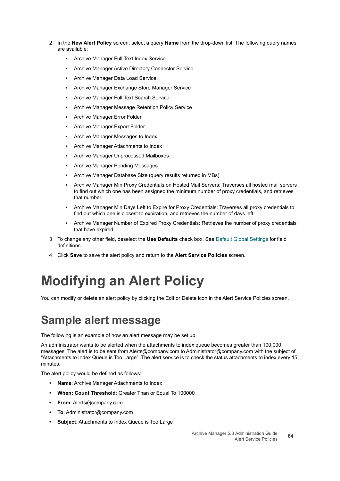- 2 In the **New Alert Policy** screen, select a query **Name** from the drop-down list. The following query names are available:
	- **▪** Archive Manager Full Text Index Service
	- **▪** Archive Manager Active Directory Connector Service
	- Archive Manager Data Load Service
	- Archive Manager Exchange Store Manager Service
	- **▪** Archive Manager Full Text Search Service
	- Archive Manager Message Retention Policy Service
	- **Archive Manager Error Folder**
	- **▪** Archive Manager Export Folder
	- **▪** Archive Manager Messages to Index
	- **▪** Archive Manager Attachments to Index
	- **▪** Archive Manager Unprocessed Mailboxes
	- **▪** Archive Manager Pending Messages
	- **▪** Archive Manager Database Size (query results returned in MBs)
	- **▪** Archive Manager Min Proxy Credentials on Hosted Mail Servers: Traverses all hosted mail servers to find out which one has been assigned the minimum number of proxy credentials, and retrieves that number.
	- **▪** Archive Manager Min Days Left to Expire for Proxy Credentials: Traverses all proxy credentials to find out which one is closest to expiration, and retrieves the number of days left.
	- **▪** Archive Manager Number of Expired Proxy Credentials: Retrieves the number of proxy credentials that have expired.
- 3 To change any other field, deselect the **Use Defaults** check box. See [Default Global Settings](#page-62-2) for field definitions.
- 4 Click **Save** to save the alert policy and return to the **Alert Service Policies** screen.

# <span id="page-63-0"></span>**Modifying an Alert Policy**

You can modify or delete an alert policy by clicking the Edit or Delete icon in the Alert Service Policies screen.

### **Sample alert message**

The following is an example of how an alert message may be set up.

An administrator wants to be alerted when the attachments to index queue becomes greater than 100,000 messages. The alert is to be sent from Alerts@company.com to Administrator@company.com with the subject of "Attachments to Index Queue is Too Large". The alert service is to check the status attachments to index every 15 minutes.

The alert policy would be defined as follows:

- **Name**: Archive Manager Attachments to Index
- **When: Count Threshold**: Greater Than or Equal To 100000
- **From**: Alerts@company.com
- **To**: Administrator@company.com
- **Subject**: Attachments to Index Queue is Too Large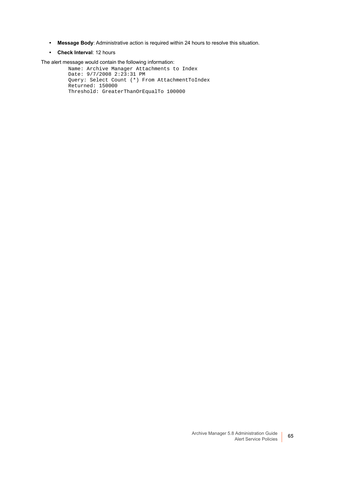- **Message Body**: Administrative action is required within 24 hours to resolve this situation.
- **Check Interval**: 12 hours

The alert message would contain the following information:

Name: Archive Manager Attachments to Index Date: 9/7/2008 2:23:31 PM Query: Select Count (\*) From AttachmentToIndex Returned: 150000 Threshold: GreaterThanOrEqualTo 100000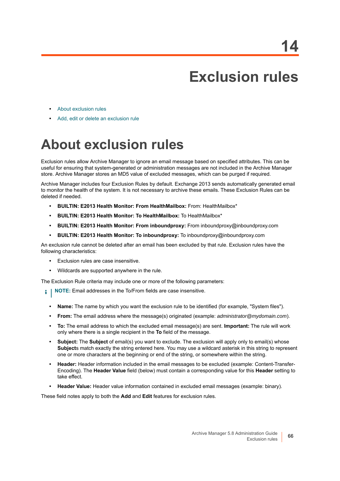# **Exclusion rules**

- **•** [About exclusion rules](#page-65-0)
- **•** [Add, edit or delete an exclusion rule](#page-66-0)

# <span id="page-65-0"></span>**About exclusion rules**

Exclusion rules allow Archive Manager to ignore an email message based on specified attributes. This can be useful for ensuring that system-generated or administration messages are not included in the Archive Manager store. Archive Manager stores an MD5 value of excluded messages, which can be purged if required.

Archive Manager includes four Exclusion Rules by default. Exchange 2013 sends automatically generated email to monitor the health of the system. It is not necessary to archive these emails. These Exclusion Rules can be deleted if needed.

- **BUILTIN: E2013 Health Monitor: From HealthMailbox:** From: HealthMailbox\*
- **BUILTIN: E2013 Health Monitor: To HealthMailbox:** To HealthMailbox\*
- **BUILTIN: E2013 Health Monitor: From inboundproxy:** From inboundproxy@inboundproxy.com
- **BUILTIN: E2013 Health Monitor: To inboundproxy:** To inboundproxy@inboundproxy.com

An exclusion rule cannot be deleted after an email has been excluded by that rule. Exclusion rules have the following characteristics:

- **•** Exclusion rules are case insensitive.
- **•** Wildcards are supported anywhere in the rule.

The Exclusion Rule criteria may include one or more of the following parameters:

- **i** | NOTE: Email addresses in the To/From fields are case insensitive.
	- **Name:** The name by which you want the exclusion rule to be identified (for example, "System files").
	- **From:** The email address where the message(s) originated (example: *administrator@mydomain.com*).
	- **To:** The email address to which the excluded email message(s) are sent. **Important:** The rule will work only where there is a single recipient in the **To** field of the message.
	- **Subject:** The **Subject** of email(s) you want to exclude. The exclusion will apply only to email(s) whose **Subject**s match exactly the string entered here. You may use a wildcard asterisk in this string to represent one or more characters at the beginning or end of the string, or somewhere within the string.
	- **Header:** Header information included in the email messages to be excluded (example: Content-Transfer-Encoding). The **Header Value** field (below) must contain a corresponding value for this **Header** setting to take effect.
	- **Header Value:** Header value information contained in excluded email messages (example: binary).

These field notes apply to both the **Add** and **Edit** features for exclusion rules.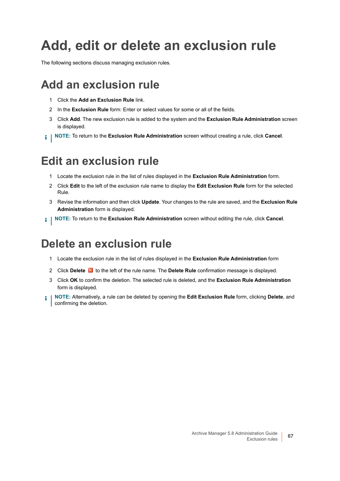# <span id="page-66-0"></span>**Add, edit or delete an exclusion rule**

The following sections discuss managing exclusion rules.

### **Add an exclusion rule**

- 1 Click the **Add an Exclusion Rule** link.
- 2 In the **Exclusion Rule** form: Enter or select values for some or all of the fields.
- 3 Click **Add**. The new exclusion rule is added to the system and the **Exclusion Rule Administration** screen is displayed.
- **NOTE:** To return to the **Exclusion Rule Administration** screen without creating a rule, click **Cancel**.

### **Edit an exclusion rule**

- 1 Locate the exclusion rule in the list of rules displayed in the **Exclusion Rule Administration** form.
- 2 Click **Edit** to the left of the exclusion rule name to display the **Edit Exclusion Rule** form for the selected Rule.
- 3 Revise the information and then click **Update**. Your changes to the rule are saved, and the **Exclusion Rule Administration** form is displayed.
- **NOTE:** To return to the **Exclusion Rule Administration** screen without editing the rule, click **Cancel**.

### **Delete an exclusion rule**

- 1 Locate the exclusion rule in the list of rules displayed in the **Exclusion Rule Administration** form
- 2 Click **Delete K** to the left of the rule name. The **Delete Rule** confirmation message is displayed.
- 3 Click **OK** to confirm the deletion. The selected rule is deleted, and the **Exclusion Rule Administration** form is displayed.
- **NOTE:** Alternatively, a rule can be deleted by opening the **Edit Exclusion Rule** form, clicking **Delete**, and i confirming the deletion.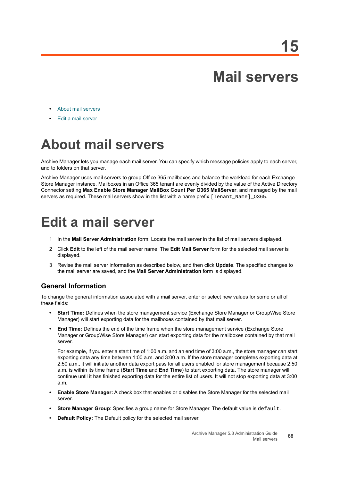# **Mail servers**

- **•** [About mail servers](#page-67-0)
- **•** [Edit a mail server](#page-67-1)

# <span id="page-67-0"></span>**About mail servers**

Archive Manager lets you manage each mail server. You can specify which message policies apply to each server, and to folders on that server.

Archive Manager uses mail servers to group Office 365 mailboxes and balance the workload for each Exchange Store Manager instance. Mailboxes in an Office 365 tenant are evenly divided by the value of the Active Directory Connector setting **Max Enable Store Manager MailBox Count Per O365 MailServer**, and managed by the mail servers as required. These mail servers show in the list with a name prefix [Tenant\_Name]\_0365.

# <span id="page-67-1"></span>**Edit a mail server**

- 1 In the **Mail Server Administration** form: Locate the mail server in the list of mail servers displayed.
- 2 Click **Edit** to the left of the mail server name. The **Edit Mail Server** form for the selected mail server is displayed.
- 3 Revise the mail server information as described below, and then click **Update**. The specified changes to the mail server are saved, and the **Mail Server Administration** form is displayed.

#### **General Information**

To change the general information associated with a mail server, enter or select new values for some or all of these fields:

- **Start Time:** Defines when the store management service (Exchange Store Manager or GroupWise Store Manager) will start exporting data for the mailboxes contained by that mail server.
- **End Time:** Defines the end of the time frame when the store management service (Exchange Store Manager or GroupWise Store Manager) can start exporting data for the mailboxes contained by that mail server.

For example, if you enter a start time of 1:00 a.m. and an end time of 3:00 a.m., the store manager can start exporting data any time between 1:00 a.m. and 3:00 a.m. If the store manager completes exporting data at 2:50 a.m., it will initiate another data export pass for all users enabled for store management because 2:50 a.m. is within its time frame (**Start Time** and **End Time**) to start exporting data. The store manager will continue until it has finished exporting data for the entire list of users. It will not stop exporting data at 3:00 a.m.

- **Enable Store Manager:** A check box that enables or disables the Store Manager for the selected mail server.
- **Store Manager Group**: Specifies a group name for Store Manager. The default value is default.
- **Default Policy:** The Default policy for the selected mail server.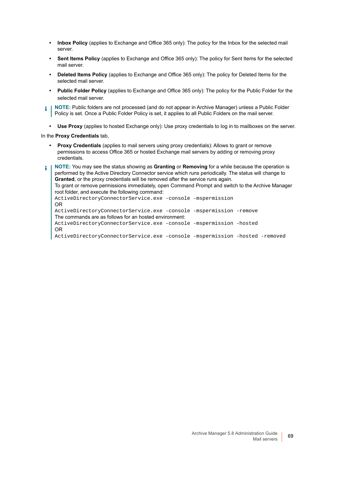- **Inbox Policy** (applies to Exchange and Office 365 only): The policy for the Inbox for the selected mail server.
- **Sent Items Policy** (applies to Exchange and Office 365 only): The policy for Sent Items for the selected mail server.
- **Deleted Items Policy** (applies to Exchange and Office 365 only): The policy for Deleted Items for the selected mail server.
- **Public Folder Policy** (applies to Exchange and Office 365 only): The policy for the Public Folder for the selected mail server.
- **NOTE:** Public folders are not processed (and do not appear in Archive Manager) unless a Public Folder Policy is set. Once a Public Folder Policy is set, it applies to all Public Folders on the mail server.
	- **Use Proxy** (applies to hosted Exchange only): Use proxy credentials to log in to mailboxes on the server.

In the **Proxy Credentials** tab,

**• Proxy Credentials** (applies to mail servers using proxy credentials): Allows to grant or remove permissions to access Office 365 or hosted Exchange mail servers by adding or removing proxy credentials.

**NOTE:** You may see the status showing as **Granting** or **Removing** for a while because the operation is ÷ performed by the Active Directory Connector service which runs periodically. The status will change to **Granted**, or the proxy credentials will be removed after the service runs again. To grant or remove permissions immediately, open Command Prompt and switch to the Archive Manager root folder, and execute the following command: ActiveDirectoryConnectorService.exe -console -mspermission OR ActiveDirectoryConnectorService.exe -console -mspermission -remove The commands are as follows for an hosted environment: ActiveDirectoryConnectorService.exe -console -mspermission -hosted OR ActiveDirectoryConnectorService.exe -console -mspermission -hosted -removed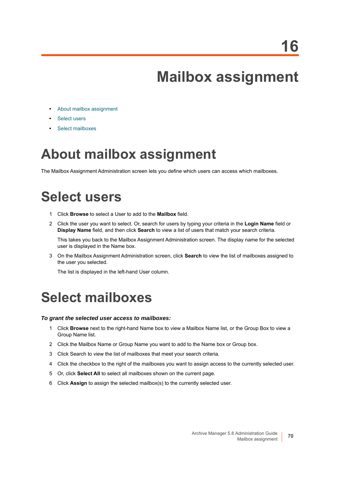**16**

# **Mailbox assignment**

- **•** [About mailbox assignment](#page-69-0)
- **•** [Select users](#page-69-1)
- **•** [Select mailboxes](#page-69-2)

## <span id="page-69-0"></span>**About mailbox assignment**

The Mailbox Assignment Administration screen lets you define which users can access which mailboxes.

## <span id="page-69-1"></span>**Select users**

- 1 Click **Browse** to select a User to add to the **Mailbox** field.
- 2 Click the user you want to select. Or, search for users by typing your criteria in the **Login Name** field or **Display Name** field, and then click **Search** to view a list of users that match your search criteria.

This takes you back to the Mailbox Assignment Administration screen. The display name for the selected user is displayed in the Name box.

3 On the Mailbox Assignment Administration screen, click **Search** to view the list of mailboxes assigned to the user you selected.

The list is displayed in the left-hand User column.

### <span id="page-69-2"></span>**Select mailboxes**

#### *To grant the selected user access to mailboxes:*

- 1 Click **Browse** next to the right-hand Name box to view a Mailbox Name list, or the Group Box to view a Group Name list.
- 2 Click the Mailbox Name or Group Name you want to add to the Name box or Group box.
- 3 Click Search to view the list of mailboxes that meet your search criteria.
- 4 Click the checkbox to the right of the mailboxes you want to assign access to the currently selected user.
- 5 Or, click **Select All** to select all mailboxes shown on the current page.
- 6 Click **Assign** to assign the selected mailbox(s) to the currently selected user.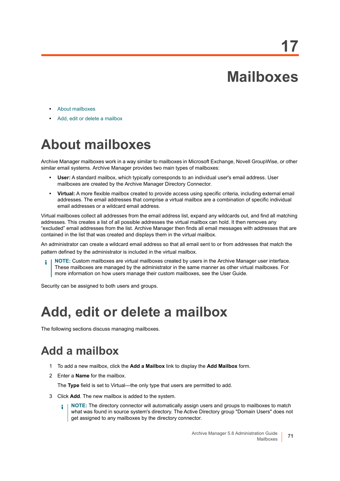# **Mailboxes**

- **•** [About mailboxes](#page-70-0)
- **•** [Add, edit or delete a mailbox](#page-70-1)

# <span id="page-70-0"></span>**About mailboxes**

Archive Manager mailboxes work in a way similar to mailboxes in Microsoft Exchange, Novell GroupWise, or other similar email systems. Archive Manager provides two main types of mailboxes:

- **User:** A standard mailbox, which typically corresponds to an individual user's email address. User mailboxes are created by the Archive Manager Directory Connector.
- **Virtual:** A more flexible mailbox created to provide access using specific criteria, including external email addresses. The email addresses that comprise a virtual mailbox are a combination of specific individual email addresses or a wildcard email address.

Virtual mailboxes collect all addresses from the email address list, expand any wildcards out, and find all matching addresses. This creates a list of all possible addresses the virtual mailbox can hold. It then removes any "excluded" email addresses from the list. Archive Manager then finds all email messages with addresses that are contained in the list that was created and displays them in the virtual mailbox.

An administrator can create a wildcard email address so that all email sent to or from addresses that match the pattern defined by the administrator is included in the virtual mailbox.

**NOTE:** Custom mailboxes are virtual mailboxes created by users in the Archive Manager user interface. These mailboxes are managed by the administrator in the same manner as other virtual mailboxes. For more information on how users manage their custom mailboxes, see the User Guide.

Security can be assigned to both users and groups.

## <span id="page-70-1"></span>**Add, edit or delete a mailbox**

The following sections discuss managing mailboxes.

### **Add a mailbox**

- 1 To add a new mailbox, click the **Add a Mailbox** link to display the **Add Mailbox** form.
- 2 Enter a **Name** for the mailbox.

The **Type** field is set to Virtual—the only type that users are permitted to add.

- 3 Click **Add**. The new mailbox is added to the system.
	- **NOTE:** The directory connector will automatically assign users and groups to mailboxes to match i l what was found in source system's directory. The Active Directory group "Domain Users" does not get assigned to any mailboxes by the directory connector.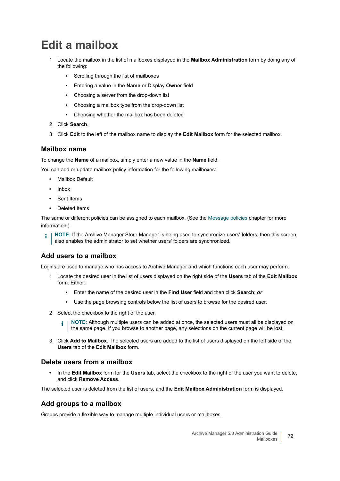### **Edit a mailbox**

- 1 Locate the mailbox in the list of mailboxes displayed in the **Mailbox Administration** form by doing any of the following:
	- **■** Scrolling through the list of mailboxes
	- **▪** Entering a value in the **Name** or Display **Owner** field
	- **▪** Choosing a server from the drop-down list
	- **▪** Choosing a mailbox type from the drop-down list
	- **▪** Choosing whether the mailbox has been deleted
- 2 Click **Search**.
- 3 Click **Edit** to the left of the mailbox name to display the **Edit Mailbox** form for the selected mailbox.

#### **Mailbox name**

To change the **Name** of a mailbox, simply enter a new value in the **Name** field.

You can add or update mailbox policy information for the following mailboxes:

- **•** Mailbox Default
- **•** Inbox
- **•** Sent Items
- **•** Deleted Items

The same or different policies can be assigned to each mailbox. (See the [Message policies](#page-86-0) chapter for more information.)

**NOTE:** If the Archive Manager Store Manager is being used to synchronize users' folders, then this screen ÷ also enables the administrator to set whether users' folders are synchronized.

#### **Add users to a mailbox**

Logins are used to manage who has access to Archive Manager and which functions each user may perform.

- 1 Locate the desired user in the list of users displayed on the right side of the **Users** tab of the **Edit Mailbox** form. Either:
	- **▪** Enter the name of the desired user in the **Find User** field and then click **Search**; *or*
	- **▪** Use the page browsing controls below the list of users to browse for the desired user.
- 2 Select the checkbox to the right of the user.

**NOTE:** Although multiple users can be added at once, the selected users must all be displayed on f. the same page. If you browse to another page, any selections on the current page will be lost.

3 Click **Add to Mailbox**. The selected users are added to the list of users displayed on the left side of the **Users** tab of the **Edit Mailbox** form.

#### **Delete users from a mailbox**

**•** In the **Edit Mailbox** form for the **Users** tab, select the checkbox to the right of the user you want to delete, and click **Remove Access**.

The selected user is deleted from the list of users, and the **Edit Mailbox Administration** form is displayed.

#### **Add groups to a mailbox**

Groups provide a flexible way to manage multiple individual users or mailboxes.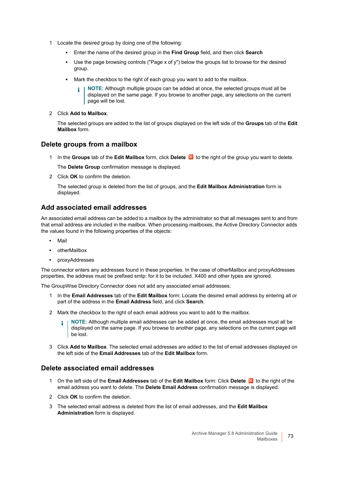- 1 Locate the desired group by doing one of the following:
	- **▪** Enter the name of the desired group in the **Find Group** field, and then click **Search**
	- **▪** Use the page browsing controls ("Page x of y") below the groups list to browse for the desired group.
	- **■** Mark the checkbox to the right of each group you want to add to the mailbox.
		- **NOTE:** Although multiple groups can be added at once, the selected groups must all be f displayed on the same page. If you browse to another page, any selections on the current page will be lost.
- 2 Click **Add to Mailbox**.

The selected groups are added to the list of groups displayed on the left side of the **Groups** tab of the **Edit Mailbox** form.

### **Delete groups from a mailbox**

1 In the Groups tab of the Edit Mailbox form, click Delete **do** to the right of the group you want to delete.

The **Delete Group** confirmation message is displayed.

2 Click **OK** to confirm the deletion.

The selected group is deleted from the list of groups, and the **Edit Mailbox Administration** form is displayed.

### **Add associated email addresses**

An associated email address can be added to a mailbox by the administrator so that all messages sent to and from that email address are included in the mailbox. When processing mailboxes, the Active Directory Connector adds the values found in the following properties of the objects:

- **•** Mail
- **•** otherMailbox
- **•** proxyAddresses

The connector enters any addresses found in these properties. In the case of otherMailbox and proxyAddresses properties, the address must be prefixed smtp: for it to be included. X400 and other types are ignored.

The GroupWise Directory Connector does not add any associated email addresses.

- 1 In the **Email Addresses** tab of the **Edit Mailbox** form: Locate the desired email address by entering all or part of the address in the **Email Address** field, and click **Search**.
- 2 Mark the checkbox to the right of each email address you want to add to the mailbox.
	- **NOTE:** Although multiple email addresses can be added at once, the email addresses must all be ÷ displayed on the same page. If you browse to another page, any selections on the current page will be lost.
- 3 Click **Add to Mailbox**. The selected email addresses are added to the list of email addresses displayed on the left side of the **Email Addresses** tab of the **Edit Mailbox** form.

### **Delete associated email addresses**

- 1 On the left side of the **Email Addresses** tab of the **Edit Mailbox** form: Click **Delete** to the right of the email address you want to delete. The **Delete Email Address** confirmation message is displayed.
- 2 Click **OK** to confirm the deletion.
- 3 The selected email address is deleted from the list of email addresses, and the **Edit Mailbox Administration** form is displayed.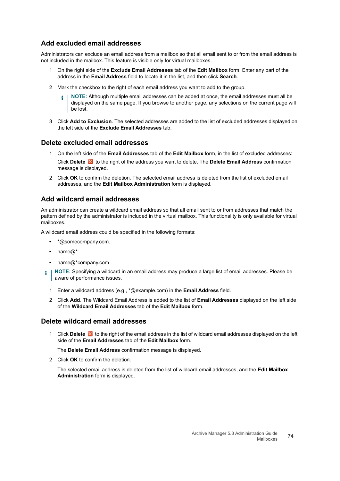### **Add excluded email addresses**

Administrators can exclude an email address from a mailbox so that all email sent to or from the email address is not included in the mailbox. This feature is visible only for virtual mailboxes.

- 1 On the right side of the **Exclude Email Addresses** tab of the **Edit Mailbox** form: Enter any part of the address in the **Email Address** field to locate it in the list, and then click **Search**.
- 2 Mark the checkbox to the right of each email address you want to add to the group.
	- **NOTE:** Although multiple email addresses can be added at once, the email addresses must all be displayed on the same page. If you browse to another page, any selections on the current page will be lost.
- 3 Click **Add to Exclusion**. The selected addresses are added to the list of excluded addresses displayed on the left side of the **Exclude Email Addresses** tab.

### **Delete excluded email addresses**

- 1 On the left side of the **Email Addresses** tab of the **Edit Mailbox** form, in the list of excluded addresses: Click **Delete X** to the right of the address you want to delete. The **Delete Email Address** confirmation message is displayed.
- 2 Click **OK** to confirm the deletion. The selected email address is deleted from the list of excluded email addresses, and the **Edit Mailbox Administration** form is displayed.

### **Add wildcard email addresses**

An administrator can create a wildcard email address so that all email sent to or from addresses that match the pattern defined by the administrator is included in the virtual mailbox. This functionality is only available for virtual mailboxes.

A wildcard email address could be specified in the following formats:

- **•** \*@somecompany.com.
- **•** name@\*
- **•** name@\*company.com
- **NOTE:** Specifying a wildcard in an email address may produce a large list of email addresses. Please be aware of performance issues.
	- 1 Enter a wildcard address (e.g., \*@example.com) in the **Email Address** field.
	- 2 Click **Add**. The Wildcard Email Address is added to the list of **Email Addresses** displayed on the left side of the **Wildcard Email Addresses** tab of the **Edit Mailbox** form.

### **Delete wildcard email addresses**

1 Click **Delete to** to the right of the email address in the list of wildcard email addresses displayed on the left side of the **Email Addresses** tab of the **Edit Mailbox** form.

The **Delete Email Address** confirmation message is displayed.

2 Click **OK** to confirm the deletion.

The selected email address is deleted from the list of wildcard email addresses, and the **Edit Mailbox Administration** form is displayed.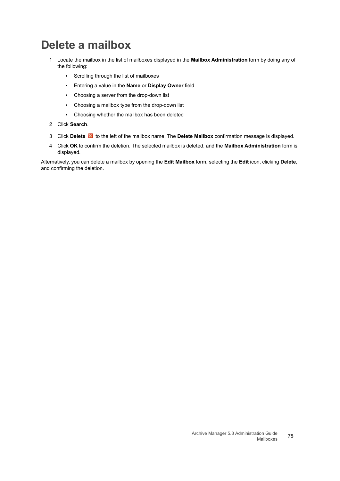### **Delete a mailbox**

- 1 Locate the mailbox in the list of mailboxes displayed in the **Mailbox Administration** form by doing any of the following:
	- **▪** Scrolling through the list of mailboxes
	- **▪** Entering a value in the **Name** or **Display Owner** field
	- **▪** Choosing a server from the drop-down list
	- **▪** Choosing a mailbox type from the drop-down list
	- **▪** Choosing whether the mailbox has been deleted
- 2 Click **Search**.
- 3 Click **Delete** to the left of the mailbox name. The **Delete Mailbox** confirmation message is displayed.
- 4 Click **OK** to confirm the deletion. The selected mailbox is deleted, and the **Mailbox Administration** form is displayed.

Alternatively, you can delete a mailbox by opening the **Edit Mailbox** form, selecting the **Edit** icon, clicking **Delete**, and confirming the deletion.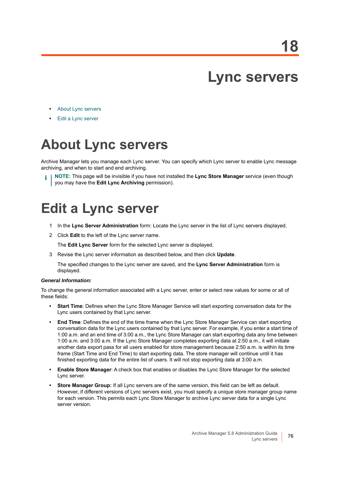## **Lync servers**

- **•** [About Lync servers](#page-75-0)
- **•** [Edit a Lync server](#page-75-1)

## <span id="page-75-0"></span>**About Lync servers**

Archive Manager lets you manage each Lync server. You can specify which Lync server to enable Lync message archiving, and when to start and end archiving.

**NOTE:** This page will be invisible if you have not installed the **Lync Store Manager** service (even though you may have the **Edit Lync Archiving** permission).

## <span id="page-75-1"></span>**Edit a Lync server**

- 1 In the **Lync Server Administration** form: Locate the Lync server in the list of Lync servers displayed.
- 2 Click **Edit** to the left of the Lync server name.

The **Edit Lync Server** form for the selected Lync server is displayed.

3 Revise the Lync server information as described below, and then click **Update**.

The specified changes to the Lync server are saved, and the **Lync Server Administration** form is displayed.

#### *General Information:*

To change the general information associated with a Lync server, enter or select new values for some or all of these fields:

- **Start Time**: Defines when the Lync Store Manager Service will start exporting conversation data for the Lync users contained by that Lync server.
- **End Time**: Defines the end of the time frame when the Lync Store Manager Service can start exporting conversation data for the Lync users contained by that Lync server. For example, if you enter a start time of 1:00 a.m. and an end time of 3:00 a.m., the Lync Store Manager can start exporting data any time between 1:00 a.m. and 3:00 a.m. If the Lync Store Manager completes exporting data at 2:50 a.m., it will initiate another data export pass for all users enabled for store management because 2:50 a.m. is within its time frame (Start Time and End Time) to start exporting data. The store manager will continue until it has finished exporting data for the entire list of users. It will not stop exporting data at 3:00 a.m.
- **Enable Store Manager**: A check box that enables or disables the Lync Store Manager for the selected Lync server.
- **Store Manager Group:** If all Lync servers are of the same version, this field can be left as default. However, if different versions of Lync servers exist, you must specify a unique store manager group name for each version. This permits each Lync Store Manager to archive Lync server data for a single Lync server version.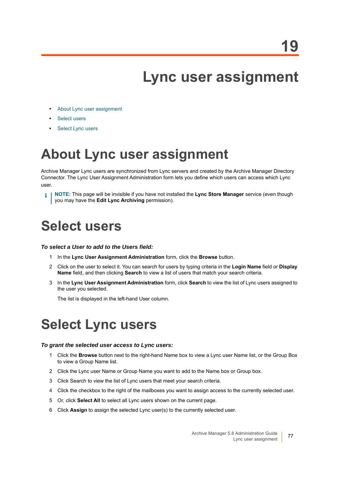## **Lync user assignment**

- **•** [About Lync user assignment](#page-76-0)
- **•** [Select users](#page-76-1)
- **•** [Select Lync users](#page-76-2)

## <span id="page-76-0"></span>**About Lync user assignment**

Archive Manager Lync users are synchronized from Lync servers and created by the Archive Manager Directory Connector. The Lync User Assignment Administration form lets you define which users can access which Lync user.

**NOTE:** This page will be invisible if you have not installed the **Lync Store Manager** service (even though i you may have the **Edit Lync Archiving** permission).

## <span id="page-76-1"></span>**Select users**

#### *To select a User to add to the Users field:*

- 1 In the **Lync User Assignment Administration** form, click the **Browse** button.
- 2 Click on the user to select it. You can search for users by typing criteria in the **Login Name** field or **Display Name** field, and then clicking **Search** to view a list of users that match your search criteria.
- 3 In the **Lync User Assignment Administration** form, click **Search** to view the list of Lync users assigned to the user you selected.

The list is displayed in the left-hand User column.

## <span id="page-76-2"></span>**Select Lync users**

#### *To grant the selected user access to Lync users:*

- 1 Click the **Browse** button next to the right-hand Name box to view a Lync user Name list, or the Group Box to view a Group Name list.
- 2 Click the Lync user Name or Group Name you want to add to the Name box or Group box.
- 3 Click Search to view the list of Lync users that meet your search criteria.
- 4 Click the checkbox to the right of the mailboxes you want to assign access to the currently selected user.
- 5 Or, click **Select All** to select all Lync users shown on the current page.
- 6 Click **Assign** to assign the selected Lync user(s) to the currently selected user.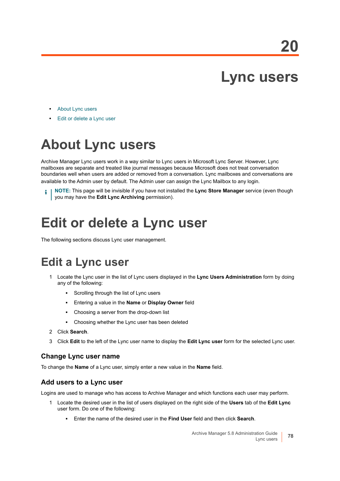## **Lync users**

- **•** [About Lync users](#page-77-0)
- **•** [Edit or delete a Lync user](#page-77-1)

## <span id="page-77-0"></span>**About Lync users**

Archive Manager Lync users work in a way similar to Lync users in Microsoft Lync Server. However, Lync mailboxes are separate and treated like journal messages because Microsoft does not treat conversation boundaries well when users are added or removed from a conversation. Lync mailboxes and conversations are available to the Admin user by default. The Admin user can assign the Lync Mailbox to any login.

**NOTE:** This page will be invisible if you have not installed the **Lync Store Manager** service (even though you may have the **Edit Lync Archiving** permission).

## <span id="page-77-1"></span>**Edit or delete a Lync user**

The following sections discuss Lync user management.

### **Edit a Lync user**

- 1 Locate the Lync user in the list of Lync users displayed in the **Lync Users Administration** form by doing any of the following:
	- **▪** Scrolling through the list of Lync users
	- **▪** Entering a value in the **Name** or **Display Owner** field
	- **▪** Choosing a server from the drop-down list
	- **▪** Choosing whether the Lync user has been deleted
- 2 Click **Search**.
- 3 Click **Edit** to the left of the Lync user name to display the **Edit Lync user** form for the selected Lync user.

### **Change Lync user name**

To change the **Name** of a Lync user, simply enter a new value in the **Name** field.

### **Add users to a Lync user**

Logins are used to manage who has access to Archive Manager and which functions each user may perform.

- 1 Locate the desired user in the list of users displayed on the right side of the **Users** tab of the **Edit Lync** user form. Do one of the following:
	- **▪** Enter the name of the desired user in the **Find User** field and then click **Search**.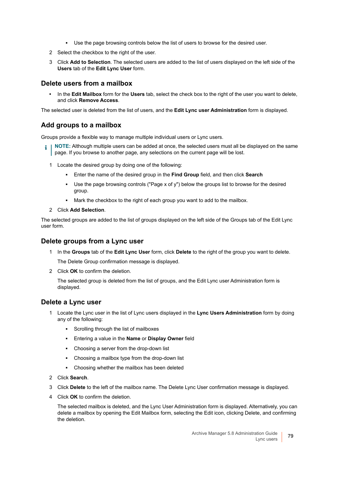- **▪** Use the page browsing controls below the list of users to browse for the desired user.
- 2 Select the checkbox to the right of the user.
- 3 Click **Add to Selection**. The selected users are added to the list of users displayed on the left side of the **Users** tab of the **Edit Lync User** form.

### **Delete users from a mailbox**

**•** In the **Edit Mailbox** form for the **Users** tab, select the check box to the right of the user you want to delete, and click **Remove Access**.

The selected user is deleted from the list of users, and the **Edit Lync user Administration** form is displayed.

### **Add groups to a mailbox**

Groups provide a flexible way to manage multiple individual users or Lync users.

- **i** | NOTE: Although multiple users can be added at once, the selected users must all be displayed on the same page. If you browse to another page, any selections on the current page will be lost.
	- 1 Locate the desired group by doing one of the following:
		- **▪** Enter the name of the desired group in the **Find Group** field, and then click **Search**
		- Use the page browsing controls ("Page x of y") below the groups list to browse for the desired group.
		- **▪** Mark the checkbox to the right of each group you want to add to the mailbox.
	- 2 Click **Add Selection**.

The selected groups are added to the list of groups displayed on the left side of the Groups tab of the Edit Lync user form.

### **Delete groups from a Lync user**

1 In the **Groups** tab of the **Edit Lync User** form, click **Delete** to the right of the group you want to delete.

The Delete Group confirmation message is displayed.

2 Click **OK** to confirm the deletion.

The selected group is deleted from the list of groups, and the Edit Lync user Administration form is displayed.

### **Delete a Lync user**

- 1 Locate the Lync user in the list of Lync users displayed in the **Lync Users Administration** form by doing any of the following:
	- **▪** Scrolling through the list of mailboxes
	- **▪** Entering a value in the **Name** or **Display Owner** field
	- **▪** Choosing a server from the drop-down list
	- **▪** Choosing a mailbox type from the drop-down list
	- **▪** Choosing whether the mailbox has been deleted
- 2 Click **Search**.
- 3 Click **Delete** to the left of the mailbox name. The Delete Lync User confirmation message is displayed.
- 4 Click **OK** to confirm the deletion.

The selected mailbox is deleted, and the Lync User Administration form is displayed. Alternatively, you can delete a mailbox by opening the Edit Mailbox form, selecting the Edit icon, clicking Delete, and confirming the deletion.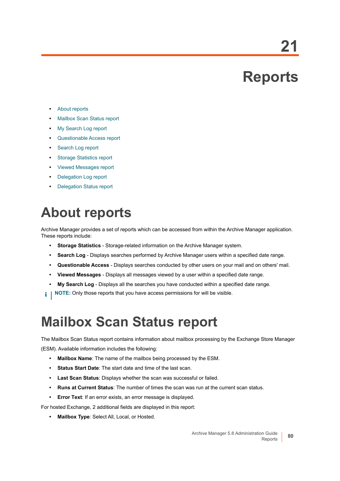# **Reports**

**21**

- **•** [About reports](#page-79-0)
- **•** [Mailbox Scan Status report](#page-79-1)
- **•** [My Search Log report](#page-80-0)
- **•** [Questionable Access report](#page-80-1)
- **•** [Search Log report](#page-82-0)
- **•** [Storage Statistics report](#page-83-0)
- **•** [Viewed Messages report](#page-83-1)
- **•** [Delegation Log report](#page-84-0)
- **•** [Delegation Status report](#page-84-1)

## <span id="page-79-0"></span>**About reports**

Archive Manager provides a set of reports which can be accessed from within the Archive Manager application. These reports include:

- **Storage Statistics** Storage-related information on the Archive Manager system.
- **Search Log** Displays searches performed by Archive Manager users within a specified date range.
- **Questionable Access** Displays searches conducted by other users on your mail and on others' mail.
- **Viewed Messages** Displays all messages viewed by a user within a specified date range.
- **My Search Log** Displays all the searches you have conducted within a specified date range.
- **NOTE:** Only those reports that you have access permissions for will be visible.i I

## <span id="page-79-1"></span>**Mailbox Scan Status report**

The Mailbox Scan Status report contains information about mailbox processing by the Exchange Store Manager (ESM). Available information includes the following:

- **Mailbox Name**: The name of the mailbox being processed by the ESM.
- **Status Start Date:** The start date and time of the last scan.
- **Last Scan Status**: Displays whether the scan was successful or failed.
- **Runs at Current Status**: The number of times the scan was run at the current scan status.
- **Error Text:** If an error exists, an error message is displayed.

For hosted Exchange, 2 additional fields are displayed in this report:

**• Mailbox Type**: Select All, Local, or Hosted.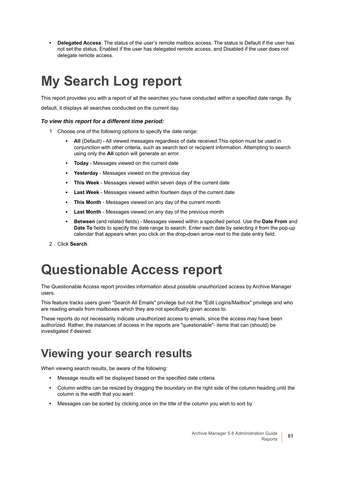**• Delegated Access**: The status of the user's remote mailbox access. The status is Default if the user has not set the status, Enabled if the user has delegated remote access, and Disabled if the user does not delegate remote access.

## <span id="page-80-0"></span>**My Search Log report**

This report provides you with a report of all the searches you have conducted within a specified date range. By default, it displays all searches conducted on the current day.

### *To view this report for a different time period:*

- 1 Choose one of the following options to specify the date range:
	- All (Default) All viewed messages regardless of date received. This option must be used in conjunction with other criteria, such as search text or recipient information. Attempting to search using only the **All** option will generate an error.
	- **Today** Messages viewed on the current date
	- Yesterday Messages viewed on the previous day
	- **This Week** Messages viewed within seven days of the current date
	- **Last Week** Messages viewed within fourteen days of the current date
	- **This Month** Messages viewed on any day of the current month
	- **Last Month** Messages viewed on any day of the previous month
	- **Between** (and related fields) Messages viewed within a specified period. Use the **Date From** and **Date To** fields to specify the date range to search. Enter each date by selecting it from the pop-up calendar that appears when you click on the drop-down arrow next to the date entry field.
- 2 Click **Search**.

## <span id="page-80-1"></span>**Questionable Access report**

The Questionable Access report provides information about possible unauthorized access by Archive Manager users.

This feature tracks users given "Search All Emails" privilege but not the "Edit Logins/Mailbox" privilege and who are reading emails from mailboxes which they are not specifically given access to.

These reports do not necessarily indicate unauthorized access to emails, since the access may have been authorized. Rather, the instances of access in the reports are "questionable"- items that can (should) be investigated if desired.

### **Viewing your search results**

When viewing search results, be aware of the following:

- **•** Message results will be displayed based on the specified date criteria
- **•** Column widths can be resized by dragging the boundary on the right side of the column heading until the column is the width that you want
- **•** Messages can be sorted by clicking once on the title of the column you wish to sort by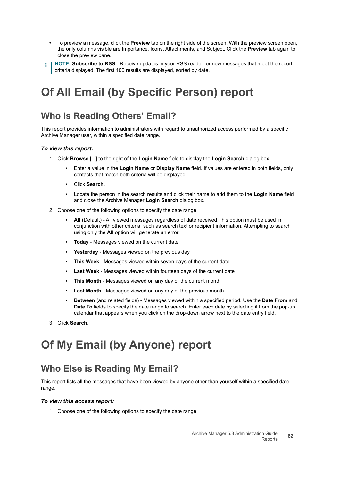- **•** To preview a message, click the **Preview** tab on the right side of the screen. With the preview screen open, the only columns visible are Importance, Icons, Attachments, and Subject. Click the **Preview** tab again to close the preview pane.
- **NOTE: Subscribe to RSS** Receive updates in your RSS reader for new messages that meet the report i criteria displayed. The first 100 results are displayed, sorted by date.

### **Of All Email (by Specific Person) report**

### **Who is Reading Others' Email?**

This report provides information to administrators with regard to unauthorized access performed by a specific Archive Manager user, within a specified date range.

#### *To view this report:*

- 1 Click **Browse** [...] to the right of the **Login Name** field to display the **Login Search** dialog box.
	- **▪** Enter a value in the **Login Name** or **Display Name** field. If values are entered in both fields, only contacts that match both criteria will be displayed.
	- **▪** Click **Search**.
	- **▪** Locate the person in the search results and click their name to add them to the **Login Name** field and close the Archive Manager **Login Search** dialog box.
- 2 Choose one of the following options to specify the date range:
	- All (Default) All viewed messages regardless of date received.This option must be used in conjunction with other criteria, such as search text or recipient information. Attempting to search using only the **All** option will generate an error.
	- **Today** Messages viewed on the current date
	- Yesterday Messages viewed on the previous day
	- **This Week** Messages viewed within seven days of the current date
	- **Last Week** Messages viewed within fourteen days of the current date
	- **This Month** Messages viewed on any day of the current month
	- **Last Month** Messages viewed on any day of the previous month
	- **Between** (and related fields) Messages viewed within a specified period. Use the **Date From** and **Date To** fields to specify the date range to search. Enter each date by selecting it from the pop-up calendar that appears when you click on the drop-down arrow next to the date entry field.
- 3 Click **Search**.

### **Of My Email (by Anyone) report**

### **Who Else is Reading My Email?**

This report lists all the messages that have been viewed by anyone other than yourself within a specified date range.

#### *To view this access report:*

1 Choose one of the following options to specify the date range: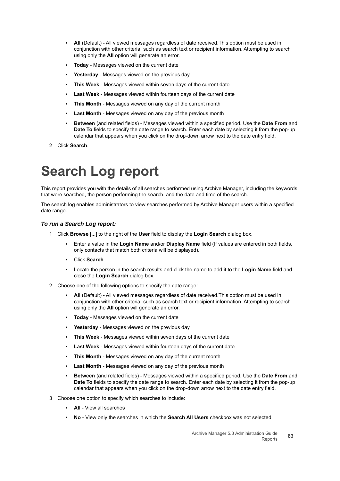- **All** (Default) All viewed messages regardless of date received. This option must be used in conjunction with other criteria, such as search text or recipient information. Attempting to search using only the **All** option will generate an error.
- **Today** Messages viewed on the current date
- Yesterday Messages viewed on the previous day
- **This Week** Messages viewed within seven days of the current date
- Last Week Messages viewed within fourteen days of the current date
- **This Month** Messages viewed on any day of the current month
- **Last Month** Messages viewed on any day of the previous month
- **Between** (and related fields) Messages viewed within a specified period. Use the **Date From** and **Date To** fields to specify the date range to search. Enter each date by selecting it from the pop-up calendar that appears when you click on the drop-down arrow next to the date entry field.
- 2 Click **Search**.

## <span id="page-82-0"></span>**Search Log report**

This report provides you with the details of all searches performed using Archive Manager, including the keywords that were searched, the person performing the search, and the date and time of the search.

The search log enables administrators to view searches performed by Archive Manager users within a specified date range.

#### *To run a Search Log report:*

- 1 Click **Browse** [...] to the right of the **User** field to display the **Login Search** dialog box.
	- **▪** Enter a value in the **Login Name** and/or **Display Name** field (If values are entered in both fields, only contacts that match both criteria will be displayed).
	- **▪** Click **Search**.
	- **▪** Locate the person in the search results and click the name to add it to the **Login Name** field and close the **Login Search** dialog box.
- 2 Choose one of the following options to specify the date range:
	- **All** (Default) All viewed messages regardless of date received.This option must be used in conjunction with other criteria, such as search text or recipient information. Attempting to search using only the **All** option will generate an error.
	- **Today** Messages viewed on the current date
	- Yesterday Messages viewed on the previous day
	- **This Week** Messages viewed within seven days of the current date
	- **Last Week** Messages viewed within fourteen days of the current date
	- **This Month** Messages viewed on any day of the current month
	- **Last Month** Messages viewed on any day of the previous month
	- **Between** (and related fields) Messages viewed within a specified period. Use the **Date From** and **Date To** fields to specify the date range to search. Enter each date by selecting it from the pop-up calendar that appears when you click on the drop-down arrow next to the date entry field.
- 3 Choose one option to specify which searches to include:
	- **All** View all searches
	- **No** View only the searches in which the **Search All Users** checkbox was not selected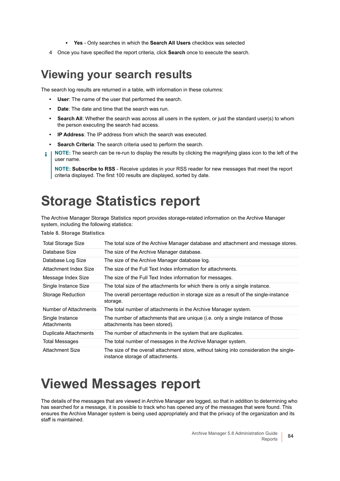- **Yes** Only searches in which the **Search All Users** checkbox was selected
- 4 Once you have specified the report criteria, click **Search** once to execute the search.

### **Viewing your search results**

The search log results are returned in a table, with information in these columns:

- **User**: The name of the user that performed the search.
- **Date**: The date and time that the search was run.
- **Search All:** Whether the search was across all users in the system, or just the standard user(s) to whom the person executing the search had access.
- **IP Address**: The IP address from which the search was executed.
- **Search Criteria**: The search criteria used to perform the search.
- **NOTE:** The search can be re-run to display the results by clicking the magnifying glass icon to the left of the ÷ user name.

**NOTE: Subscribe to RSS** - Receive updates in your RSS reader for new messages that meet the report criteria displayed. The first 100 results are displayed, sorted by date.

## <span id="page-83-0"></span>**Storage Statistics report**

The Archive Manager Storage Statistics report provides storage-related information on the Archive Manager system, including the following statistics:

**Table 8. Storage Statistics**

| <b>Total Storage Size</b>      | The total size of the Archive Manager database and attachment and message stores.                                           |
|--------------------------------|-----------------------------------------------------------------------------------------------------------------------------|
| Database Size                  | The size of the Archive Manager database.                                                                                   |
| Database Log Size              | The size of the Archive Manager database log.                                                                               |
| Attachment Index Size          | The size of the Full Text Index information for attachments.                                                                |
| Message Index Size             | The size of the Full Text Index information for messages.                                                                   |
| Single Instance Size           | The total size of the attachments for which there is only a single instance.                                                |
| <b>Storage Reduction</b>       | The overall percentage reduction in storage size as a result of the single-instance<br>storage.                             |
| Number of Attachments          | The total number of attachments in the Archive Manager system.                                                              |
| Single Instance<br>Attachments | The number of attachments that are unique (i.e. only a single instance of those<br>attachments has been stored).            |
| <b>Duplicate Attachments</b>   | The number of attachments in the system that are duplicates.                                                                |
| Total Messages                 | The total number of messages in the Archive Manager system.                                                                 |
| Attachment Size                | The size of the overall attachment store, without taking into consideration the single-<br>instance storage of attachments. |

## <span id="page-83-1"></span>**Viewed Messages report**

The details of the messages that are viewed in Archive Manager are logged, so that in addition to determining who has searched for a message, it is possible to track who has opened any of the messages that were found. This ensures the Archive Manager system is being used appropriately and that the privacy of the organization and its staff is maintained.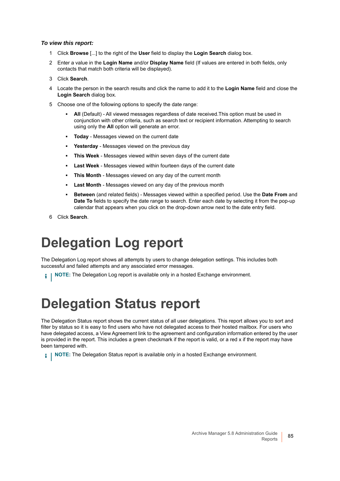#### *To view this report:*

- 1 Click **Browse** [...] to the right of the **User** field to display the **Login Search** dialog box.
- 2 Enter a value in the **Login Name** and/or **Display Name** field (If values are entered in both fields, only contacts that match both criteria will be displayed).
- 3 Click **Search**.
- 4 Locate the person in the search results and click the name to add it to the **Login Name** field and close the **Login Search** dialog box.
- 5 Choose one of the following options to specify the date range:
	- **All** (Default) All viewed messages regardless of date received. This option must be used in conjunction with other criteria, such as search text or recipient information. Attempting to search using only the **All** option will generate an error.
	- **Today** Messages viewed on the current date
	- Yesterday Messages viewed on the previous day
	- **This Week** Messages viewed within seven days of the current date
	- **Last Week** Messages viewed within fourteen days of the current date
	- **This Month** Messages viewed on any day of the current month
	- **Last Month** Messages viewed on any day of the previous month
	- **Between** (and related fields) Messages viewed within a specified period. Use the **Date From** and **Date To** fields to specify the date range to search. Enter each date by selecting it from the pop-up calendar that appears when you click on the drop-down arrow next to the date entry field.
- 6 Click **Search**.

## <span id="page-84-0"></span>**Delegation Log report**

The Delegation Log report shows all attempts by users to change delegation settings. This includes both successful and failed attempts and any associated error messages.

**NOTE:** The Delegation Log report is available only in a hosted Exchange environment. i I

## <span id="page-84-1"></span>**Delegation Status report**

The Delegation Status report shows the current status of all user delegations. This report allows you to sort and filter by status so it is easy to find users who have not delegated access to their hosted mailbox. For users who have delegated access, a View Agreement link to the agreement and configuration information entered by the user is provided in the report. This includes a green checkmark if the report is valid, or a red x if the report may have been tampered with.

**i** | NOTE: The Delegation Status report is available only in a hosted Exchange environment.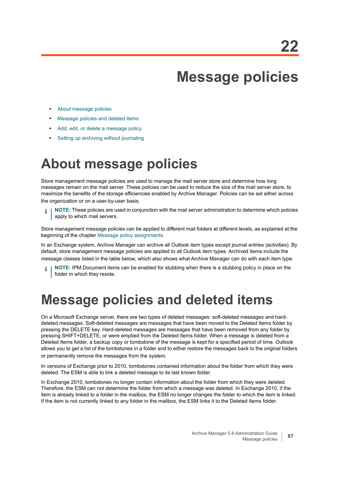## **Message policies**

- **•** [About message policies](#page-86-0)
- **•** [Message policies and deleted items](#page-86-1)
- **•** [Add, edit, or delete a message policy](#page-87-0)
- **•** [Setting up archiving without journaling](#page-89-0)

## <span id="page-86-0"></span>**About message policies**

Store management message policies are used to manage the mail server store and determine how long messages remain on the mail server. These policies can be used to reduce the size of the mail server store, to maximize the benefits of the storage efficiencies enabled by Archive Manager. Policies can be set either across the organization or on a user-by-user basis.

**NOTE:** These policies are used in conjunction with the mail server administration to determine which policies apply to which mail servers.

Store management message policies can be applied to different mail folders at different levels, as explained at the beginning of the chapter [Message policy assignments.](#page-91-0)

In an Exchange system, Archive Manager can archive all Outlook item types except journal entries (activities). By default, store management message policies are applied to all Outlook item types. Archived items include the message classes listed in the table below, which also shows what Archive Manager can do with each item type.

**NOTE:** IPM.Document items can be enabled for stubbing when there is a stubbing policy in place on the i folder in which they reside.

## <span id="page-86-1"></span>**Message policies and deleted items**

On a Microsoft Exchange server, there are two types of deleted messages: soft-deleted messages and harddeleted messages. Soft-deleted messages are messages that have been moved to the Deleted Items folder by pressing the DELETE key. Hard-deleted messages are messages that have been removed from any folder by pressing SHIFT+DELETE, or were emptied from the Deleted Items folder. When a message is deleted from a Deleted Items folder, a backup copy or tombstone of the message is kept for a specified period of time. Outlook allows you to get a list of the tombstones in a folder and to either restore the messages back to the original folders or permanently remove the messages from the system.

In versions of Exchange prior to 2010, tombstones contained information about the folder from which they were deleted. The ESM is able to link a deleted message to its last known folder.

In Exchange 2010, tombstones no longer contain information about the folder from which they were deleted. Therefore, the ESM can not determine the folder from which a message was deleted. In Exchange 2010, if the item is already linked to a folder in the mailbox, the ESM no longer changes the folder to which the item is linked. If the item is not currently linked to any folder in the mailbox, the ESM links it to the Deleted Items folder.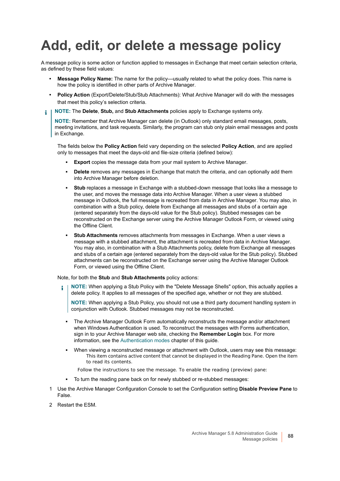## <span id="page-87-0"></span>**Add, edit, or delete a message policy**

A message policy is some action or function applied to messages in Exchange that meet certain selection criteria, as defined by these field values:

- **Message Policy Name:** The name for the policy—usually related to what the policy does. This name is how the policy is identified in other parts of Archive Manager.
- **Policy Action** (Export/Delete/Stub/Stub Attachments): What Archive Manager will do with the messages that meet this policy's selection criteria.
- **NOTE:** The **Delete**, **Stub,** and **Stub Attachments** policies apply to Exchange systems only. f.

**NOTE:** Remember that Archive Manager can delete (in Outlook) only standard email messages, posts, meeting invitations, and task requests. Similarly, the program can stub only plain email messages and posts in Exchange.

The fields below the **Policy Action** field vary depending on the selected **Policy Action**, and are applied only to messages that meet the days-old and file-size criteria (defined below):

- **Export** copies the message data from your mail system to Archive Manager.
- **Delete** removes any messages in Exchange that match the criteria, and can optionally add them into Archive Manager before deletion.
- **Stub** replaces a message in Exchange with a stubbed-down message that looks like a message to the user, and moves the message data into Archive Manager. When a user views a stubbed message in Outlook, the full message is recreated from data in Archive Manager. You may also, in combination with a Stub policy, delete from Exchange all messages and stubs of a certain age (entered separately from the days-old value for the Stub policy). Stubbed messages can be reconstructed on the Exchange server using the Archive Manager Outlook Form, or viewed using the Offline Client.
- **Stub Attachments** removes attachments from messages in Exchange. When a user views a message with a stubbed attachment, the attachment is recreated from data in Archive Manager. You may also, in combination with a Stub Attachments policy, delete from Exchange all messages and stubs of a certain age (entered separately from the days-old value for the Stub policy). Stubbed attachments can be reconstructed on the Exchange server using the Archive Manager Outlook Form, or viewed using the Offline Client.

#### Note, for both the **Stub** and **Stub Attachments** policy actions:

**NOTE:** When applying a Stub Policy with the "Delete Message Shells" option, this actually applies a î. delete policy. It applies to all messages of the specified age, whether or not they are stubbed.

**NOTE:** When applying a Stub Policy, you should not use a third party document handling system in conjunction with Outlook. Stubbed messages may not be reconstructed.

- **▪** The Archive Manager Outlook Form automatically reconstructs the message and/or attachment when Windows Authentication is used. To reconstruct the messages with Forms authentication, sign in to your Archive Manager web site, checking the **Remember Login** box. For more information, see the [Authentication modes](#page-11-0) chapter of this guide.
- When viewing a reconstructed message or attachment with Outlook, users may see this message: *This item contains active content that cannot be displayed in the Reading Pane. Open the item to read its contents.*
	- Follow the instructions to see the message. To enable the reading (preview) pane:
- **▪** To turn the reading pane back on for newly stubbed or re-stubbed messages:
- 1 Use the Archive Manager Configuration Console to set the Configuration setting **Disable Preview Pane** to False.
- 2 Restart the ESM.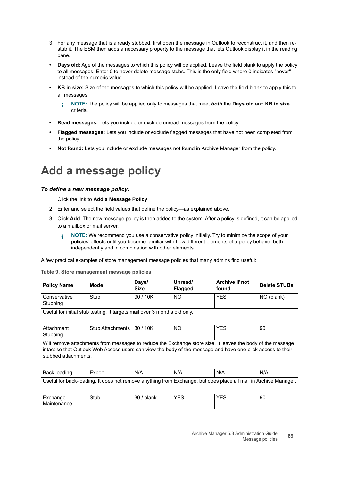- 3 For any message that is already stubbed, first open the message in Outlook to reconstruct it, and then restub it. The ESM then adds a necessary property to the message that lets Outlook display it in the reading pane.
- **Days old:** Age of the messages to which this policy will be applied. Leave the field blank to apply the policy to all messages. Enter 0 to never delete message stubs. This is the only field where 0 indicates "never" instead of the numeric value.
- **KB in size:** Size of the messages to which this policy will be applied. Leave the field blank to apply this to all messages.

**NOTE:** The policy will be applied only to messages that meet *both* the **Days old** and **KB in size** î. criteria.

- **Read messages:** Lets you include or exclude unread messages from the policy.
- **Flagged messages:** Lets you include or exclude flagged messages that have not been completed from the policy.
- **Not found:** Lets you include or exclude messages not found in Archive Manager from the policy.

### **Add a message policy**

#### *To define a new message policy:*

- 1 Click the link to **Add a Message Policy**.
- 2 Enter and select the field values that define the policy—as explained above.
- 3 Click **Add**. The new message policy is then added to the system. After a policy is defined, it can be applied to a mailbox or mail server.
	- ÷. **NOTE:** We recommend you use a conservative policy initially. Try to minimize the scope of your policies' effects until you become familiar with how different elements of a policy behave, both independently and in combination with other elements.

A few practical examples of store management message policies that many admins find useful:

#### **Table 9. Store management message policies**

| <b>Policy Name</b>         | Mode | Days/<br><b>Size</b> | Unread/<br>Flagged | Archive if not<br>found | <b>Delete STUBs</b> |
|----------------------------|------|----------------------|--------------------|-------------------------|---------------------|
| Conservative<br>l Stubbina | Stub | 90/10K               | NO                 | YES                     | NO (blank)          |

Useful for initial stub testing. It targets mail over 3 months old only.

| Attachment | Stub Attachments | 10K<br>.130 <sup>7</sup> | <b>NO</b> | YES | 90 |
|------------|------------------|--------------------------|-----------|-----|----|
| Stubbing   |                  |                          |           |     |    |

Will remove attachments from messages to reduce the Exchange store size. It leaves the body of the message intact so that Outlook Web Access users can view the body of the message and have one-click access to their stubbed attachments.

| Back loading                                                                                                             | -xpor. | N/A | N/A | N/t | N/A |
|--------------------------------------------------------------------------------------------------------------------------|--------|-----|-----|-----|-----|
| المصطبحان ويرتبطهم فبالتومس المرموات ومملح فربط المصطفين وسيط ومستطاه بمصادعته ومستراه والتقارب المصطلوعة ارتكوها المتحا |        |     |     |     |     |

Useful for back-loading. It does not remove anything from Exchange, but does place all mail in Archive Manager.

| ⊷<br>nue<br>∟∧∨⊔น | Stub | $\sim$<br>⊺blank<br>3U | $\sim$<br>v<br>−<br>◡ | $V = r$<br>-<br>└ | 90 |
|-------------------|------|------------------------|-----------------------|-------------------|----|
| Mair<br>าance     |      |                        |                       |                   |    |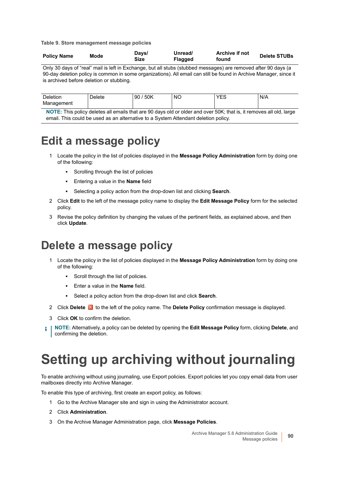**Table 9. Store management message policies**

| <b>Policy Name</b> | Mode | Days/<br>Size | Unread/<br>Flagged | Archive if not<br>found | <b>Delete STUBs</b> |
|--------------------|------|---------------|--------------------|-------------------------|---------------------|
|--------------------|------|---------------|--------------------|-------------------------|---------------------|

Only 30 days of "real" mail is left in Exchange, but all stubs (stubbed messages) are removed after 90 days (a 90-day deletion policy is common in some organizations). All email can still be found in Archive Manager, since it is archived before deletion or stubbing.

| ∩eletion<br>-<br>90<br>)elete<br>Management | 50K<br>NO<br>$\sim$ | $V = C$ | N/A |
|---------------------------------------------|---------------------|---------|-----|
|---------------------------------------------|---------------------|---------|-----|

**NOTE:** This policy deletes all emails that are 90 days old or older and over 50K; that is, it removes all old, large email. This could be used as an alternative to a System Attendant deletion policy.

### **Edit a message policy**

- 1 Locate the policy in the list of policies displayed in the **Message Policy Administration** form by doing one of the following:
	- **Scrolling through the list of policies**
	- **▪** Entering a value in the **Name** field
	- **▪** Selecting a policy action from the drop-down list and clicking **Search**.
- 2 Click **Edit** to the left of the message policy name to display the **Edit Message Policy** form for the selected policy.
- 3 Revise the policy definition by changing the values of the pertinent fields, as explained above, and then click **Update**.

### **Delete a message policy**

- 1 Locate the policy in the list of policies displayed in the **Message Policy Administration** form by doing one of the following:
	- **▪** Scroll through the list of policies.
	- **▪** Enter a value in the **Name** field.
	- **▪** Select a policy action from the drop-down list and click **Search**.
- 2 Click **Delete** in the left of the policy name. The **Delete Policy** confirmation message is displayed.
- 3 Click **OK** to confirm the deletion.
- **NOTE:** Alternatively, a policy can be deleted by opening the **Edit Message Policy** form, clicking **Delete**, and ÷ confirming the deletion.

## <span id="page-89-0"></span>**Setting up archiving without journaling**

To enable archiving without using journaling, use Export policies. Export policies let you copy email data from user mailboxes directly into Archive Manager.

To enable this type of archiving, first create an export policy, as follows:

- 1 Go to the Archive Manager site and sign in using the Administrator account.
- 2 Click **Administration**.
- 3 On the Archive Manager Administration page, click **Message Policies**.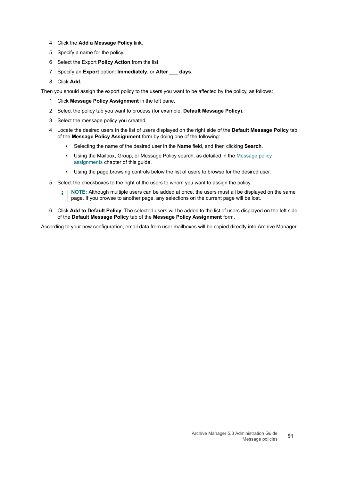- 4 Click the **Add a Message Policy** link.
- 5 Specify a name for the policy.
- 6 Select the Export **Policy Action** from the list.
- 7 Specify an **Export** option: **Immediately**, or **After** \_\_\_ **days**.
- 8 Click **Add.**

Then you should assign the export policy to the users you want to be affected by the policy, as follows:

- 1 Click **Message Policy Assignment** in the left pane.
- 2 Select the policy tab you want to process (for example, **Default Message Policy**).
- 3 Select the message policy you created.
- 4 Locate the desired users in the list of users displayed on the right side of the **Default Message Policy** tab of the **Message Policy Assignment** form by doing one of the following:
	- **▪** Selecting the name of the desired user in the **Name** field, and then clicking **Search**.
	- **▪** Using the Mailbox, Group, or Message Policy search, as detailed in the [Message policy](#page-91-0)  [assignments](#page-91-0) chapter of this guide.
	- **▪** Using the page browsing controls below the list of users to browse for the desired user.
- 5 Select the checkboxes to the right of the users to whom you want to assign the policy.
	- **NOTE:** Although multiple users can be added at once, the users must all be displayed on the same ÷ page. If you browse to another page, any selections on the current page will be lost.
- 6 Click **Add to Default Policy**. The selected users will be added to the list of users displayed on the left side of the **Default Message Policy** tab of the **Message Policy Assignment** form.

According to your new configuration, email data from user mailboxes will be copied directly into Archive Manager.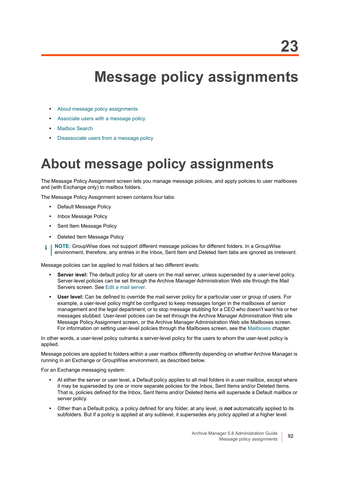## <span id="page-91-0"></span>**Message policy assignments**

- **•** [About message policy assignments](#page-91-1)
- **•** [Associate users with a message policy](#page-92-0)
- **•** [Mailbox Search](#page-92-1)
- **•** [Disassociate users from a message policy](#page-93-0)

## <span id="page-91-1"></span>**About message policy assignments**

The Message Policy Assignment screen lets you manage message policies, and apply policies to user mailboxes and (with Exchange only) to mailbox folders.

The Message Policy Assignment screen contains four tabs:

- **•** Default Message Policy
- **•** Inbox Message Policy
- **•** Sent Item Message Policy
- **•** Deleted Item Message Policy
- **NOTE:** GroupWise does not support different message policies for different folders. In a GroupWise f. environment, therefore, any entries in the Inbox, Sent Item and Deleted Item tabs are ignored as irrelevant.

Message policies can be applied to mail folders at two different levels:

- **Server** l**evel:** The default policy for all users on the mail server, unless superseded by a user-level policy. Server-level policies can be set through the Archive Manager Administration Web site through the Mail Servers screen. See [Edit a mail server](#page-67-0).
- **User level:** Can be defined to override the mail server policy for a particular user or group of users. For example, a user-level policy might be configured to keep messages longer in the mailboxes of senior management and the legal department, or to stop message stubbing for a CEO who doesn't want his or her messages stubbed. User-level policies can be set through the Archive Manager Administration Web site Message Policy Assignment screen, or the Archive Manager Administration Web site Mailboxes screen. For information on setting user-level policies through the Mailboxes screen, see the [Mailboxes](#page-70-0) chapter.

In other words, a user-level policy outranks a server-level policy for the users to whom the user-level policy is applied.

Message policies are applied to folders within a user mailbox differently depending on whether Archive Manager is running in an Exchange or GroupWise environment, as described below.

For an Exchange messaging system:

- **•** At either the server or user level, a Default policy applies to all mail folders in a user mailbox, except where it may be superseded by one or more separate policies for the Inbox, Sent Items and/or Deleted Items. That is, policies defined for the Inbox, Sent Items and/or Deleted Items will supersede a Default mailbox or server policy.
- **•** Other than a Default policy, a policy defined for any folder, at any level, is *not* automatically applied to its subfolders. But if a policy is applied at any sublevel, it supersedes any policy applied at a higher level.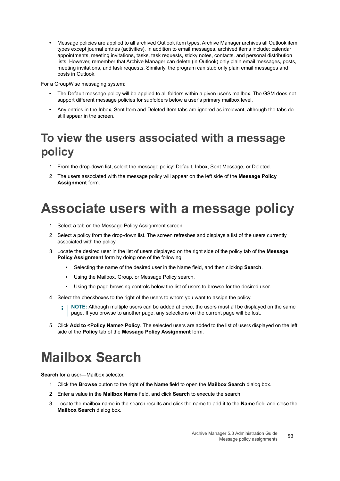**•** Message policies are applied to all archived Outlook item types. Archive Manager archives all Outlook item types except journal entries (activities). In addition to email messages, archived items include: calendar appointments, meeting invitations, tasks, task requests, sticky notes, contacts, and personal distribution lists. However, remember that Archive Manager can delete (in Outlook) only plain email messages, posts, meeting invitations, and task requests. Similarly, the program can stub only plain email messages and posts in Outlook.

For a GroupWise messaging system:

- **•** The Default message policy will be applied to all folders within a given user's mailbox. The GSM does not support different message policies for subfolders below a user's primary mailbox level.
- **•** Any entries in the Inbox, Sent Item and Deleted Item tabs are ignored as irrelevant, although the tabs do still appear in the screen.

### **To view the users associated with a message policy**

- 1 From the drop-down list, select the message policy: Default, Inbox, Sent Message, or Deleted.
- 2 The users associated with the message policy will appear on the left side of the **Message Policy Assignment** form.

## <span id="page-92-0"></span>**Associate users with a message policy**

- 1 Select a tab on the Message Policy Assignment screen.
- 2 Select a policy from the drop-down list. The screen refreshes and displays a list of the users currently associated with the policy.
- 3 Locate the desired user in the list of users displayed on the right side of the policy tab of the **Message Policy Assignment** form by doing one of the following:
	- **▪** Selecting the name of the desired user in the Name field, and then clicking **Search**.
	- **▪** Using the Mailbox, Group, or Message Policy search.
	- **▪** Using the page browsing controls below the list of users to browse for the desired user.
- 4 Select the checkboxes to the right of the users to whom you want to assign the policy.
	- **NOTE:** Although multiple users can be added at once, the users must all be displayed on the same i. page. If you browse to another page, any selections on the current page will be lost.
- 5 Click **Add to <Policy Name> Policy**. The selected users are added to the list of users displayed on the left side of the **Policy** tab of the **Message Policy Assignment** form.

## <span id="page-92-1"></span>**Mailbox Search**

**Search** for a user—Mailbox selector.

- 1 Click the **Browse** button to the right of the **Name** field to open the **Mailbox Search** dialog box.
- 2 Enter a value in the **Mailbox Name** field, and click **Search** to execute the search.
- 3 Locate the mailbox name in the search results and click the name to add it to the **Name** field and close the **Mailbox Search** dialog box.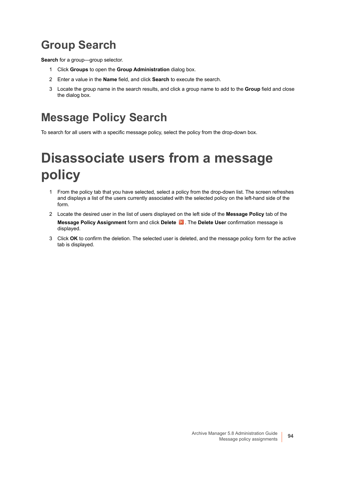### **Group Search**

**Search** for a group—group selector.

- 1 Click **Groups** to open the **Group Administration** dialog box.
- 2 Enter a value in the **Name** field, and click **Search** to execute the search.
- 3 Locate the group name in the search results, and click a group name to add to the **Group** field and close the dialog box.

### **Message Policy Search**

To search for all users with a specific message policy, select the policy from the drop-down box.

## <span id="page-93-0"></span>**Disassociate users from a message policy**

- 1 From the policy tab that you have selected, select a policy from the drop-down list. The screen refreshes and displays a list of the users currently associated with the selected policy on the left-hand side of the form.
- 2 Locate the desired user in the list of users displayed on the left side of the **Message Policy** tab of the **Message Policy Assignment** form and click **Delete** . The **Delete User** confirmation message is displayed.
- 3 Click **OK** to confirm the deletion. The selected user is deleted, and the message policy form for the active tab is displayed.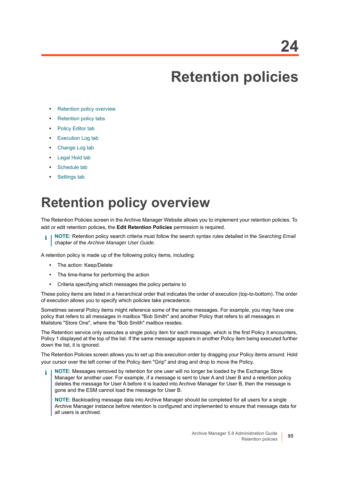# **Retention policies**

- **•** [Retention policy overview](#page-94-0)
- **•** [Retention policy tabs](#page-95-0)
- **•** [Policy Editor tab](#page-95-1)
- **•** [Execution Log tab](#page-99-0)
- **•** [Change Log tab](#page-100-0)
- **•** [Legal Hold tab](#page-100-1)
- **•** [Schedule tab](#page-102-0)
- **•** [Settings tab](#page-102-1)

## <span id="page-94-0"></span>**Retention policy overview**

The Retention Policies screen in the Archive Manager Website allows you to implement your retention policies. To add or edit retention policies, the **Edit Retention Policies** permission is required.

**NOTE:** Retention policy search criteria must follow the search syntax rules detailed in the *Searching Email*  chapter of the *Archive Manager User Guide*.

A retention policy is made up of the following policy items, including:

- **•** The action: Keep/Delete
- **•** The time-frame for performing the action
- **•** Criteria specifying which messages the policy pertains to

These policy items are listed in a hierarchical order that indicates the order of execution (top-to-bottom). The order of execution allows you to specify which policies take precedence.

Sometimes several Policy items might reference some of the same messages. For example, you may have one policy that refers to all messages in mailbox "Bob Smith" and another Policy that refers to all messages in Mailstore "Store One", where the "Bob Smith" mailbox resides.

The Retention service only executes a single policy item for each message, which is the first Policy it encounters, Policy 1 displayed at the top of the list. If the same message appears in another Policy item being executed further down the list, it is ignored.

The Retention Policies screen allows you to set up this execution order by dragging your Policy items around. Hold your cursor over the left corner of the Policy item "Grip" and drag and drop to move the Policy.

**NOTE:** Messages removed by retention for one user will no longer be loaded by the Exchange Store Manager for another user. For example, if a message is sent to User A and User B and a retention policy deletes the message for User A before it is loaded into Archive Manager for User B, then the message is gone and the ESM cannot load the message for User B.

**NOTE:** Backloading message data into Archive Manager should be completed for all users for a single Archive Manager instance before retention is configured and implemented to ensure that message data for all users is archived.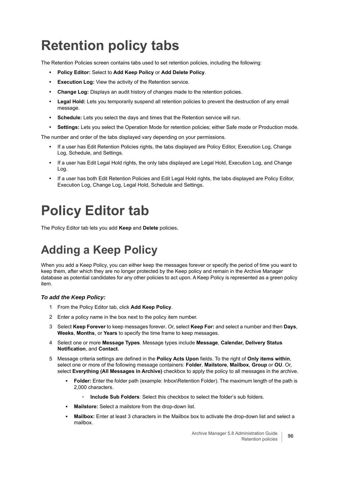## <span id="page-95-0"></span>**Retention policy tabs**

The Retention Policies screen contains tabs used to set retention policies, including the following:

- **Policy Editor:** Select to **Add Keep Policy** or **Add Delete Policy**.
- **Execution Log:** View the activity of the Retention service.
- **Change Log:** Displays an audit history of changes made to the retention policies.
- **Legal Hold:** Lets you temporarily suspend all retention policies to prevent the destruction of any email message.
- **Schedule:** Lets you select the days and times that the Retention service will run.
- **Settings:** Lets you select the Operation Mode for retention policies; either Safe mode or Production mode.

The number and order of the tabs displayed vary depending on your permissions.

- **•** If a user has Edit Retention Policies rights, the tabs displayed are Policy Editor, Execution Log, Change Log, Schedule, and Settings.
- **•** If a user has Edit Legal Hold rights, the only tabs displayed are Legal Hold, Execution Log, and Change Log.
- **•** If a user has both Edit Retention Policies and Edit Legal Hold rights, the tabs displayed are Policy Editor, Execution Log, Change Log, Legal Hold, Schedule and Settings.

## <span id="page-95-1"></span>**Policy Editor tab**

The Policy Editor tab lets you add **Keep** and **Delete** policies**.**

### **Adding a Keep Policy**

When you add a Keep Policy, you can either keep the messages forever or specify the period of time you want to keep them, after which they are no longer protected by the Keep policy and remain in the Archive Manager database as potential candidates for any other policies to act upon. A Keep Policy is represented as a green policy item.

### *To add the Keep Policy:*

- 1 From the Policy Editor tab, click **Add Keep Policy**.
- 2 Enter a policy name in the box next to the policy item number.
- 3 Select **Keep Forever** to keep messages forever**.** Or, select **Keep For:** and select a number and then **Days**, **Weeks**, **Months**, or **Years** to specify the time frame to keep messages.
- 4 Select one or more **Message Types**. Message types include **Message**, **Calendar, Delivery Status Notification**, and **Contact**.
- 5 Message criteria settings are defined in the **Policy Acts Upon** fields. To the right of **Only items within**, select one or more of the following message containers: **Folder**, **Mailstore**, **Mailbox**, **Group** or **OU**. Or, select **Everything (All Messages in Archive)** checkbox to apply the policy to all messages in the archive.
	- **Folder:** Enter the folder path (example: Inbox\Retention Folder). The maximum length of the path is 2,000 characters.
		- **Include Sub Folders:** Select this checkbox to select the folder's sub folders.
	- **Mailstore:** Select a mailstore from the drop-down list.
	- **Mailbox:** Enter at least 3 characters in the Mailbox box to activate the drop-down list and select a mailbox.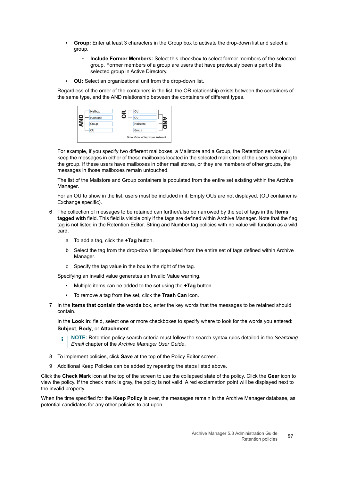- **Group:** Enter at least 3 characters in the Group box to activate the drop-down list and select a group.
	- **□** Include Former Members: Select this checkbox to select former members of the selected group. Former members of a group are users that have previously been a part of the selected group in Active Directory.
- **OU:** Select an organizational unit from the drop-down list.

Regardless of the order of the containers in the list, the OR relationship exists between the containers of the same type, and the AND relationship between the containers of different types.

| Mailstore             | ┑<br>OU   |  |
|-----------------------|-----------|--|
| $\mathbf{z}$<br>Group | Mailstore |  |
| OU                    | Group     |  |

For example, if you specify two different mailboxes, a Mailstore and a Group, the Retention service will keep the messages in either of these mailboxes located in the selected mail store of the users belonging to the group. If these users have mailboxes in other mail stores, or they are members of other groups, the messages in those mailboxes remain untouched.

The list of the Mailstore and Group containers is populated from the entire set existing within the Archive Manager.

For an OU to show in the list, users must be included in it. Empty OUs are not displayed. (OU container is Exchange specific).

- 6 The collection of messages to be retained can further/also be narrowed by the set of tags in the **Items tagged with** field. This field is visible only if the tags are defined within Archive Manager. Note that the flag tag is not listed in the Retention Editor. String and Number tag policies with no value will function as a wild card.
	- a To add a tag, click the **+Tag** button.
	- b Select the tag from the drop-down list populated from the entire set of tags defined within Archive Manager.
	- c Specify the tag value in the box to the right of the tag.

Specifying an invalid value generates an Invalid Value warning.

- **▪** Multiple items can be added to the set using the **+Tag** button.
- **▪** To remove a tag from the set, click the **Trash Can** icon.
- 7 In the **Items that contain the words** box, enter the key words that the messages to be retained should contain.

In the **Look in:** field, select one or more checkboxes to specify where to look for the words you entered: **Subject**, **Body**, or **Attachment**.

**NOTE:** Retention policy search criteria must follow the search syntax rules detailed in the *Searching*  î *Email* chapter of the *Archive Manager User Guide*.

- 8 To implement policies, click **Save** at the top of the Policy Editor screen.
- 9 Additional Keep Policies can be added by repeating the steps listed above.

Click the **Check Mark** icon at the top of the screen to use the collapsed state of the policy. Click the **Gear** icon to view the policy. If the check mark is gray, the policy is not valid. A red exclamation point will be displayed next to the invalid property.

When the time specified for the **Keep Policy** is over, the messages remain in the Archive Manager database, as potential candidates for any other policies to act upon.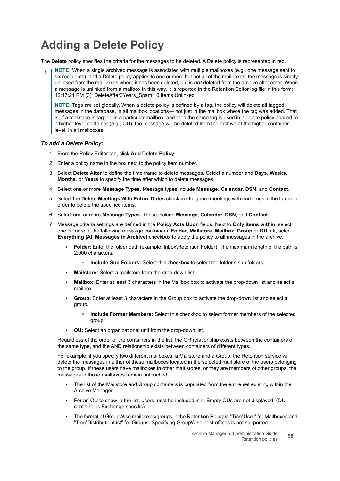### **Adding a Delete Policy**

The **Delete** policy specifies the criteria for the messages to be deleted. A Delete policy is represented in red.

**NOTE:** When a single archived message is associated with multiple mailboxes (e.g., one message sent to ÷ six recipients), and a Delete policy applies to one or more but not all of the mailboxes, the message is simply unlinked from the mailboxes where it has been deleted, but is *not* deleted from the archive altogether. When a message is unlinked from a mailbox in this way, it is reported in the Retention Editor log file in this form: 12:47:21 PM (3) DeleteAfter3Years\_Spam : 0 Items Unlinked

**NOTE:** Tags are set globally. When a delete policy is defined by a tag, the policy will delete all tagged messages in the database, in all mailbox locations— not just in the mailbox where the tag was added. That is, if a message is tagged in a particular mailbox, and then the same tag is used in a delete policy applied to a higher-level container (e.g., OU), the message will be deleted from the archive at the higher container level, in all mailboxes.

#### *To add a Delete Policy:*

- 1 From the Policy Editor tab, click **Add Delete Policy**.
- 2 Enter a policy name in the box next to the policy item number.
- 3 Select **Delete After** to define the time frame to delete messages**.** Select a number and **Days**, **Weeks**, **Months**, or **Years** to specify the time after which to delete messages.
- 4 Select one or more **Message Types**. Message types include **Message**, **Calendar, DSN**, and **Contact**.
- 5 Select the **Delete Meetings With Future Dates** checkbox to ignore meetings with end times in the future in order to delete the specified items.
- 6 Select one or more **Message Types**. These include **Message**, **Calendar, DSN**, and **Contact**.
- 7 Message criteria settings are defined in the **Policy Acts Upon** fields. Next to **Only items within**, select one or more of the following message containers: **Folder**, **Mailstore**, **Mailbox**, **Group** or **OU**. Or, select **Everything (All Messages in Archive)** checkbox to apply the policy to all messages in the archive.
	- **Folder:** Enter the folder path (example: Inbox\Retention Folder). The maximum length of the path is 2,000 characters.
		- **Include Sub Folders:** Select this checkbox to select the folder's sub folders.
	- **Mailstore:** Select a mailstore from the drop-down list.
	- **Mailbox:** Enter at least 3 characters in the Mailbox box to activate the drop-down list and select a mailbox.
	- **Group:** Enter at least 3 characters in the Group box to activate the drop-down list and select a group.
		- **Include Former Members:** Select this checkbox to select former members of the selected group.
	- **OU:** Select an organizational unit from the drop-down list.

Regardless of the order of the containers in the list, the OR relationship exists between the containers of the same type, and the AND relationship exists between containers of different types.

For example, if you specify two different mailboxes, a Mailstore and a Group, the Retention service will delete the messages in either of these mailboxes located in the selected mail store of the users belonging to the group. If these users have mailboxes in other mail stores, or they are members of other groups, the messages in those mailboxes remain untouched.

- The list of the Mailstore and Group containers is populated from the entire set existing within the Archive Manager.
- **▪** For an OU to show in the list, users must be included in it. Empty OUs are not displayed. (OU container is Exchange specific).
- The format of GroupWise mailboxes/groups in the Retention Policy is "Tree\User" for Mailboxes and "Tree\DistributionList" for Groups. Specifying GroupWise post-offices is not supported.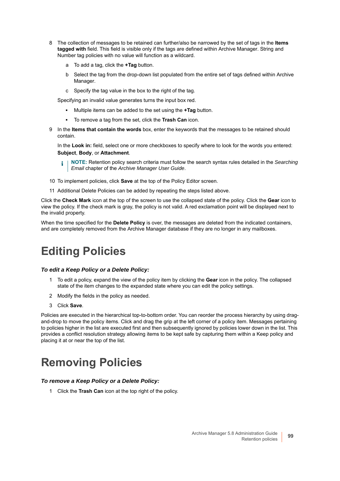- 8 The collection of messages to be retained can further/also be narrowed by the set of tags in the **Items tagged with** field. This field is visible only if the tags are defined within Archive Manager. String and Number tag policies with no value will function as a wildcard.
	- a To add a tag, click the **+Tag** button.
	- b Select the tag from the drop-down list populated from the entire set of tags defined within Archive Manager.
	- c Specify the tag value in the box to the right of the tag.

Specifying an invalid value generates turns the input box red.

- **▪** Multiple items can be added to the set using the **+Tag** button.
- **▪** To remove a tag from the set, click the **Trash Can** icon.
- 9 In the **Items that contain the words** box, enter the keywords that the messages to be retained should contain.

In the **Look in:** field, select one or more checkboxes to specify where to look for the words you entered: **Subject**, **Body**, or **Attachment**.

**NOTE:** Retention policy search criteria must follow the search syntax rules detailed in the *Searching*  î. *Email* chapter of the *Archive Manager User Guide*.

- 10 To implement policies, click **Save** at the top of the Policy Editor screen.
- 11 Additional Delete Policies can be added by repeating the steps listed above.

Click the **Check Mark** icon at the top of the screen to use the collapsed state of the policy. Click the **Gear** icon to view the policy. If the check mark is gray, the policy is not valid. A red exclamation point will be displayed next to the invalid property.

When the time specified for the **Delete Policy** is over, the messages are deleted from the indicated containers, and are completely removed from the Archive Manager database if they are no longer in any mailboxes.

### **Editing Policies**

#### *To edit a Keep Policy or a Delete Policy:*

- 1 To edit a policy, expand the view of the policy item by clicking the **Gear** icon in the policy. The collapsed state of the item changes to the expanded state where you can edit the policy settings.
- 2 Modify the fields in the policy as needed.
- 3 Click **Save**.

Policies are executed in the hierarchical top-to-bottom order. You can reorder the process hierarchy by using dragand-drop to move the policy items. Click and drag the grip at the left corner of a policy item. Messages pertaining to policies higher in the list are executed first and then subsequently ignored by policies lower down in the list. This provides a conflict resolution strategy allowing items to be kept safe by capturing them within a Keep policy and placing it at or near the top of the list.

### **Removing Policies**

#### *To remove a Keep Policy or a Delete Policy:*

1 Click the **Trash Can** icon at the top right of the policy.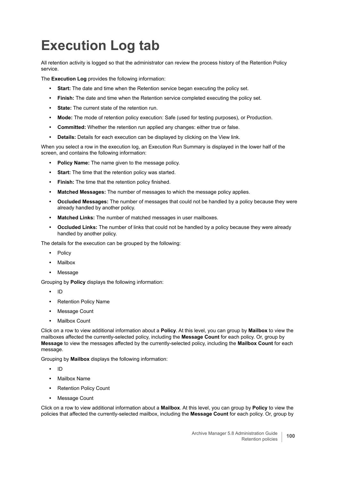## <span id="page-99-0"></span>**Execution Log tab**

All retention activity is logged so that the administrator can review the process history of the Retention Policy service.

The **Execution Log** provides the following information:

- **Start:** The date and time when the Retention service began executing the policy set.
- **Finish:** The date and time when the Retention service completed executing the policy set.
- **State:** The current state of the retention run.
- **Mode:** The mode of retention policy execution: Safe (used for testing purposes), or Production.
- **Committed:** Whether the retention run applied any changes: either true or false.
- **Details:** Details for each execution can be displayed by clicking on the View link.

When you select a row in the execution log, an Execution Run Summary is displayed in the lower half of the screen, and contains the following information:

- **Policy Name:** The name given to the message policy.
- **Start:** The time that the retention policy was started.
- **Finish:** The time that the retention policy finished.
- **Matched Messages:** The number of messages to which the message policy applies.
- **Occluded Messages:** The number of messages that could not be handled by a policy because they were already handled by another policy.
- **Matched Links:** The number of matched messages in user mailboxes.
- **Occluded Links:** The number of links that could not be handled by a policy because they were already handled by another policy.

The details for the execution can be grouped by the following:

- **•** Policy
- **•** Mailbox
- **•** Message

Grouping by **Policy** displays the following information:

- **•** ID
- **•** Retention Policy Name
- **•** Message Count
- **•** Mailbox Count

Click on a row to view additional information about a **Policy**. At this level, you can group by **Mailbox** to view the mailboxes affected the currently-selected policy, including the **Message Count** for each policy. Or, group by **Message** to view the messages affected by the currently-selected policy, including the **Mailbox Count** for each message.

Grouping by **Mailbox** displays the following information:

- **•** ID
- **•** Mailbox Name
- **•** Retention Policy Count
- **•** Message Count

Click on a row to view additional information about a **Mailbox**. At this level, you can group by **Policy** to view the policies that affected the currently-selected mailbox, including the **Message Count** for each policy. Or, group by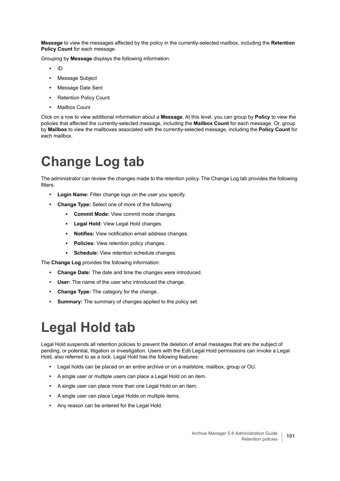**Message** to view the messages affected by the policy in the currently-selected mailbox, including the **Retention Policy Count** for each message.

Grouping by **Message** displays the following information:

- **•** ID
- **•** Message Subject
- **•** Message Date Sent
- **•** Retention Policy Count
- **•** Mailbox Count

Click on a row to view additional information about a **Message**. At this level, you can group by **Policy** to view the policies that affected the currently-selected message, including the **Mailbox Count** for each message. Or, group by **Mailbox** to view the mailboxes associated with the currently-selected message, including the **Policy Count** for each mailbox.

## <span id="page-100-0"></span>**Change Log tab**

The administrator can review the changes made to the retention policy. The Change Log tab provides the following filters:

- **Login Name:** Filter change logs on the user you specify.
- **Change Type:** Select one of more of the following:
	- **Commit Mode:** View commit mode changes.
	- **Legal Hold:** View Legal Hold changes.
	- **Notifies:** View notification email address changes.
	- **Policies:** View retention policy changes.
	- **Schedule:** View retention schedule changes.

The **Change Log** provides the following information:

- **Change Date:** The date and time the changes were introduced.
- **User:** The name of the user who introduced the change.
- **Change Type:** The category for the change.
- **Summary:** The summary of changes applied to the policy set.

## <span id="page-100-1"></span>**Legal Hold tab**

Legal Hold suspends all retention policies to prevent the deletion of email messages that are the subject of pending, or potential, litigation or investigation. Users with the Edit Legal Hold permissions can invoke a Legal Hold, also referred to as a lock. Legal Hold has the following features:

- **•** Legal holds can be placed on an entire archive or on a mailstore, mailbox, group or OU.
- **•** A single user or multiple users can place a Legal Hold on an item.
- **•** A single user can place more than one Legal Hold on an item.
- **•** A single user can place Legal Holds on multiple items.
- **•** Any reason can be entered for the Legal Hold.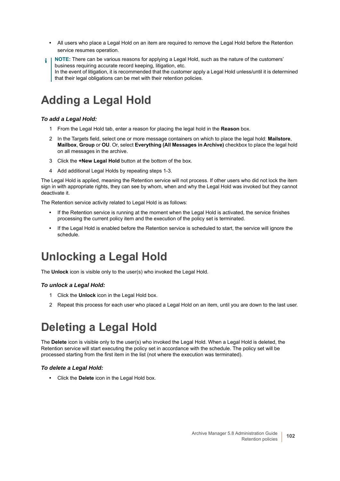- **•** All users who place a Legal Hold on an item are required to remove the Legal Hold before the Retention service resumes operation.
- **NOTE:** There can be various reasons for applying a Legal Hold, such as the nature of the customers' i I business requiring accurate record keeping, litigation, etc. In the event of litigation, it is recommended that the customer apply a Legal Hold unless/until it is determined that their legal obligations can be met with their retention policies.

## **Adding a Legal Hold**

### *To add a Legal Hold:*

- 1 From the Legal Hold tab, enter a reason for placing the legal hold in the **Reason** box.
- 2 In the Targets field, select one or more message containers on which to place the legal hold: **Mailstore**, **Mailbox**, **Group** or **OU**. Or, select **Everything (All Messages in Archive)** checkbox to place the legal hold on all messages in the archive.
- 3 Click the **+New Legal Hold** button at the bottom of the box.
- 4 Add additional Legal Holds by repeating steps 1-3.

The Legal Hold is applied, meaning the Retention service will not process. If other users who did not lock the item sign in with appropriate rights, they can see by whom, when and why the Legal Hold was invoked but they cannot deactivate it.

The Retention service activity related to Legal Hold is as follows:

- **•** If the Retention service is running at the moment when the Legal Hold is activated, the service finishes processing the current policy item and the execution of the policy set is terminated.
- **•** If the Legal Hold is enabled before the Retention service is scheduled to start, the service will ignore the schedule.

### **Unlocking a Legal Hold**

The **Unlock** icon is visible only to the user(s) who invoked the Legal Hold.

### *To unlock a Legal Hold:*

- 1 Click the **Unlock** icon in the Legal Hold box.
- 2 Repeat this process for each user who placed a Legal Hold on an item, until you are down to the last user.

### **Deleting a Legal Hold**

The **Delete** icon is visible only to the user(s) who invoked the Legal Hold. When a Legal Hold is deleted, the Retention service will start executing the policy set in accordance with the schedule. The policy set will be processed starting from the first item in the list (not where the execution was terminated).

### *To delete a Legal Hold:*

**•** Click the **Delete** icon in the Legal Hold box.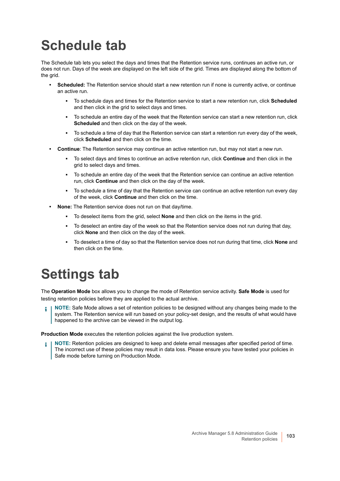## <span id="page-102-0"></span>**Schedule tab**

The Schedule tab lets you select the days and times that the Retention service runs, continues an active run, or does not run. Days of the week are displayed on the left side of the grid. Times are displayed along the bottom of the grid.

- **Scheduled:** The Retention service should start a new retention run if none is currently active, or continue an active run.
	- **▪** To schedule days and times for the Retention service to start a new retention run, click **Scheduled** and then click in the grid to select days and times.
	- **▪** To schedule an entire day of the week that the Retention service can start a new retention run, click **Scheduled** and then click on the day of the week.
	- To schedule a time of day that the Retention service can start a retention run every day of the week, click **Scheduled** and then click on the time.
- **Continue**: The Retention service may continue an active retention run, but may not start a new run.
	- **▪** To select days and times to continue an active retention run, click **Continue** and then click in the grid to select days and times.
	- To schedule an entire day of the week that the Retention service can continue an active retention run, click **Continue** and then click on the day of the week.
	- **▪** To schedule a time of day that the Retention service can continue an active retention run every day of the week, click **Continue** and then click on the time.
- **None:** The Retention service does not run on that day/time.
	- **▪** To deselect items from the grid, select **None** and then click on the items in the grid.
	- To deselect an entire day of the week so that the Retention service does not run during that day, click **None** and then click on the day of the week.
	- **▪** To deselect a time of day so that the Retention service does not run during that time, click **None** and then click on the time.

## <span id="page-102-1"></span>**Settings tab**

The **Operation Mode** box allows you to change the mode of Retention service activity. **Safe Mode** is used for testing retention policies before they are applied to the actual archive.

**NOTE:** Safe Mode allows a set of retention policies to be designed without any changes being made to the system. The Retention service will run based on your policy-set design, and the results of what would have happened to the archive can be viewed in the output log.

**Production Mode** executes the retention policies against the live production system.

**NOTE:** Retention policies are designed to keep and delete email messages after specified period of time. The incorrect use of these policies may result in data loss. Please ensure you have tested your policies in Safe mode before turning on Production Mode.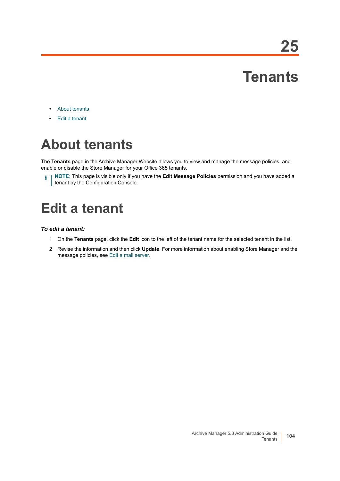## **Tenants**

- **•** [About tenants](#page-103-0)
- **•** [Edit a tenant](#page-103-1)

## <span id="page-103-0"></span>**About tenants**

The **Tenants** page in the Archive Manager Website allows you to view and manage the message policies, and enable or disable the Store Manager for your Office 365 tenants.

**i** | NOTE: This page is visible only if you have the Edit Message Policies permission and you have added a tenant by the Configuration Console.

## <span id="page-103-1"></span>**Edit a tenant**

#### *To edit a tenant:*

- 1 On the **Tenants** page, click the **Edit** icon to the left of the tenant name for the selected tenant in the list.
- 2 Revise the information and then click **Update**. For more information about enabling Store Manager and the message policies, see [Edit a mail server](#page-67-0).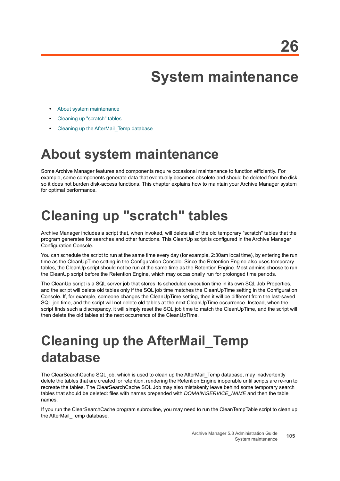## **System maintenance**

- **•** [About system maintenance](#page-104-0)
- **•** [Cleaning up "scratch" tables](#page-104-1)
- **•** [Cleaning up the AfterMail\\_Temp database](#page-104-2)

## <span id="page-104-0"></span>**About system maintenance**

Some Archive Manager features and components require occasional maintenance to function efficiently. For example, some components generate data that eventually becomes obsolete and should be deleted from the disk so it does not burden disk-access functions. This chapter explains how to maintain your Archive Manager system for optimal performance.

## <span id="page-104-1"></span>**Cleaning up "scratch" tables**

Archive Manager includes a script that, when invoked, will delete all of the old temporary "scratch" tables that the program generates for searches and other functions. This CleanUp script is configured in the Archive Manager Configuration Console.

You can schedule the script to run at the same time every day (for example, 2:30am local time), by entering the run time as the CleanUpTime setting in the Configuration Console. Since the Retention Engine also uses temporary tables, the CleanUp script should not be run at the same time as the Retention Engine. Most admins choose to run the CleanUp script before the Retention Engine, which may occasionally run for prolonged time periods.

The CleanUp script is a SQL server job that stores its scheduled execution time in its own SQL Job Properties, and the script will delete old tables only if the SQL job time matches the CleanUpTime setting in the Configuration Console. If, for example, someone changes the CleanUpTime setting, then it will be different from the last-saved SQL job time, and the script will not delete old tables at the next CleanUpTime occurrence. Instead, when the script finds such a discrepancy, it will simply reset the SQL job time to match the CleanUpTime, and the script will then delete the old tables at the next occurrence of the CleanUpTime.

## <span id="page-104-2"></span>**Cleaning up the AfterMail\_Temp database**

The ClearSearchCache SQL job, which is used to clean up the AfterMail Temp database, may inadvertently delete the tables that are created for retention, rendering the Retention Engine inoperable until scripts are re-run to recreate the tables. The ClearSearchCache SQL Job may also mistakenly leave behind some temporary search tables that should be deleted: files with names prepended with *DOMAIN\SERVICE\_NAME* and then the table names.

If you run the ClearSearchCache program subroutine, you may need to run the CleanTempTable script to clean up the AfterMail Temp database.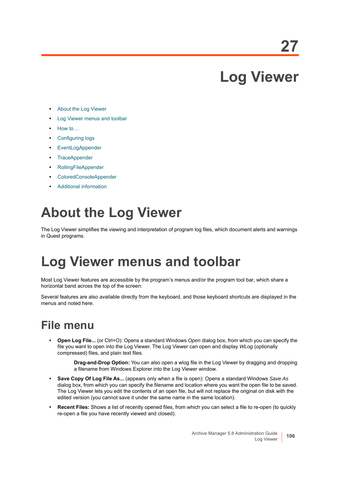## **Log Viewer**

- **•** [About the Log Viewer](#page-105-0)
- **•** [Log Viewer menus and toolbar](#page-105-1)
- **•** [How to ...](#page-106-0)
- **•** [Configuring logs](#page-107-0)
- **•** [EventLogAppender](#page-107-1)
- **•** [TraceAppender](#page-107-2)
- **•** [RollingFileAppender](#page-108-1)
- **•** [ColoredConsoleAppender](#page-108-2)
- **•** [Additional information](#page-108-0)

## <span id="page-105-0"></span>**About the Log Viewer**

The Log Viewer simplifies the viewing and interpretation of program log files, which document alerts and warnings in Quest programs.

## <span id="page-105-1"></span>**Log Viewer menus and toolbar**

Most Log Viewer features are accessible by the program's menus and/or the program tool bar, which share a horizontal band across the top of the screen:

Several features are also available directly from the keyboard, and those keyboard shortcuts are displayed in the menus and noted here.

### **File menu**

**• Open Log File...** (or Ctrl+O): Opens a standard Windows *Open* dialog box, from which you can specify the file you want to open into the Log Viewer. The Log Viewer can open and display *WLog* (optionally compressed) files, and plain text files.

> **Drag-and-Drop Option:** You can also open a wlog file in the Log Viewer by dragging and dropping a filename from Windows Explorer into the Log Viewer window.

- **Save Copy Of Log File As...** (appears only when a file is open): Opens a standard Windows *Save As* dialog box, from which you can specify the filename and location where you want the open file to be saved. The Log Viewer lets you edit the contents of an open file, but will not replace the original on disk with the edited version (you cannot save it under the same name in the same location).
- **Recent Files:** Shows a list of recently opened files, from which you can select a file to re-open (to quickly re-open a file you have recently viewed and closed).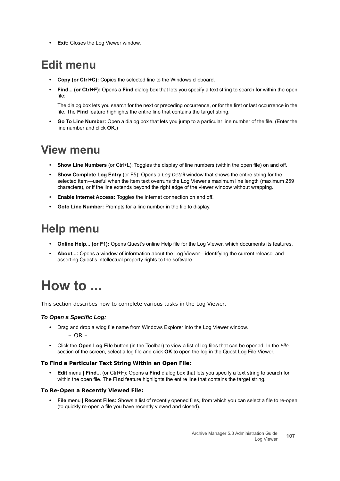**• Exit:** Closes the Log Viewer window.

### **Edit menu**

- **Copy (or Ctrl+C):** Copies the selected line to the Windows clipboard.
- **Find... (or Ctrl+F):** Opens a **Find** dialog box that lets you specify a text string to search for within the open file:

The dialog box lets you search for the next or preceding occurrence, or for the first or last occurrence in the file. The **Find** feature highlights the entire line that contains the target string.

**• Go To Line Number:** Open a dialog box that lets you jump to a particular line number of the file. (Enter the line number and click **OK**.)

### **View menu**

- **Show Line Numbers** (or Ctrl+L): Toggles the display of line numbers (within the open file) on and off.
- **Show Complete Log Entry** (or F5): Opens a *Log Detail* window that shows the entire string for the selected item—useful when the item text overruns the Log Viewer's maximum line length (maximum 259 characters), or if the line extends beyond the right edge of the viewer window without wrapping.
- **Enable Internet Access:** Toggles the Internet connection on and off.
- **Goto Line Number:** Prompts for a line number in the file to display.

### **Help menu**

- **Online Help... (or F1):** Opens Quest's online Help file for the Log Viewer, which documents its features.
- **About...:** Opens a window of information about the Log Viewer—identifying the current release, and asserting Quest's intellectual property rights to the software.

## <span id="page-106-0"></span>**How to ...**

This section describes how to complete various tasks in the Log Viewer.

### *To Open a Specific Log:*

- **•** Drag and drop a wlog file name from Windows Explorer into the Log Viewer window.  $-$  OR  $-$
- **•** Click the **Open Log File** button (in the Toolbar) to view a list of log files that can be opened. In the *File* section of the screen, select a log file and click **OK** to open the log in the Quest Log File Viewer.

#### *To Find a Particular Text String Within an Open File:*

**• Edit** menu **| Find...** (or Ctrl+F): Opens a **Find** dialog box that lets you specify a text string to search for within the open file. The **Find** feature highlights the entire line that contains the target string.

#### *To Re-Open a Recently Viewed File:*

**• File** menu **| Recent Files:** Shows a list of recently opened files, from which you can select a file to re-open (to quickly re-open a file you have recently viewed and closed).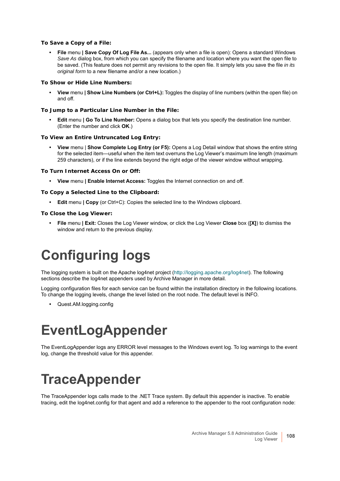#### *To Save a Copy of a File:*

**• File** menu **| Save Copy Of Log File As...** (appears only when a file is open): Opens a standard Windows *Save As* dialog box, from which you can specify the filename and location where you want the open file to be saved. (This feature does not permit any revisions to the open file. It simply lets you save the file *in its original form* to a new filename and/or a new location.)

#### *To Show or Hide Line Numbers:*

**• View** menu **| Show Line Numbers (or Ctrl+L):** Toggles the display of line numbers (within the open file) on and off.

#### *To Jump to a Particular Line Number in the File:*

**• Edit** menu **| Go To Line Number:** Opens a dialog box that lets you specify the destination line number. (Enter the number and click **OK**.)

#### *To View an Entire Untruncated Log Entry:*

**• View** menu | **Show Complete Log Entry (or F5):** Opens a Log Detail window that shows the entire string for the selected item—useful when the item text overruns the Log Viewer's maximum line length (maximum 259 characters), or if the line extends beyond the right edge of the viewer window without wrapping.

#### *To Turn Internet Access On or Off:*

**• View** menu **| Enable Internet Access:** Toggles the Internet connection on and off.

#### *To Copy a Selected Line to the Clipboard:*

**• Edit** menu **| Copy** (or Ctrl+C): Copies the selected line to the Windows clipboard.

#### *To Close the Log Viewer:*

**• File** menu **| Exit:** Closes the Log Viewer window, or click the Log Viewer **Close** box (**[X]**) to dismiss the window and return to the previous display.

## <span id="page-107-0"></span>**Configuring logs**

The logging system is built on the Apache log4net project (http://logging.apache.org/log4net). The following sections describe the log4net appenders used by Archive Manager in more detail.

Logging configuration files for each service can be found within the installation directory in the following locations. To change the logging levels, change the level listed on the root node. The default level is INFO.

**•** Quest.AM.logging.config

## <span id="page-107-1"></span>**EventLogAppender**

The EventLogAppender logs any ERROR level messages to the Windows event log. To log warnings to the event log, change the threshold value for this appender.

## <span id="page-107-2"></span>**TraceAppender**

The TraceAppender logs calls made to the .NET Trace system. By default this appender is inactive. To enable tracing, edit the log4net.config for that agent and add a reference to the appender to the root configuration node: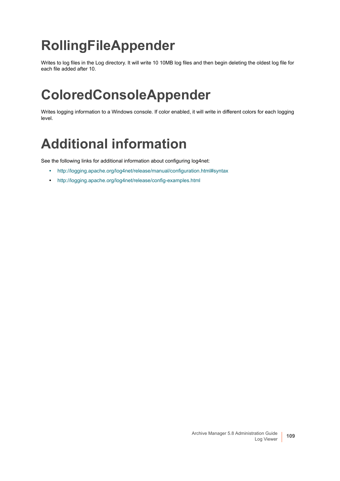# **RollingFileAppender**

Writes to log files in the Log directory. It will write 10 10MB log files and then begin deleting the oldest log file for each file added after 10.

## **ColoredConsoleAppender**

Writes logging information to a Windows console. If color enabled, it will write in different colors for each logging level.

## **Additional information**

See the following links for additional information about configuring log4net:

- **•** <http://logging.apache.org/log4net/release/manual/configuration.html#syntax>
- **•** <http://logging.apache.org/log4net/release/config-examples.html>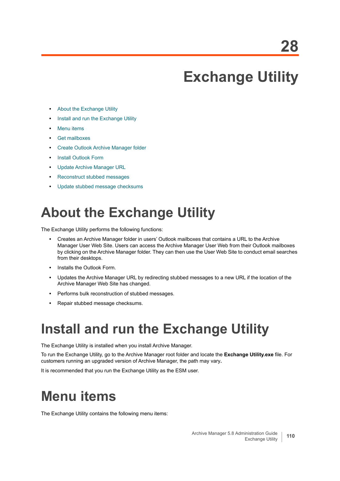# **Exchange Utility**

- **•** [About the Exchange Utility](#page-109-0)
- **•** [Install and run the Exchange Utility](#page-109-1)
- **•** [Menu items](#page-109-2)
- **•** [Get mailboxes](#page-110-0)
- **•** [Create Outlook Archive Manager folder](#page-110-1)
- **•** [Install Outlook Form](#page-110-2)
- **•** [Update Archive Manager URL](#page-111-0)
- **•** [Reconstruct stubbed messages](#page-111-1)
- **•** [Update stubbed message checksums](#page-111-2)

## <span id="page-109-0"></span>**About the Exchange Utility**

The Exchange Utility performs the following functions:

- **•** Creates an Archive Manager folder in users' Outlook mailboxes that contains a URL to the Archive Manager User Web Site. Users can access the Archive Manager User Web from their Outlook mailboxes by clicking on the Archive Manager folder. They can then use the User Web Site to conduct email searches from their desktops.
- **•** Installs the Outlook Form.
- **•** Updates the Archive Manager URL by redirecting stubbed messages to a new URL if the location of the Archive Manager Web Site has changed.
- **•** Performs bulk reconstruction of stubbed messages.
- **•** Repair stubbed message checksums.

## <span id="page-109-1"></span>**Install and run the Exchange Utility**

The Exchange Utility is installed when you install Archive Manager.

To run the Exchange Utility, go to the Archive Manager root folder and locate the **Exchange Utility.exe** file. For customers running an upgraded version of Archive Manager, the path may vary**.**

It is recommended that you run the Exchange Utility as the ESM user.

### <span id="page-109-2"></span>**Menu items**

The Exchange Utility contains the following menu items: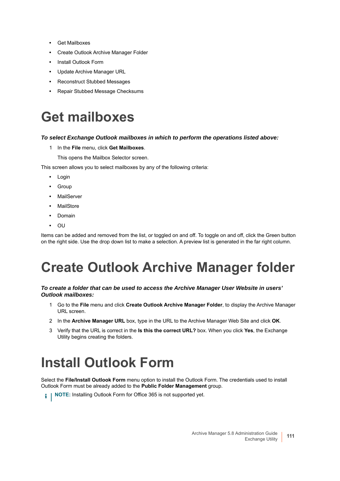- **•** Get Mailboxes
- **•** Create Outlook Archive Manager Folder
- **•** Install Outlook Form
- **•** Update Archive Manager URL
- **•** Reconstruct Stubbed Messages
- **•** Repair Stubbed Message Checksums

### <span id="page-110-0"></span>**Get mailboxes**

#### *To select Exchange Outlook mailboxes in which to perform the operations listed above:*

- 1 In the **File** menu, click **Get Mailboxes**.
	- This opens the Mailbox Selector screen.

This screen allows you to select mailboxes by any of the following criteria:

- **•** Login
- **•** Group
- **•** MailServer
- **•** MailStore
- **•** Domain
- **•** OU

Items can be added and removed from the list, or toggled on and off. To toggle on and off, click the Green button on the right side. Use the drop down list to make a selection. A preview list is generated in the far right column.

# <span id="page-110-1"></span>**Create Outlook Archive Manager folder**

#### *To create a folder that can be used to access the Archive Manager User Website in users' Outlook mailboxes:*

- 1 Go to the **File** menu and click **Create Outlook Archive Manager Folder**, to display the Archive Manager URL screen.
- 2 In the **Archive Manager URL** box, type in the URL to the Archive Manager Web Site and click **OK**.
- 3 Verify that the URL is correct in the **Is this the correct URL?** box. When you click **Yes**, the Exchange Utility begins creating the folders.

# <span id="page-110-2"></span>**Install Outlook Form**

Select the **File/Install Outlook Form** menu option to install the Outlook Form. The credentials used to install Outlook Form must be already added to the **Public Folder Management** group.

**i** | NOTE: Installing Outlook Form for Office 365 is not supported yet.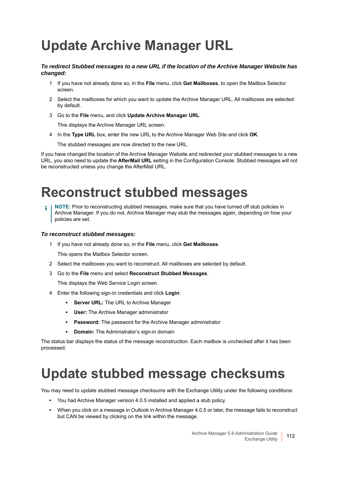## <span id="page-111-0"></span>**Update Archive Manager URL**

#### *To redirect Stubbed messages to a new URL if the location of the Archive Manager Website has changed:*

- 1 If you have not already done so, in the **File** menu, click **Get Mailboxes**, to open the Mailbox Selector screen.
- 2 Select the mailboxes for which you want to update the Archive Manager URL. All mailboxes are selected by default.
- 3 Go to the **File** menu, and click **Update Archive Manager URL**.

This displays the Archive Manager URL screen.

4 In the **Type URL** box, enter the new URL to the Archive Manager Web Site and click **OK**.

The stubbed messages are now directed to the new URL.

If you have changed the location of the Archive Manager Website and redirected your stubbed messages to a new URL, you also need to update the **AfterMail URL** setting in the Configuration Console. Stubbed messages will not be reconstructed unless you change the AfterMail URL.

### <span id="page-111-1"></span>**Reconstruct stubbed messages**

**NOTE:** Prior to reconstructing stubbed messages, make sure that you have turned off stub policies in Archive Manager. If you do not, Archive Manager may stub the messages again, depending on how your policies are set.

#### *To reconstruct stubbed messages:*

1 If you have not already done so, in the **File** menu, click **Get Mailboxes**.

This opens the Mailbox Selector screen.

- 2 Select the mailboxes you want to reconstruct. All mailboxes are selected by default.
- 3 Go to the **File** menu and select **Reconstruct Stubbed Messages**.

This displays the Web Service Login screen.

- 4 Enter the following sign-in credentials and click **Login**:
	- **Server URL:** The URL to Archive Manager
	- **User:** The Archive Manager administrator
	- **Password:** The password for the Archive Manager administrator
	- **Domain:** The Administrator's sign-in domain

The status bar displays the status of the message reconstruction. Each mailbox is unchecked after it has been processed.

### <span id="page-111-2"></span>**Update stubbed message checksums**

You may need to update stubbed message checksums with the Exchange Utility under the following conditions:

- **•** You had Archive Manager version 4.0.5 installed and applied a stub policy.
- **•** When you click on a message in Outlook in Archive Manager 4.0.5 or later, the message fails to reconstruct but CAN be viewed by clicking on the link within the message.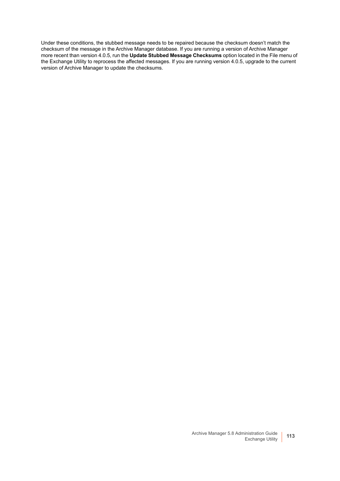Under these conditions, the stubbed message needs to be repaired because the checksum doesn't match the checksum of the message in the Archive Manager database. If you are running a version of Archive Manager more recent than version 4.0.5, run the **Update Stubbed Message Checksums** option located in the File menu of the Exchange Utility to reprocess the affected messages. If you are running version 4.0.5, upgrade to the current version of Archive Manager to update the checksums.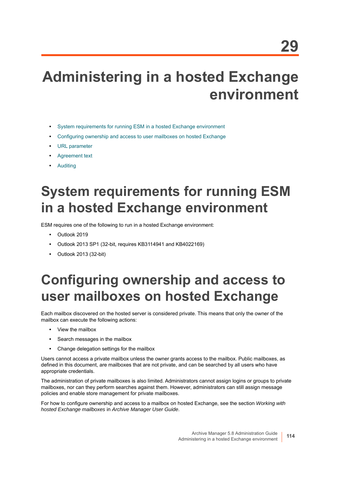# **Administering in a hosted Exchange environment**

- **•** [System requirements for running ESM in a hosted Exchange environment](#page-113-0)
- **•** [Configuring ownership and access to user mailboxes on hosted Exchange](#page-113-1)
- **•** [URL parameter](#page-114-0)
- **•** [Agreement text](#page-114-1)
- **•** [Auditing](#page-114-2)

# <span id="page-113-0"></span>**System requirements for running ESM in a hosted Exchange environment**

ESM requires one of the following to run in a hosted Exchange environment:

- **•** Outlook 2019
- **•** Outlook 2013 SP1 (32-bit, requires KB3114941 and KB4022169)
- **•** Outlook 2013 (32-bit)

## <span id="page-113-1"></span>**Configuring ownership and access to user mailboxes on hosted Exchange**

Each mailbox discovered on the hosted server is considered private. This means that only the owner of the mailbox can execute the following actions:

- **•** View the mailbox
- **•** Search messages in the mailbox
- **•** Change delegation settings for the mailbox

Users cannot access a private mailbox unless the owner grants access to the mailbox. Public mailboxes, as defined in this document, are mailboxes that are not private, and can be searched by all users who have appropriate credentials.

The administration of private mailboxes is also limited. Administrators cannot assign logins or groups to private mailboxes, nor can they perform searches against them. However, administrators can still assign message policies and enable store management for private mailboxes.

For how to configure ownership and access to a mailbox on hosted Exchange, see the section *Working with hosted Exchange mailboxes* in *Archive Manager User Guide*.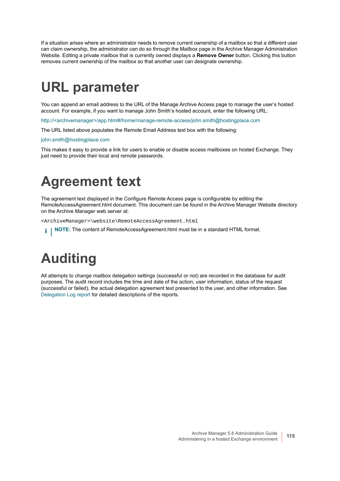If a situation arises where an administrator needs to remove current ownership of a mailbox so that a different user can claim ownership, the administrator can do so through the Mailbox page in the Archive Manager Administration Website. Editing a private mailbox that is currently owned displays a **Remove Owner** button. Clicking this button removes current ownership of the mailbox so that another user can designate ownership.

# <span id="page-114-0"></span>**URL parameter**

You can append an email address to the URL of the Manage Archive Access page to manage the user's hosted account. For example, if you want to manage John Smith's hosted account, enter the following URL:

http://<archivemanager>/app.html#/home/manage-remote-access/john.smith@hostingplace.com

The URL listed above populates the Remote Email Address text box with the following:

john.smith@hostingplace.com

This makes it easy to provide a link for users to enable or disable access mailboxes on hosted Exchange. They just need to provide their local and remote passwords.

## <span id="page-114-1"></span>**Agreement text**

The agreement text displayed in the Configure Remote Access page is configurable by editing the RemoteAccessAgreement.html document. This document can be found in the Archive Manager Website directory on the Archive Manager web server at:

<ArchiveManager>\website\RemoteAccessAgreement.html

**NOTE:** The content of RemoteAccessAgreement.html must be in a standard HTML format.i I

# <span id="page-114-2"></span>**Auditing**

All attempts to change mailbox delegation settings (successful or not) are recorded in the database for audit purposes. The audit record includes the time and date of the action, user information, status of the request (successful or failed), the actual delegation agreement text presented to the user, and other information. See [Delegation Log report](#page-84-0) for detailed descriptions of the reports.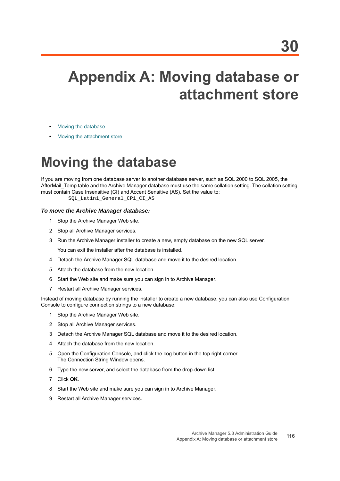# **Appendix A: Moving database or attachment store**

- **•** [Moving the database](#page-115-0)
- **•** [Moving the attachment store](#page-116-0)

### <span id="page-115-0"></span>**Moving the database**

If you are moving from one database server to another database server, such as SQL 2000 to SQL 2005, the AfterMail Temp table and the Archive Manager database must use the same collation setting. The collation setting must contain Case Insensitive (CI) and Accent Sensitive (AS). Set the value to:

SOL Latin1 General CP1 CI AS

#### *To move the Archive Manager database:*

- 1 Stop the Archive Manager Web site.
- 2 Stop all Archive Manager services.
- 3 Run the Archive Manager installer to create a new, empty database on the new SQL server.

You can exit the installer after the database is installed.

- 4 Detach the Archive Manager SQL database and move it to the desired location.
- 5 Attach the database from the new location.
- 6 Start the Web site and make sure you can sign in to Archive Manager.
- 7 Restart all Archive Manager services.

Instead of moving database by running the installer to create a new database, you can also use Configuration Console to configure connection strings to a new database:

- 1 Stop the Archive Manager Web site.
- 2 Stop all Archive Manager services.
- 3 Detach the Archive Manager SQL database and move it to the desired location.
- 4 Attach the database from the new location.
- 5 Open the Configuration Console, and click the cog button in the top right corner. The Connection String Window opens.
- 6 Type the new server, and select the database from the drop-down list.
- 7 Click **OK**.
- 8 Start the Web site and make sure you can sign in to Archive Manager.
- 9 Restart all Archive Manager services.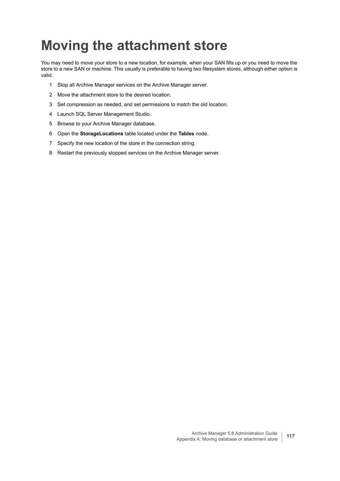## <span id="page-116-0"></span>**Moving the attachment store**

You may need to move your store to a new location, for example, when your SAN fills up or you need to move the store to a new SAN or machine. This usually is preferable to having two filesystem stores, although either option is valid.

- 1 Stop all Archive Manager services on the Archive Manager server.
- 2 Move the attachment store to the desired location.
- 3 Set compression as needed, and set permissions to match the old location.
- 4 Launch SQL Server Management Studio.
- 5 Browse to your Archive Manager database.
- 6 Open the **StorageLocations** table located under the **Tables** node.
- 7 Specify the new location of the store in the connection string.
- 8 Restart the previously stopped services on the Archive Manager server.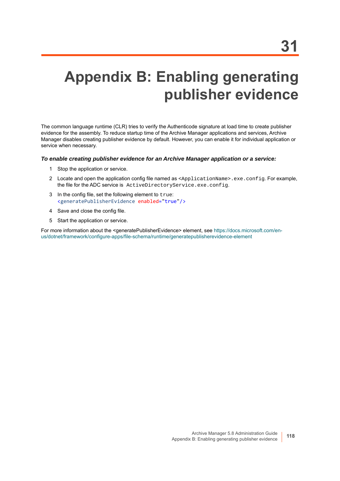# **Appendix B: Enabling generating publisher evidence**

The common language runtime (CLR) tries to verify the Authenticode signature at load time to create publisher evidence for the assembly. To reduce startup time of the Archive Manager applications and services, Archive Manager disables creating publisher evidence by default. However, you can enable it for individual application or service when necessary.

#### *To enable creating publisher evidence for an Archive Manager application or a service:*

- 1 Stop the application or service.
- 2 Locate and open the application config file named as <ApplicationName>.exe.config. For example, the file for the ADC service is ActiveDirectoryService.exe.config.
- 3 In the config file, set the following element to true: <generatePublisherEvidence enabled="true"/>
- 4 Save and close the config file.
- 5 Start the application or service.

For more information about the <generatePublisherEvidence> element, see [https://docs.microsoft.com/en](https://docs.microsoft.com/en-us/dotnet/framework/configure-apps/file-schema/runtime/generatepublisherevidence-element)[us/dotnet/framework/configure-apps/file-schema/runtime/generatepublisherevidence-element](https://docs.microsoft.com/en-us/dotnet/framework/configure-apps/file-schema/runtime/generatepublisherevidence-element)